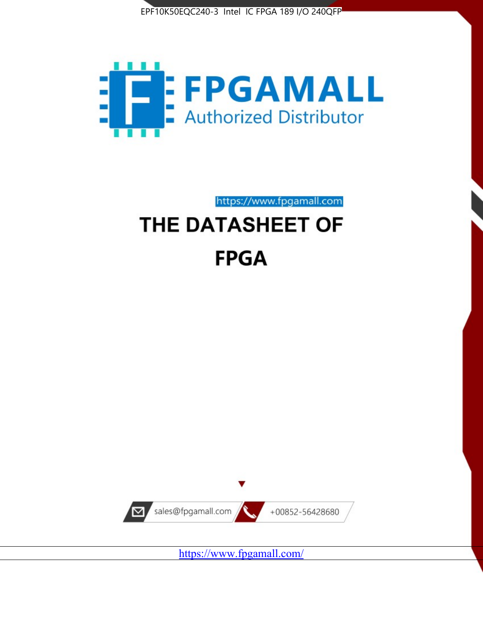



https://www.fpgamall.com

# THE DATASHEET OF **FPGA**



<https://www.fpgamall.com/>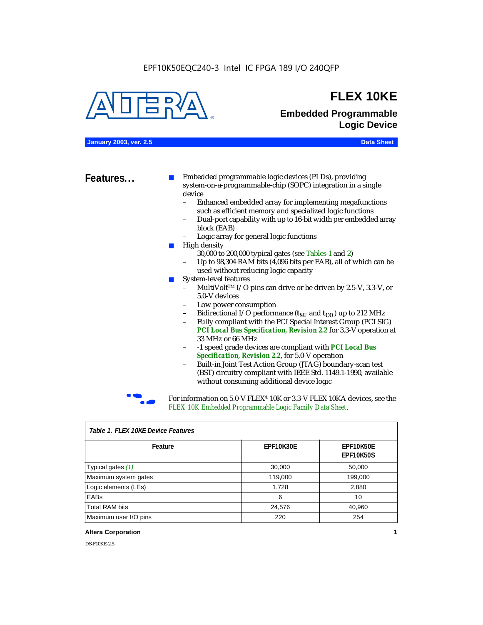

### **FLEX 10KE**

### **Embedded Programmable Logic Device**

**January 2003, ver. 2.5 Data Sheet**

**Features...** ■ Embedded programmable logic devices (PLDs), providing system-on-a-programmable-chip (SOPC) integration in a single device

- Enhanced embedded array for implementing megafunctions such as efficient memory and specialized logic functions
- Dual-port capability with up to 16-bit width per embedded array block (EAB)
- Logic array for general logic functions
- High density
	- 30,000 to 200,000 typical gates (see Tables 1 and 2)
	- Up to 98,304 RAM bits (4,096 bits per EAB), all of which can be used without reducing logic capacity
- System-level features
	- MultiVolt<sup>™</sup> I/O pins can drive or be driven by 2.5-V, 3.3-V, or 5.0-V devices
	- Low power consumption
	- Bidirectional I/O performance  $(t_{SI}$  and  $t_{CO}$ ) up to 212 MHz
	- Fully compliant with the PCI Special Interest Group (PCI SIG) *PCI Local Bus Specification, Revision 2.2* for 3.3-V operation at 33 MHz or 66 MHz
	- -1 speed grade devices are compliant with *PCI Local Bus Specification, Revision 2.2*, for 5.0-V operation
	- Built-in Joint Test Action Group (JTAG) boundary-scan test (BST) circuitry compliant with IEEE Std. 1149.1-1990, available without consuming additional device logic



For information on 5.0-V FLEX<sup>®</sup> 10K or 3.3-V FLEX 10KA devices, see the *FLEX 10K Embedded Programmable Logic Family Data Sheet*.

| Tadie T. Flex Tuke Device Features |                  |                               |  |  |
|------------------------------------|------------------|-------------------------------|--|--|
| Feature                            | <b>EPF10K30E</b> | EPF10K50E<br><b>EPF10K50S</b> |  |  |
| Typical gates (1)                  | 30,000           | 50,000                        |  |  |
| Maximum system gates               | 119,000          | 199,000                       |  |  |
| Logic elements (LEs)               | 1,728            | 2,880                         |  |  |
| EABs                               | 6                | 10                            |  |  |
| <b>Total RAM bits</b>              | 24,576           | 40,960                        |  |  |
| Maximum user I/O pins              | 220              | 254                           |  |  |

#### *Table 1. FLEX 10KE Device Features*

#### **Altera Corporation 1**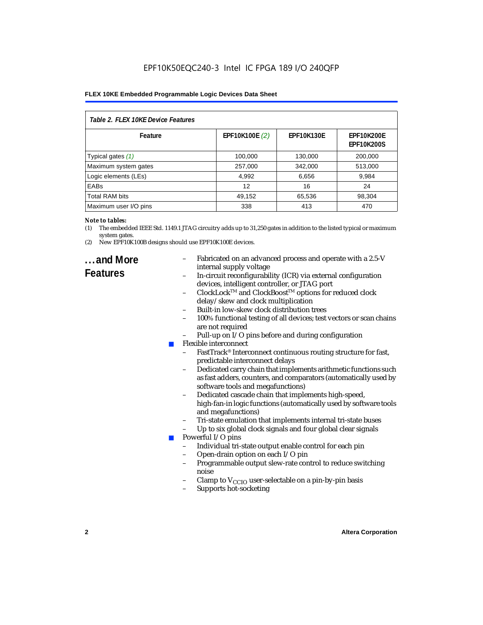| Table 2. FLEX 10KE Device Features |                |                   |                                        |  |
|------------------------------------|----------------|-------------------|----------------------------------------|--|
| Feature                            | EPF10K100E (2) | <b>EPF10K130E</b> | <b>EPF10K200E</b><br><b>EPF10K200S</b> |  |
| Typical gates (1)                  | 100,000        | 130,000           | 200,000                                |  |
| Maximum system gates               | 257,000        | 342,000           | 513,000                                |  |
| Logic elements (LEs)               | 4,992          | 6,656             | 9,984                                  |  |
| <b>EABs</b>                        | 12             | 16                | 24                                     |  |
| <b>Total RAM bits</b>              | 49,152         | 65,536            | 98,304                                 |  |
| Maximum user I/O pins              | 338            | 413               | 470                                    |  |

#### *Note to tables:*

- (1) The embedded IEEE Std. 1149.1 JTAG circuitry adds up to 31,250 gates in addition to the listed typical or maximum system gates.
- (2) New EPF10K100B designs should use EPF10K100E devices.

### **...and More Features**

- Fabricated on an advanced process and operate with a 2.5-V internal supply voltage
- In-circuit reconfigurability (ICR) via external configuration devices, intelligent controller, or JTAG port
- ClockLockTM and ClockBoostTM options for reduced clock delay/skew and clock multiplication
- Built-in low-skew clock distribution trees
- 100% functional testing of all devices; test vectors or scan chains are not required
- Pull-up on I/O pins before and during configuration
- Flexible interconnect
	- FastTrack<sup>®</sup> Interconnect continuous routing structure for fast, predictable interconnect delays
	- Dedicated carry chain that implements arithmetic functions such as fast adders, counters, and comparators (automatically used by software tools and megafunctions)
	- Dedicated cascade chain that implements high-speed, high-fan-in logic functions (automatically used by software tools and megafunctions)
	- Tri-state emulation that implements internal tri-state buses
	- Up to six global clock signals and four global clear signals
	- Powerful I/O pins
		- Individual tri-state output enable control for each pin
		- Open-drain option on each I/O pin
		- Programmable output slew-rate control to reduce switching noise
		- Clamp to  $V_{\text{CCIO}}$  user-selectable on a pin-by-pin basis
		- Supports hot-socketing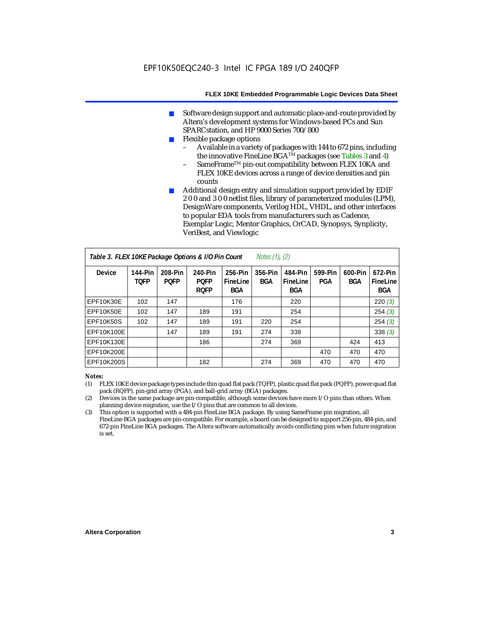- Software design support and automatic place-and-route provided by Altera's development systems for Windows-based PCs and Sun SPARCstation, and HP 9000 Series 700/800
- Flexible package options
	- Available in a variety of packages with 144 to 672 pins, including the innovative FineLine BGA<sup>TM</sup> packages (see Tables 3 and 4)
	- SameFrame™ pin-out compatibility between FLEX 10KA and FLEX 10KE devices across a range of device densities and pin counts
- Additional design entry and simulation support provided by EDIF 2 0 0 and 3 0 0 netlist files, library of parameterized modules (LPM), DesignWare components, Verilog HDL, VHDL, and other interfaces to popular EDA tools from manufacturers such as Cadence, Exemplar Logic, Mentor Graphics, OrCAD, Synopsys, Synplicity, VeriBest, and Viewlogic

| Table 3. FLEX 10KE Package Options & I/O Pin Count<br>Notes $(1)$ , $(2)$ |                        |                        |                                       |                                   |                |                            |                |                       |                            |
|---------------------------------------------------------------------------|------------------------|------------------------|---------------------------------------|-----------------------------------|----------------|----------------------------|----------------|-----------------------|----------------------------|
| <b>Device</b>                                                             | 144-Pin<br><b>TOFP</b> | 208-Pin<br><b>POFP</b> | 240-Pin<br><b>POFP</b><br><b>ROFP</b> | 256-Pin<br>FineLine<br><b>BGA</b> | 356-Pin<br>BGA | 484-Pin<br>FineLine<br>BGA | 599-Pin<br>PGA | 600-Pin<br><b>BGA</b> | 672-Pin<br>FineLine<br>BGA |
| EPF10K30E                                                                 | 102                    | 147                    |                                       | 176                               |                | 220                        |                |                       | 220(3)                     |
| <b>EPF10K50E</b>                                                          | 102                    | 147                    | 189                                   | 191                               |                | 254                        |                |                       | 254(3)                     |
| <b>EPF10K50S</b>                                                          | 102                    | 147                    | 189                                   | 191                               | 220            | 254                        |                |                       | 254(3)                     |
| EPF10K100E                                                                |                        | 147                    | 189                                   | 191                               | 274            | 338                        |                |                       | 338(3)                     |
| EPF10K130E                                                                |                        |                        | 186                                   |                                   | 274            | 369                        |                | 424                   | 413                        |
| EPF10K200E                                                                |                        |                        |                                       |                                   |                |                            | 470            | 470                   | 470                        |
| EPF10K200S                                                                |                        |                        | 182                                   |                                   | 274            | 369                        | 470            | 470                   | 470                        |

#### *Notes:*

- (1) FLEX 10KE device package types include thin quad flat pack (TQFP), plastic quad flat pack (PQFP), power quad flat pack (RQFP), pin-grid array (PGA), and ball-grid array (BGA) packages.
- (2) Devices in the same package are pin-compatible, although some devices have more I/O pins than others. When planning device migration, use the I/O pins that are common to all devices.
- (3) This option is supported with a 484-pin FineLine BGA package. By using SameFrame pin migration, all FineLine BGA packages are pin-compatible. For example, a board can be designed to support 256-pin, 484-pin, and 672-pin FineLine BGA packages. The Altera software automatically avoids conflicting pins when future migration is set.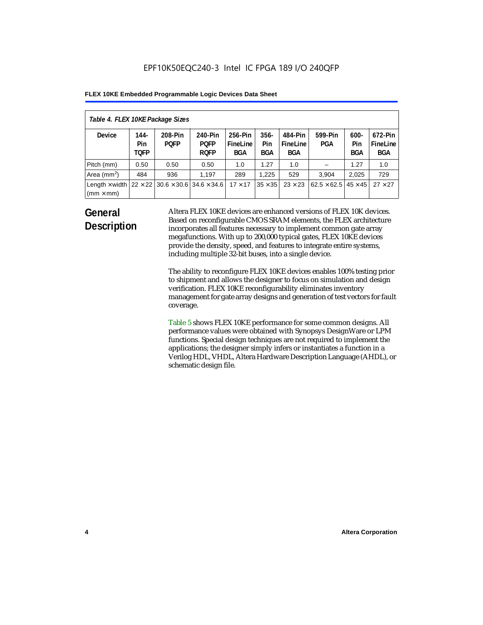| Table 4. FLEX 10KE Package Sizes          |                            |                                                      |                                       |                                   |                       |                            |                                     |                              |                                   |
|-------------------------------------------|----------------------------|------------------------------------------------------|---------------------------------------|-----------------------------------|-----------------------|----------------------------|-------------------------------------|------------------------------|-----------------------------------|
| <b>Device</b>                             | 144-<br>Pin<br><b>TOFP</b> | 208-Pin<br><b>POFP</b>                               | 240-Pin<br><b>POFP</b><br><b>ROFP</b> | 256-Pin<br>FineLine<br><b>BGA</b> | $356 -$<br>Pin<br>BGA | 484-Pin<br>FineLine<br>BGA | 599-Pin<br>PGA                      | $600 -$<br>Pin<br><b>BGA</b> | 672-Pin<br>FineLine<br><b>BGA</b> |
| Pitch (mm)                                | 0.50                       | 0.50                                                 | 0.50                                  | 1.0                               | 1.27                  | 1.0                        |                                     | 1.27                         | 1.0                               |
| Area $(mm2)$                              | 484                        | 936                                                  | 1,197                                 | 289                               | 1.225                 | 529                        | 3.904                               | 2,025                        | 729                               |
| Length $\times$ width<br>$(mm \times mm)$ |                            | $22 \times 22$ 30.6 $\times$ 30.6 34.6 $\times$ 34.6 |                                       | $17 \times 17$                    | $35 \times 35$        | $23 \times 23$             | $62.5 \times 62.5$   45 $\times$ 45 |                              | $27 \times 27$                    |

### **General Description**

Altera FLEX 10KE devices are enhanced versions of FLEX 10K devices. Based on reconfigurable CMOS SRAM elements, the FLEX architecture incorporates all features necessary to implement common gate array megafunctions. With up to 200,000 typical gates, FLEX 10KE devices provide the density, speed, and features to integrate entire systems, including multiple 32-bit buses, into a single device.

The ability to reconfigure FLEX 10KE devices enables 100% testing prior to shipment and allows the designer to focus on simulation and design verification. FLEX 10KE reconfigurability eliminates inventory management for gate array designs and generation of test vectors for fault coverage.

Table 5 shows FLEX 10KE performance for some common designs. All performance values were obtained with Synopsys DesignWare or LPM functions. Special design techniques are not required to implement the applications; the designer simply infers or instantiates a function in a Verilog HDL, VHDL, Altera Hardware Description Language (AHDL), or schematic design file.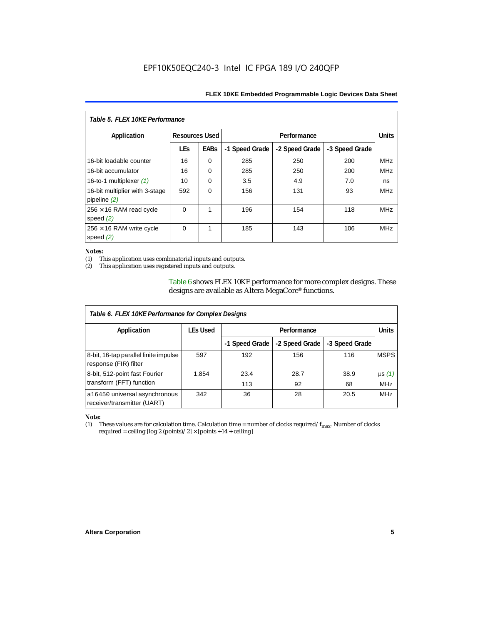| Table 5. FLEX 10KE Performance                   |                       |             |                |                |                |            |  |
|--------------------------------------------------|-----------------------|-------------|----------------|----------------|----------------|------------|--|
| Application                                      | <b>Resources Used</b> |             |                | Performance    |                |            |  |
|                                                  | <b>LEs</b>            | <b>EABs</b> | -1 Speed Grade | -2 Speed Grade | -3 Speed Grade |            |  |
| 16-bit loadable counter                          | 16                    | $\Omega$    | 285            | 250            | 200            | <b>MHz</b> |  |
| 16-bit accumulator                               | 16                    | $\Omega$    | 285            | 250            | 200            | <b>MHz</b> |  |
| 16-to-1 multiplexer $(1)$                        | 10                    | $\Omega$    | 3.5            | 4.9            | 7.0            | ns         |  |
| 16-bit multiplier with 3-stage<br>pipeline $(2)$ | 592                   | $\Omega$    | 156            | 131            | 93             | <b>MHz</b> |  |
| $256 \times 16$ RAM read cycle<br>speed $(2)$    | $\Omega$              | 1           | 196            | 154            | 118            | <b>MHz</b> |  |
| $256 \times 16$ RAM write cycle<br>speed $(2)$   | $\Omega$              | 1           | 185            | 143            | 106            | <b>MHz</b> |  |

#### *Notes:*

(1) This application uses combinatorial inputs and outputs.

This application uses registered inputs and outputs.

Table 6 shows FLEX 10KE performance for more complex designs. These designs are available as Altera MegaCore® functions.

| Table 6. FLEX 10KE Performance for Complex Designs             |                 |                |                |                |              |
|----------------------------------------------------------------|-----------------|----------------|----------------|----------------|--------------|
| Application                                                    | <b>LEs Used</b> | Performance    |                |                | <b>Units</b> |
|                                                                |                 | -1 Speed Grade | -2 Speed Grade | -3 Speed Grade |              |
| 8-bit, 16-tap parallel finite impulse<br>response (FIR) filter | 597             | 192            | 156            | 116            | <b>MSPS</b>  |
| 8-bit, 512-point fast Fourier                                  | 1,854           | 23.4           | 28.7           | 38.9           | $\mu s(1)$   |
| transform (FFT) function                                       |                 | 113            | 92             | 68             | <b>MHz</b>   |
| a16450 universal asynchronous<br>receiver/transmitter (UART)   | 342             | 36             | 28             | 20.5           | <b>MHz</b>   |

## *Note:*<br>(1) 1

These values are for calculation time. Calculation time = number of clocks required/ $f_{max}$ . Number of clocks required = ceiling [log 2 (points)/2]  $\times$  [points +14 + ceiling]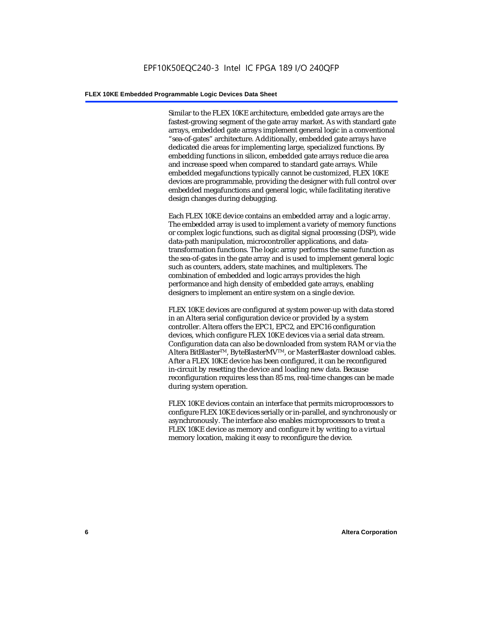Similar to the FLEX 10KE architecture, embedded gate arrays are the fastest-growing segment of the gate array market. As with standard gate arrays, embedded gate arrays implement general logic in a conventional "sea-of-gates" architecture. Additionally, embedded gate arrays have dedicated die areas for implementing large, specialized functions. By embedding functions in silicon, embedded gate arrays reduce die area and increase speed when compared to standard gate arrays. While embedded megafunctions typically cannot be customized, FLEX 10KE devices are programmable, providing the designer with full control over embedded megafunctions and general logic, while facilitating iterative design changes during debugging.

Each FLEX 10KE device contains an embedded array and a logic array. The embedded array is used to implement a variety of memory functions or complex logic functions, such as digital signal processing (DSP), wide data-path manipulation, microcontroller applications, and datatransformation functions. The logic array performs the same function as the sea-of-gates in the gate array and is used to implement general logic such as counters, adders, state machines, and multiplexers. The combination of embedded and logic arrays provides the high performance and high density of embedded gate arrays, enabling designers to implement an entire system on a single device.

FLEX 10KE devices are configured at system power-up with data stored in an Altera serial configuration device or provided by a system controller. Altera offers the EPC1, EPC2, and EPC16 configuration devices, which configure FLEX 10KE devices via a serial data stream. Configuration data can also be downloaded from system RAM or via the Altera BitBlaster™, ByteBlasterMV™, or MasterBlaster download cables. After a FLEX 10KE device has been configured, it can be reconfigured in-circuit by resetting the device and loading new data. Because reconfiguration requires less than 85 ms, real-time changes can be made during system operation.

FLEX 10KE devices contain an interface that permits microprocessors to configure FLEX 10KE devices serially or in-parallel, and synchronously or asynchronously. The interface also enables microprocessors to treat a FLEX 10KE device as memory and configure it by writing to a virtual memory location, making it easy to reconfigure the device.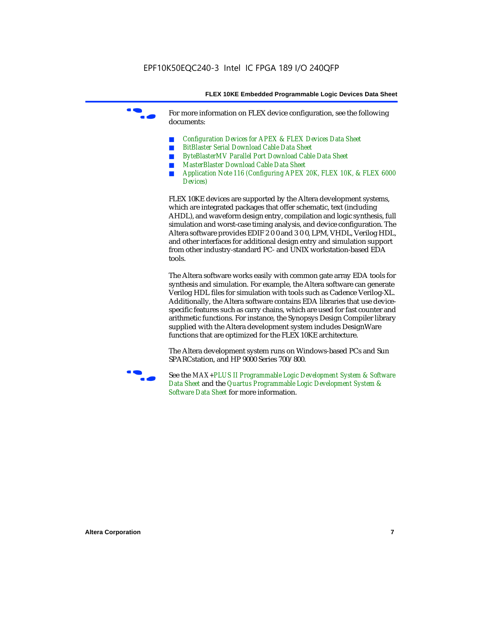For more information on FLEX device configuration, see the following documents:

- *Configuration Devices for APEX & FLEX Devices Data Sheet*
- *BitBlaster Serial Download Cable Data Sheet*
- *ByteBlasterMV Parallel Port Download Cable Data Sheet*
- *MasterBlaster Download Cable Data Sheet*
- *Application Note 116 (Configuring APEX 20K, FLEX 10K, & FLEX 6000 Devices)*

FLEX 10KE devices are supported by the Altera development systems, which are integrated packages that offer schematic, text (including AHDL), and waveform design entry, compilation and logic synthesis, full simulation and worst-case timing analysis, and device configuration. The Altera software provides EDIF 2 0 0 and 3 0 0, LPM, VHDL, Verilog HDL, and other interfaces for additional design entry and simulation support from other industry-standard PC- and UNIX workstation-based EDA tools.

The Altera software works easily with common gate array EDA tools for synthesis and simulation. For example, the Altera software can generate Verilog HDL files for simulation with tools such as Cadence Verilog-XL. Additionally, the Altera software contains EDA libraries that use devicespecific features such as carry chains, which are used for fast counter and arithmetic functions. For instance, the Synopsys Design Compiler library supplied with the Altera development system includes DesignWare functions that are optimized for the FLEX 10KE architecture.

The Altera development system runs on Windows-based PCs and Sun SPARCstation, and HP 9000 Series 700/800.



See the *MAX+PLUS II Programmable Logic Development System & Software Data Sheet* and the *Quartus Programmable Logic Development System & Software Data Sheet* for more information.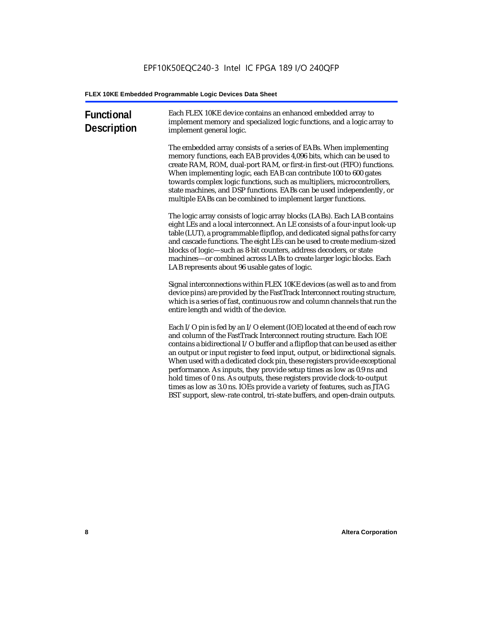| <b>Functional</b><br><b>Description</b> | Each FLEX 10KE device contains an enhanced embedded array to<br>implement memory and specialized logic functions, and a logic array to<br>implement general logic.                                                                                                                                                                                                                                                                                                                                                                                                                                                                                                                                             |
|-----------------------------------------|----------------------------------------------------------------------------------------------------------------------------------------------------------------------------------------------------------------------------------------------------------------------------------------------------------------------------------------------------------------------------------------------------------------------------------------------------------------------------------------------------------------------------------------------------------------------------------------------------------------------------------------------------------------------------------------------------------------|
|                                         | The embedded array consists of a series of EABs. When implementing<br>memory functions, each EAB provides 4,096 bits, which can be used to<br>create RAM, ROM, dual-port RAM, or first-in first-out (FIFO) functions.<br>When implementing logic, each EAB can contribute 100 to 600 gates<br>towards complex logic functions, such as multipliers, microcontrollers,<br>state machines, and DSP functions. EABs can be used independently, or<br>multiple EABs can be combined to implement larger functions.                                                                                                                                                                                                 |
|                                         | The logic array consists of logic array blocks (LABs). Each LAB contains<br>eight LEs and a local interconnect. An LE consists of a four-input look-up<br>table (LUT), a programmable flipflop, and dedicated signal paths for carry<br>and cascade functions. The eight LEs can be used to create medium-sized<br>blocks of logic-such as 8-bit counters, address decoders, or state<br>machines—or combined across LABs to create larger logic blocks. Each<br>LAB represents about 96 usable gates of logic.                                                                                                                                                                                                |
|                                         | Signal interconnections within FLEX 10KE devices (as well as to and from<br>device pins) are provided by the FastTrack Interconnect routing structure,<br>which is a series of fast, continuous row and column channels that run the<br>entire length and width of the device.                                                                                                                                                                                                                                                                                                                                                                                                                                 |
|                                         | Each I/O pin is fed by an I/O element (IOE) located at the end of each row<br>and column of the FastTrack Interconnect routing structure. Each IOE<br>contains a bidirectional I/O buffer and a flipflop that can be used as either<br>an output or input register to feed input, output, or bidirectional signals.<br>When used with a dedicated clock pin, these registers provide exceptional<br>performance. As inputs, they provide setup times as low as 0.9 ns and<br>hold times of 0 ns. As outputs, these registers provide clock-to-output<br>times as low as 3.0 ns. IOEs provide a variety of features, such as JTAG<br>BST support, slew-rate control, tri-state buffers, and open-drain outputs. |
|                                         |                                                                                                                                                                                                                                                                                                                                                                                                                                                                                                                                                                                                                                                                                                                |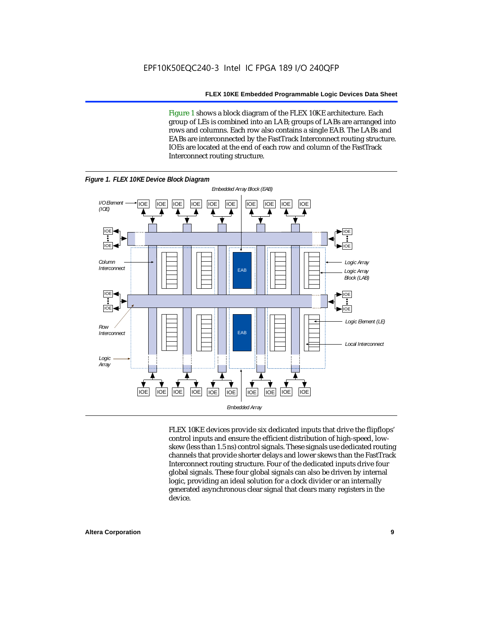Figure 1 shows a block diagram of the FLEX 10KE architecture. Each group of LEs is combined into an LAB; groups of LABs are arranged into rows and columns. Each row also contains a single EAB. The LABs and EABs are interconnected by the FastTrack Interconnect routing structure. IOEs are located at the end of each row and column of the FastTrack Interconnect routing structure.



FLEX 10KE devices provide six dedicated inputs that drive the flipflops' control inputs and ensure the efficient distribution of high-speed, lowskew (less than 1.5 ns) control signals. These signals use dedicated routing channels that provide shorter delays and lower skews than the FastTrack Interconnect routing structure. Four of the dedicated inputs drive four global signals. These four global signals can also be driven by internal logic, providing an ideal solution for a clock divider or an internally generated asynchronous clear signal that clears many registers in the device.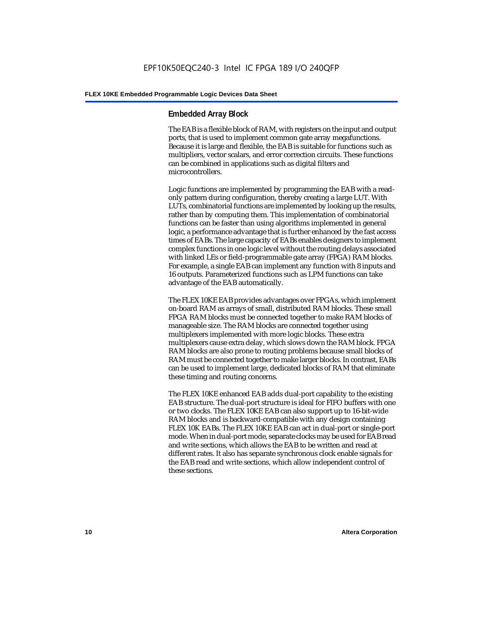#### **Embedded Array Block**

The EAB is a flexible block of RAM, with registers on the input and output ports, that is used to implement common gate array megafunctions. Because it is large and flexible, the EAB is suitable for functions such as multipliers, vector scalars, and error correction circuits. These functions can be combined in applications such as digital filters and microcontrollers.

Logic functions are implemented by programming the EAB with a readonly pattern during configuration, thereby creating a large LUT. With LUTs, combinatorial functions are implemented by looking up the results, rather than by computing them. This implementation of combinatorial functions can be faster than using algorithms implemented in general logic, a performance advantage that is further enhanced by the fast access times of EABs. The large capacity of EABs enables designers to implement complex functions in one logic level without the routing delays associated with linked LEs or field-programmable gate array (FPGA) RAM blocks. For example, a single EAB can implement any function with 8 inputs and 16 outputs. Parameterized functions such as LPM functions can take advantage of the EAB automatically.

The FLEX 10KE EAB provides advantages over FPGAs, which implement on-board RAM as arrays of small, distributed RAM blocks. These small FPGA RAM blocks must be connected together to make RAM blocks of manageable size. The RAM blocks are connected together using multiplexers implemented with more logic blocks. These extra multiplexers cause extra delay, which slows down the RAM block. FPGA RAM blocks are also prone to routing problems because small blocks of RAM must be connected together to make larger blocks. In contrast, EABs can be used to implement large, dedicated blocks of RAM that eliminate these timing and routing concerns.

The FLEX 10KE enhanced EAB adds dual-port capability to the existing EAB structure. The dual-port structure is ideal for FIFO buffers with one or two clocks. The FLEX 10KE EAB can also support up to 16-bit-wide RAM blocks and is backward-compatible with any design containing FLEX 10K EABs. The FLEX 10KE EAB can act in dual-port or single-port mode. When in dual-port mode, separate clocks may be used for EAB read and write sections, which allows the EAB to be written and read at different rates. It also has separate synchronous clock enable signals for the EAB read and write sections, which allow independent control of these sections.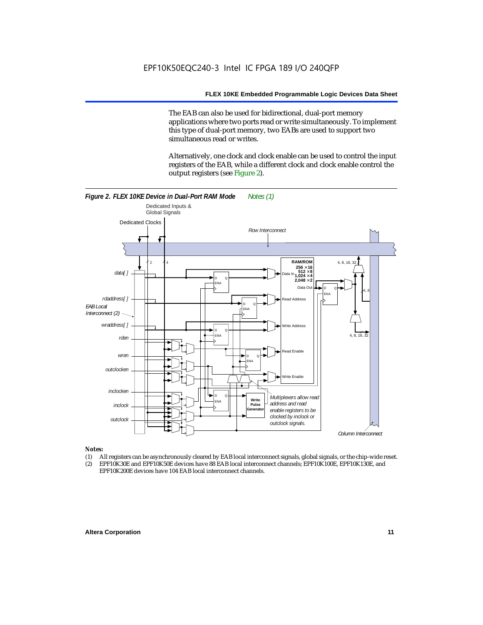The EAB can also be used for bidirectional, dual-port memory applications where two ports read or write simultaneously. To implement this type of dual-port memory, two EABs are used to support two simultaneous read or writes.

Alternatively, one clock and clock enable can be used to control the input registers of the EAB, while a different clock and clock enable control the output registers (see Figure 2).



#### *Notes:*

- (1) All registers can be asynchronously cleared by EAB local interconnect signals, global signals, or the chip-wide reset.
- (2) EPF10K30E and EPF10K50E devices have 88 EAB local interconnect channels; EPF10K100E, EPF10K130E, and EPF10K200E devices have 104 EAB local interconnect channels.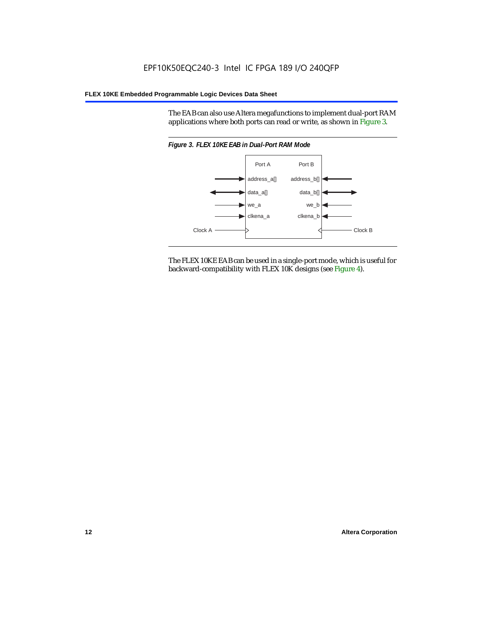The EAB can also use Altera megafunctions to implement dual-port RAM applications where both ports can read or write, as shown in Figure 3.



The FLEX 10KE EAB can be used in a single-port mode, which is useful for backward-compatibility with FLEX 10K designs (see Figure 4).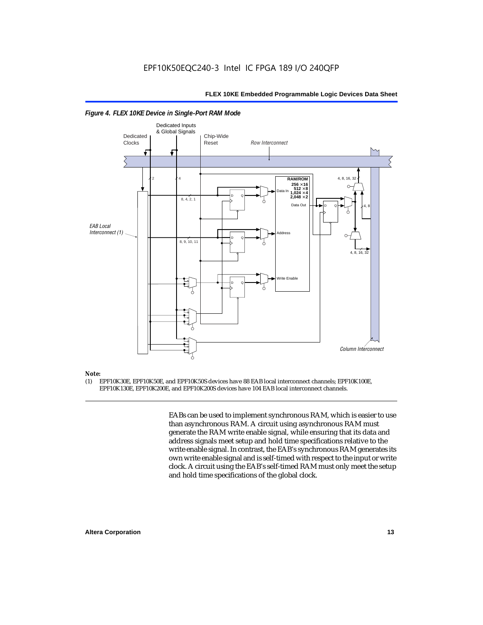

#### *Figure 4. FLEX 10KE Device in Single-Port RAM Mode*

### *Note:*<br>(1) **F**

(1) EPF10K30E, EPF10K50E, and EPF10K50S devices have 88 EAB local interconnect channels; EPF10K100E, EPF10K130E, EPF10K200E, and EPF10K200S devices have 104 EAB local interconnect channels.

> EABs can be used to implement synchronous RAM, which is easier to use than asynchronous RAM. A circuit using asynchronous RAM must generate the RAM write enable signal, while ensuring that its data and address signals meet setup and hold time specifications relative to the write enable signal. In contrast, the EAB's synchronous RAM generates its own write enable signal and is self-timed with respect to the input or write clock. A circuit using the EAB's self-timed RAM must only meet the setup and hold time specifications of the global clock.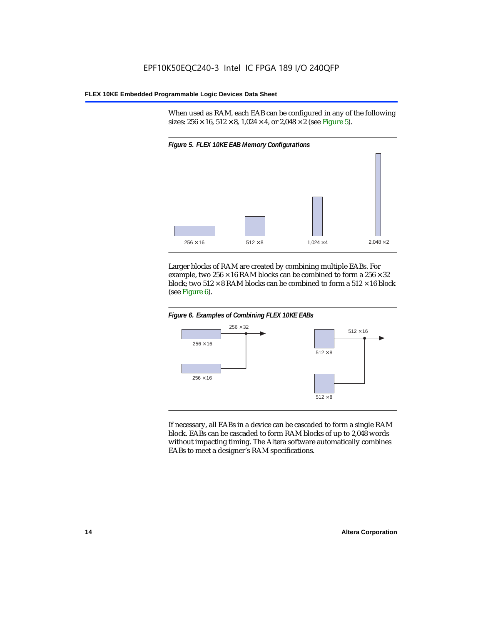When used as RAM, each EAB can be configured in any of the following sizes:  $256 \times 16$ ,  $512 \times 8$ ,  $1,024 \times 4$ , or  $2,048 \times 2$  (see Figure 5).



Larger blocks of RAM are created by combining multiple EABs. For example, two  $256 \times 16$  RAM blocks can be combined to form a  $256 \times 32$ block; two  $512 \times 8$  RAM blocks can be combined to form a  $512 \times 16$  block (see Figure 6).





If necessary, all EABs in a device can be cascaded to form a single RAM block. EABs can be cascaded to form RAM blocks of up to 2,048 words without impacting timing. The Altera software automatically combines EABs to meet a designer's RAM specifications.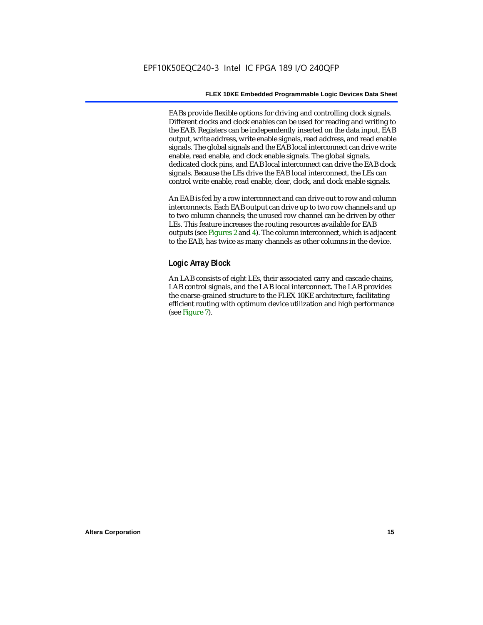EABs provide flexible options for driving and controlling clock signals. Different clocks and clock enables can be used for reading and writing to the EAB. Registers can be independently inserted on the data input, EAB output, write address, write enable signals, read address, and read enable signals. The global signals and the EAB local interconnect can drive write enable, read enable, and clock enable signals. The global signals, dedicated clock pins, and EAB local interconnect can drive the EAB clock signals. Because the LEs drive the EAB local interconnect, the LEs can control write enable, read enable, clear, clock, and clock enable signals.

An EAB is fed by a row interconnect and can drive out to row and column interconnects. Each EAB output can drive up to two row channels and up to two column channels; the unused row channel can be driven by other LEs. This feature increases the routing resources available for EAB outputs (see Figures 2 and 4). The column interconnect, which is adjacent to the EAB, has twice as many channels as other columns in the device.

#### **Logic Array Block**

An LAB consists of eight LEs, their associated carry and cascade chains, LAB control signals, and the LAB local interconnect. The LAB provides the coarse-grained structure to the FLEX 10KE architecture, facilitating efficient routing with optimum device utilization and high performance (see Figure 7).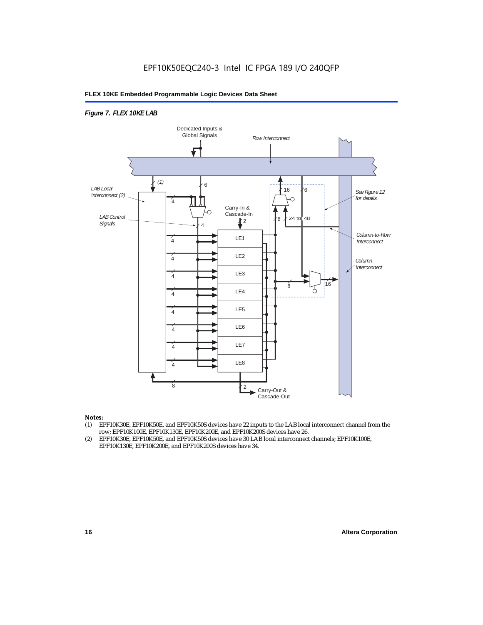#### *Figure 7. FLEX 10KE LAB*



#### *Notes:*

- (1) EPF10K30E, EPF10K50E, and EPF10K50S devices have 22 inputs to the LAB local interconnect channel from the row; EPF10K100E, EPF10K130E, EPF10K200E, and EPF10K200S devices have 26.
- (2) EPF10K30E, EPF10K50E, and EPF10K50S devices have 30 LAB local interconnect channels; EPF10K100E, EPF10K130E, EPF10K200E, and EPF10K200S devices have 34.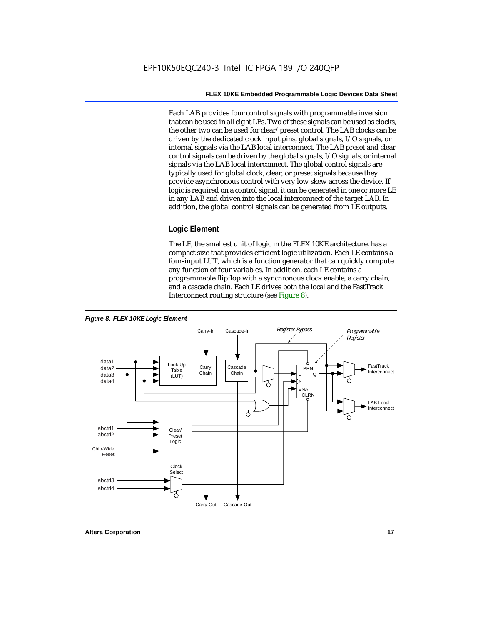Each LAB provides four control signals with programmable inversion that can be used in all eight LEs. Two of these signals can be used as clocks, the other two can be used for clear/preset control. The LAB clocks can be driven by the dedicated clock input pins, global signals, I/O signals, or internal signals via the LAB local interconnect. The LAB preset and clear control signals can be driven by the global signals, I/O signals, or internal signals via the LAB local interconnect. The global control signals are typically used for global clock, clear, or preset signals because they provide asynchronous control with very low skew across the device. If logic is required on a control signal, it can be generated in one or more LE in any LAB and driven into the local interconnect of the target LAB. In addition, the global control signals can be generated from LE outputs.

#### **Logic Element**

The LE, the smallest unit of logic in the FLEX 10KE architecture, has a compact size that provides efficient logic utilization. Each LE contains a four-input LUT, which is a function generator that can quickly compute any function of four variables. In addition, each LE contains a programmable flipflop with a synchronous clock enable, a carry chain, and a cascade chain. Each LE drives both the local and the FastTrack Interconnect routing structure (see Figure 8).

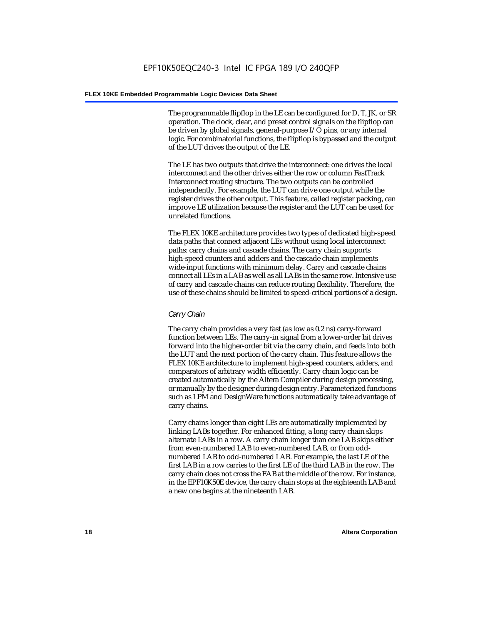The programmable flipflop in the LE can be configured for D, T, JK, or SR operation. The clock, clear, and preset control signals on the flipflop can be driven by global signals, general-purpose I/O pins, or any internal logic. For combinatorial functions, the flipflop is bypassed and the output of the LUT drives the output of the LE.

The LE has two outputs that drive the interconnect: one drives the local interconnect and the other drives either the row or column FastTrack Interconnect routing structure. The two outputs can be controlled independently. For example, the LUT can drive one output while the register drives the other output. This feature, called register packing, can improve LE utilization because the register and the LUT can be used for unrelated functions.

The FLEX 10KE architecture provides two types of dedicated high-speed data paths that connect adjacent LEs without using local interconnect paths: carry chains and cascade chains. The carry chain supports high-speed counters and adders and the cascade chain implements wide-input functions with minimum delay. Carry and cascade chains connect all LEs in a LAB as well as all LABs in the same row. Intensive use of carry and cascade chains can reduce routing flexibility. Therefore, the use of these chains should be limited to speed-critical portions of a design.

#### *Carry Chain*

The carry chain provides a very fast (as low as 0.2 ns) carry-forward function between LEs. The carry-in signal from a lower-order bit drives forward into the higher-order bit via the carry chain, and feeds into both the LUT and the next portion of the carry chain. This feature allows the FLEX 10KE architecture to implement high-speed counters, adders, and comparators of arbitrary width efficiently. Carry chain logic can be created automatically by the Altera Compiler during design processing, or manually by the designer during design entry. Parameterized functions such as LPM and DesignWare functions automatically take advantage of carry chains.

Carry chains longer than eight LEs are automatically implemented by linking LABs together. For enhanced fitting, a long carry chain skips alternate LABs in a row. A carry chain longer than one LAB skips either from even-numbered LAB to even-numbered LAB, or from oddnumbered LAB to odd-numbered LAB. For example, the last LE of the first LAB in a row carries to the first LE of the third LAB in the row. The carry chain does not cross the EAB at the middle of the row. For instance, in the EPF10K50E device, the carry chain stops at the eighteenth LAB and a new one begins at the nineteenth LAB.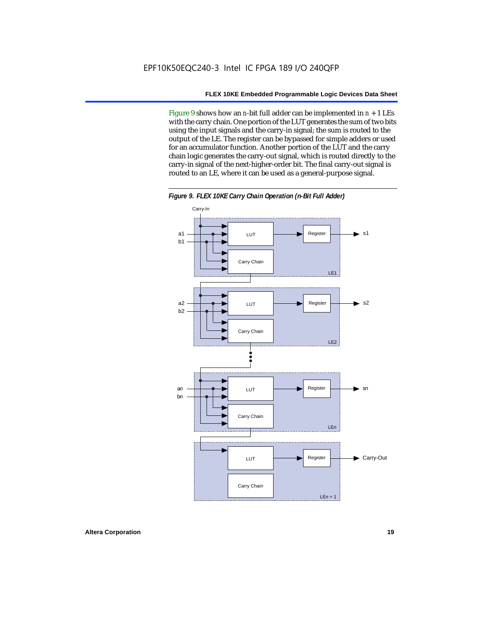Figure 9 shows how an *n*-bit full adder can be implemented in *n* + 1 LEs with the carry chain. One portion of the LUT generates the sum of two bits using the input signals and the carry-in signal; the sum is routed to the output of the LE. The register can be bypassed for simple adders or used for an accumulator function. Another portion of the LUT and the carry chain logic generates the carry-out signal, which is routed directly to the carry-in signal of the next-higher-order bit. The final carry-out signal is routed to an LE, where it can be used as a general-purpose signal.



*Figure 9. FLEX 10KE Carry Chain Operation (n-Bit Full Adder)*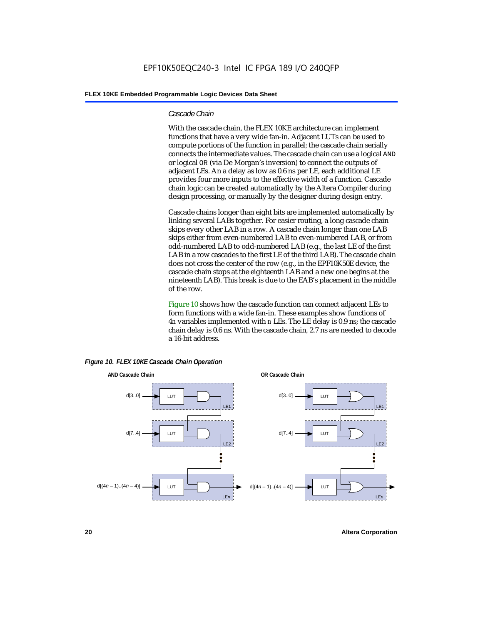#### *Cascade Chain*

With the cascade chain, the FLEX 10KE architecture can implement functions that have a very wide fan-in. Adjacent LUTs can be used to compute portions of the function in parallel; the cascade chain serially connects the intermediate values. The cascade chain can use a logical AND or logical OR (via De Morgan's inversion) to connect the outputs of adjacent LEs. An a delay as low as 0.6 ns per LE, each additional LE provides four more inputs to the effective width of a function. Cascade chain logic can be created automatically by the Altera Compiler during design processing, or manually by the designer during design entry.

Cascade chains longer than eight bits are implemented automatically by linking several LABs together. For easier routing, a long cascade chain skips every other LAB in a row. A cascade chain longer than one LAB skips either from even-numbered LAB to even-numbered LAB, or from odd-numbered LAB to odd-numbered LAB (e.g., the last LE of the first LAB in a row cascades to the first LE of the third LAB). The cascade chain does not cross the center of the row (e.g., in the EPF10K50E device, the cascade chain stops at the eighteenth LAB and a new one begins at the nineteenth LAB). This break is due to the EAB's placement in the middle of the row.

Figure 10 shows how the cascade function can connect adjacent LEs to form functions with a wide fan-in. These examples show functions of 4*n* variables implemented with *n* LEs. The LE delay is 0.9 ns; the cascade chain delay is 0.6 ns. With the cascade chain, 2.7 ns are needed to decode a 16-bit address.



*Figure 10. FLEX 10KE Cascade Chain Operation*

**20 Altera Corporation**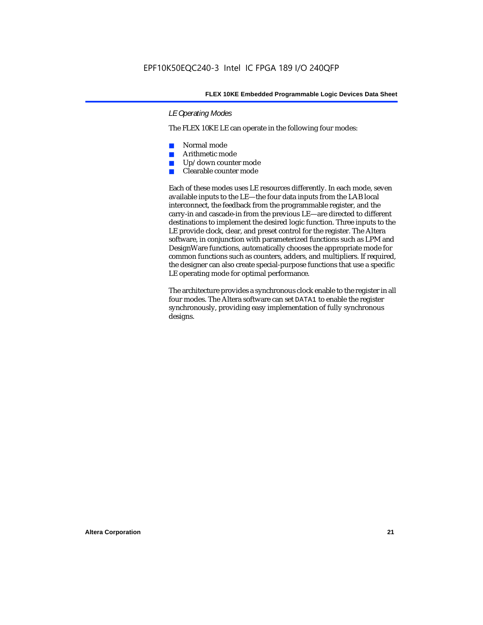#### *LE Operating Modes*

The FLEX 10KE LE can operate in the following four modes:

- Normal mode
- Arithmetic mode
- Up/down counter mode
- Clearable counter mode

Each of these modes uses LE resources differently. In each mode, seven available inputs to the LE—the four data inputs from the LAB local interconnect, the feedback from the programmable register, and the carry-in and cascade-in from the previous LE—are directed to different destinations to implement the desired logic function. Three inputs to the LE provide clock, clear, and preset control for the register. The Altera software, in conjunction with parameterized functions such as LPM and DesignWare functions, automatically chooses the appropriate mode for common functions such as counters, adders, and multipliers. If required, the designer can also create special-purpose functions that use a specific LE operating mode for optimal performance.

The architecture provides a synchronous clock enable to the register in all four modes. The Altera software can set DATA1 to enable the register synchronously, providing easy implementation of fully synchronous designs.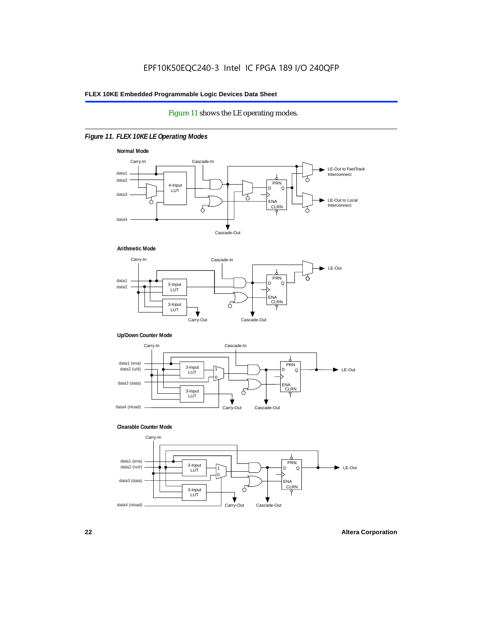#### Figure 11 shows the LE operating modes.

#### *Figure 11. FLEX 10KE LE Operating Modes*









#### **Clearable Counter Mode**

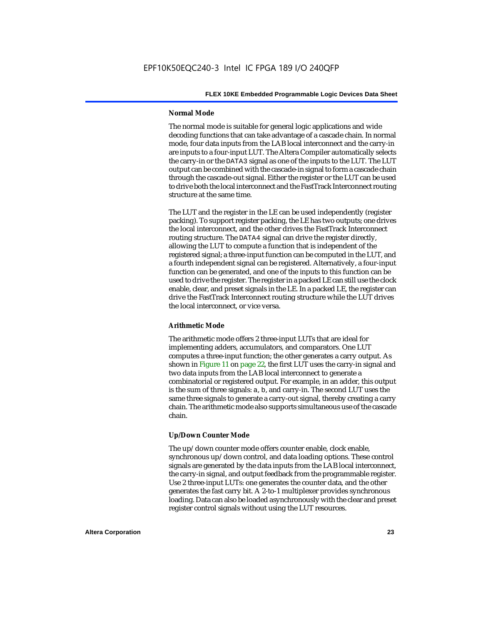#### **Normal Mode**

The normal mode is suitable for general logic applications and wide decoding functions that can take advantage of a cascade chain. In normal mode, four data inputs from the LAB local interconnect and the carry-in are inputs to a four-input LUT. The Altera Compiler automatically selects the carry-in or the DATA3 signal as one of the inputs to the LUT. The LUT output can be combined with the cascade-in signal to form a cascade chain through the cascade-out signal. Either the register or the LUT can be used to drive both the local interconnect and the FastTrack Interconnect routing structure at the same time.

The LUT and the register in the LE can be used independently (register packing). To support register packing, the LE has two outputs; one drives the local interconnect, and the other drives the FastTrack Interconnect routing structure. The DATA4 signal can drive the register directly, allowing the LUT to compute a function that is independent of the registered signal; a three-input function can be computed in the LUT, and a fourth independent signal can be registered. Alternatively, a four-input function can be generated, and one of the inputs to this function can be used to drive the register. The register in a packed LE can still use the clock enable, clear, and preset signals in the LE. In a packed LE, the register can drive the FastTrack Interconnect routing structure while the LUT drives the local interconnect, or vice versa.

#### **Arithmetic Mode**

The arithmetic mode offers 2 three-input LUTs that are ideal for implementing adders, accumulators, and comparators. One LUT computes a three-input function; the other generates a carry output. As shown in Figure 11 on page 22, the first LUT uses the carry-in signal and two data inputs from the LAB local interconnect to generate a combinatorial or registered output. For example, in an adder, this output is the sum of three signals: a, b, and carry-in. The second LUT uses the same three signals to generate a carry-out signal, thereby creating a carry chain. The arithmetic mode also supports simultaneous use of the cascade chain.

#### **Up/Down Counter Mode**

The up/down counter mode offers counter enable, clock enable, synchronous up/down control, and data loading options. These control signals are generated by the data inputs from the LAB local interconnect, the carry-in signal, and output feedback from the programmable register. Use 2 three-input LUTs: one generates the counter data, and the other generates the fast carry bit. A 2-to-1 multiplexer provides synchronous loading. Data can also be loaded asynchronously with the clear and preset register control signals without using the LUT resources.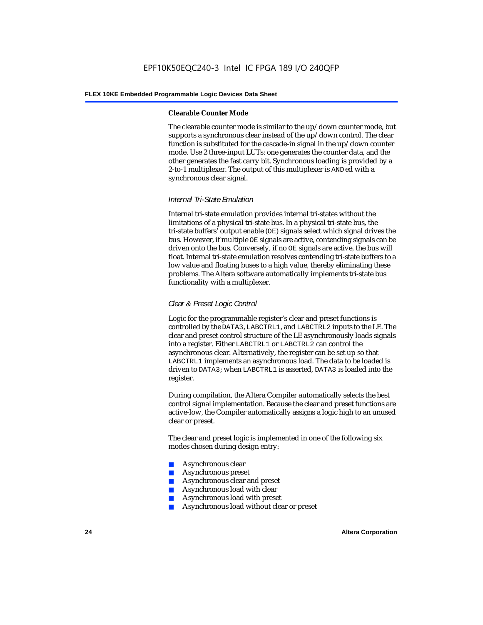#### **Clearable Counter Mode**

The clearable counter mode is similar to the up/down counter mode, but supports a synchronous clear instead of the up/down control. The clear function is substituted for the cascade-in signal in the up/down counter mode. Use 2 three-input LUTs: one generates the counter data, and the other generates the fast carry bit. Synchronous loading is provided by a 2-to-1 multiplexer. The output of this multiplexer is ANDed with a synchronous clear signal.

#### *Internal Tri-State Emulation*

Internal tri-state emulation provides internal tri-states without the limitations of a physical tri-state bus. In a physical tri-state bus, the tri-state buffers' output enable (OE) signals select which signal drives the bus. However, if multiple OE signals are active, contending signals can be driven onto the bus. Conversely, if no OE signals are active, the bus will float. Internal tri-state emulation resolves contending tri-state buffers to a low value and floating buses to a high value, thereby eliminating these problems. The Altera software automatically implements tri-state bus functionality with a multiplexer.

#### *Clear & Preset Logic Control*

Logic for the programmable register's clear and preset functions is controlled by the DATA3, LABCTRL1, and LABCTRL2 inputs to the LE. The clear and preset control structure of the LE asynchronously loads signals into a register. Either LABCTRL1 or LABCTRL2 can control the asynchronous clear. Alternatively, the register can be set up so that LABCTRL1 implements an asynchronous load. The data to be loaded is driven to DATA3; when LABCTRL1 is asserted, DATA3 is loaded into the register.

During compilation, the Altera Compiler automatically selects the best control signal implementation. Because the clear and preset functions are active-low, the Compiler automatically assigns a logic high to an unused clear or preset.

The clear and preset logic is implemented in one of the following six modes chosen during design entry:

- Asynchronous clear
- Asynchronous preset
- Asynchronous clear and preset
- Asynchronous load with clear
- Asynchronous load with preset
- Asynchronous load without clear or preset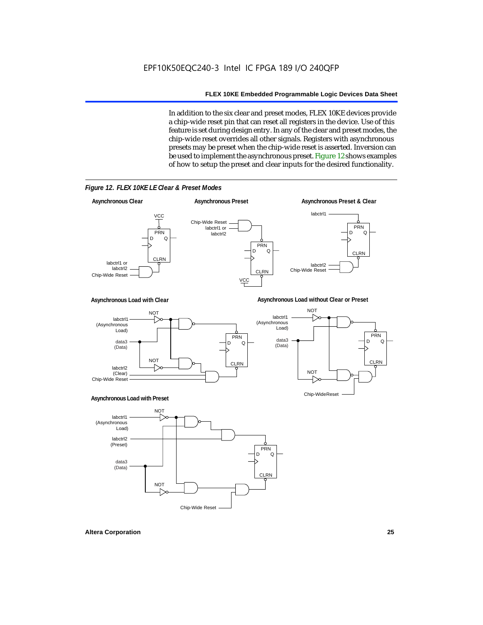In addition to the six clear and preset modes, FLEX 10KE devices provide a chip-wide reset pin that can reset all registers in the device. Use of this feature is set during design entry. In any of the clear and preset modes, the chip-wide reset overrides all other signals. Registers with asynchronous presets may be preset when the chip-wide reset is asserted. Inversion can be used to implement the asynchronous preset. Figure 12 shows examples of how to setup the preset and clear inputs for the desired functionality.



*Figure 12. FLEX 10KE LE Clear & Preset Modes*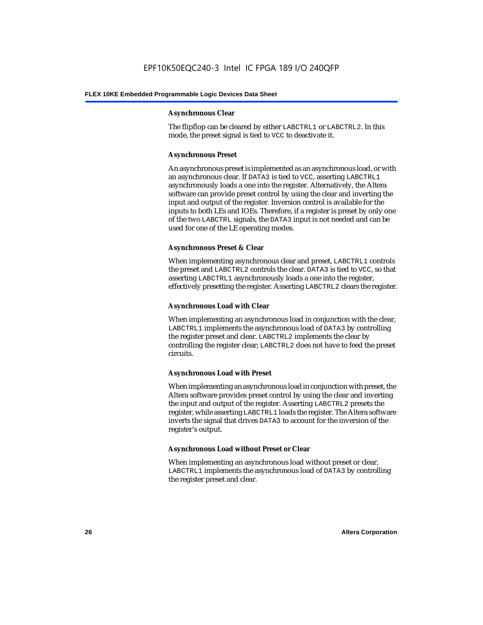#### **Asynchronous Clear**

The flipflop can be cleared by either LABCTRL1 or LABCTRL2. In this mode, the preset signal is tied to VCC to deactivate it.

#### **Asynchronous Preset**

An asynchronous preset is implemented as an asynchronous load, or with an asynchronous clear. If DATA3 is tied to VCC, asserting LABCTRL1 asynchronously loads a one into the register. Alternatively, the Altera software can provide preset control by using the clear and inverting the input and output of the register. Inversion control is available for the inputs to both LEs and IOEs. Therefore, if a register is preset by only one of the two LABCTRL signals, the DATA3 input is not needed and can be used for one of the LE operating modes.

#### **Asynchronous Preset & Clear**

When implementing asynchronous clear and preset, LABCTRL1 controls the preset and LABCTRL2 controls the clear. DATA3 is tied to VCC, so that asserting LABCTRL1 asynchronously loads a one into the register, effectively presetting the register. Asserting LABCTRL2 clears the register.

#### **Asynchronous Load with Clear**

When implementing an asynchronous load in conjunction with the clear, LABCTRL1 implements the asynchronous load of DATA3 by controlling the register preset and clear. LABCTRL2 implements the clear by controlling the register clear; LABCTRL2 does not have to feed the preset circuits.

#### **Asynchronous Load with Preset**

When implementing an asynchronous load in conjunction with preset, the Altera software provides preset control by using the clear and inverting the input and output of the register. Asserting LABCTRL2 presets the register, while asserting LABCTRL1 loads the register. The Altera software inverts the signal that drives DATA3 to account for the inversion of the register's output.

#### **Asynchronous Load without Preset or Clear**

When implementing an asynchronous load without preset or clear, LABCTRL1 implements the asynchronous load of DATA3 by controlling the register preset and clear.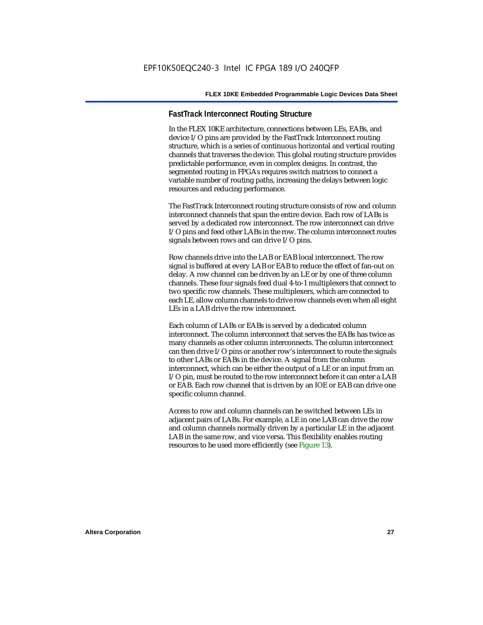#### **FastTrack Interconnect Routing Structure**

In the FLEX 10KE architecture, connections between LEs, EABs, and device I/O pins are provided by the FastTrack Interconnect routing structure, which is a series of continuous horizontal and vertical routing channels that traverses the device. This global routing structure provides predictable performance, even in complex designs. In contrast, the segmented routing in FPGAs requires switch matrices to connect a variable number of routing paths, increasing the delays between logic resources and reducing performance.

The FastTrack Interconnect routing structure consists of row and column interconnect channels that span the entire device. Each row of LABs is served by a dedicated row interconnect. The row interconnect can drive I/O pins and feed other LABs in the row. The column interconnect routes signals between rows and can drive I/O pins.

Row channels drive into the LAB or EAB local interconnect. The row signal is buffered at every LAB or EAB to reduce the effect of fan-out on delay. A row channel can be driven by an LE or by one of three column channels. These four signals feed dual 4-to-1 multiplexers that connect to two specific row channels. These multiplexers, which are connected to each LE, allow column channels to drive row channels even when all eight LEs in a LAB drive the row interconnect.

Each column of LABs or EABs is served by a dedicated column interconnect. The column interconnect that serves the EABs has twice as many channels as other column interconnects. The column interconnect can then drive I/O pins or another row's interconnect to route the signals to other LABs or EABs in the device. A signal from the column interconnect, which can be either the output of a LE or an input from an I/O pin, must be routed to the row interconnect before it can enter a LAB or EAB. Each row channel that is driven by an IOE or EAB can drive one specific column channel.

Access to row and column channels can be switched between LEs in adjacent pairs of LABs. For example, a LE in one LAB can drive the row and column channels normally driven by a particular LE in the adjacent LAB in the same row, and vice versa. This flexibility enables routing resources to be used more efficiently (see Figure 13).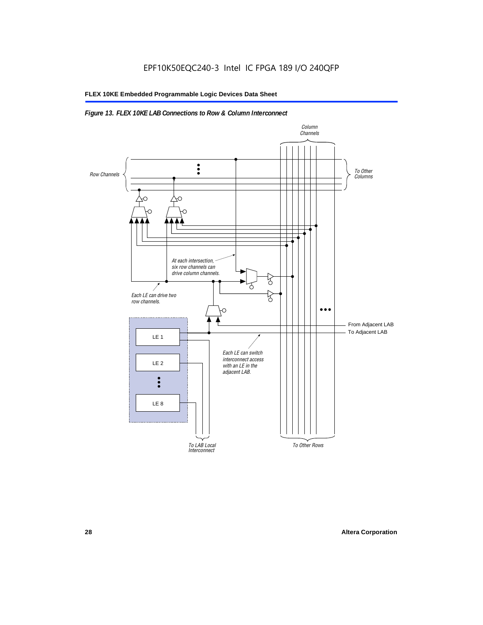#### *Figure 13. FLEX 10KE LAB Connections to Row & Column Interconnect*

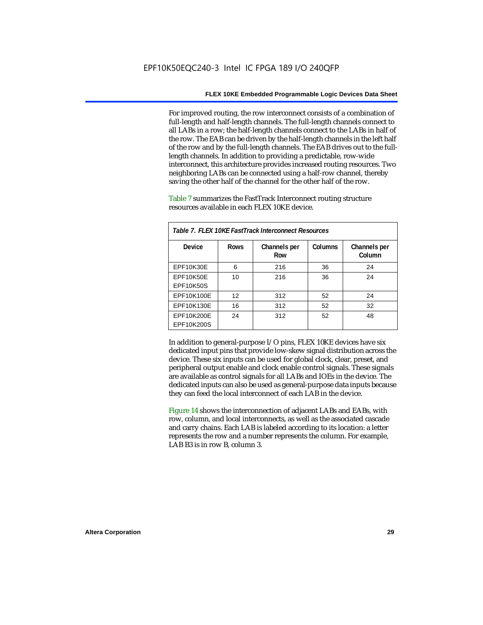For improved routing, the row interconnect consists of a combination of full-length and half-length channels. The full-length channels connect to all LABs in a row; the half-length channels connect to the LABs in half of the row. The EAB can be driven by the half-length channels in the left half of the row and by the full-length channels. The EAB drives out to the fulllength channels. In addition to providing a predictable, row-wide interconnect, this architecture provides increased routing resources. Two neighboring LABs can be connected using a half-row channel, thereby saving the other half of the channel for the other half of the row.

Table 7 summarizes the FastTrack Interconnect routing structure resources available in each FLEX 10KE device.

| Table 7. FLEX 10KE FastTrack Interconnect Resources |             |                     |         |                        |
|-----------------------------------------------------|-------------|---------------------|---------|------------------------|
| Device                                              | <b>Rows</b> | Channels per<br>Row | Columns | Channels per<br>Column |
| <b>EPF10K30E</b>                                    | 6           | 216                 | 36      | 24                     |
| EPF10K50E<br>EPF10K50S                              | 10          | 216                 | 36      | 24                     |
| EPF10K100E                                          | 12          | 312                 | 52      | 24                     |
| EPF10K130E                                          | 16          | 312                 | 52      | 32                     |
| EPF10K200E<br>EPF10K200S                            | 24          | 312                 | 52      | 48                     |

In addition to general-purpose I/O pins, FLEX 10KE devices have six dedicated input pins that provide low-skew signal distribution across the device. These six inputs can be used for global clock, clear, preset, and peripheral output enable and clock enable control signals. These signals are available as control signals for all LABs and IOEs in the device. The dedicated inputs can also be used as general-purpose data inputs because they can feed the local interconnect of each LAB in the device.

Figure 14 shows the interconnection of adjacent LABs and EABs, with row, column, and local interconnects, as well as the associated cascade and carry chains. Each LAB is labeled according to its location: a letter represents the row and a number represents the column. For example, LAB B3 is in row B, column 3.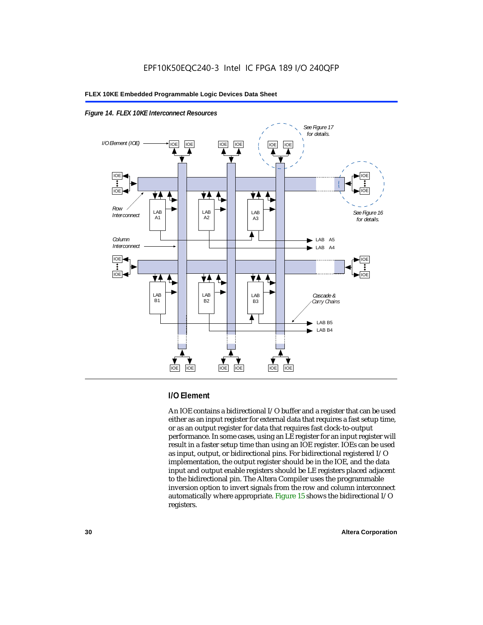



#### **I/O Element**

An IOE contains a bidirectional I/O buffer and a register that can be used either as an input register for external data that requires a fast setup time, or as an output register for data that requires fast clock-to-output performance. In some cases, using an LE register for an input register will result in a faster setup time than using an IOE register. IOEs can be used as input, output, or bidirectional pins. For bidirectional registered I/O implementation, the output register should be in the IOE, and the data input and output enable registers should be LE registers placed adjacent to the bidirectional pin. The Altera Compiler uses the programmable inversion option to invert signals from the row and column interconnect automatically where appropriate. Figure 15 shows the bidirectional I/O registers.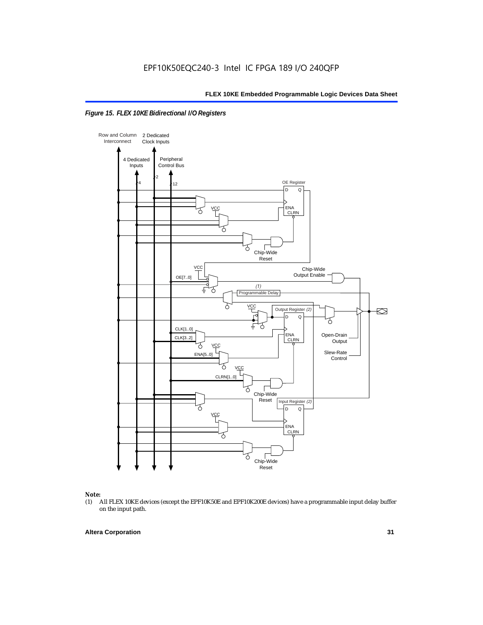



### *Note:*<br>(1) *A*

(1) All FLEX 10KE devices (except the EPF10K50E and EPF10K200E devices) have a programmable input delay buffer on the input path.

#### **Altera Corporation 31**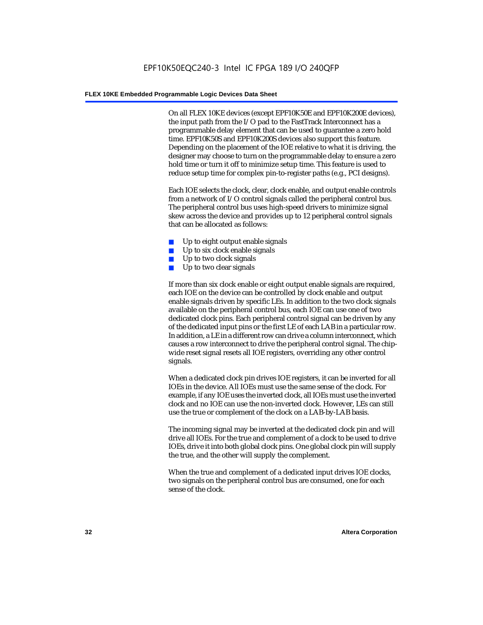On all FLEX 10KE devices (except EPF10K50E and EPF10K200E devices), the input path from the I/O pad to the FastTrack Interconnect has a programmable delay element that can be used to guarantee a zero hold time. EPF10K50S and EPF10K200S devices also support this feature. Depending on the placement of the IOE relative to what it is driving, the designer may choose to turn on the programmable delay to ensure a zero hold time or turn it off to minimize setup time. This feature is used to reduce setup time for complex pin-to-register paths (e.g., PCI designs).

Each IOE selects the clock, clear, clock enable, and output enable controls from a network of I/O control signals called the peripheral control bus. The peripheral control bus uses high-speed drivers to minimize signal skew across the device and provides up to 12 peripheral control signals that can be allocated as follows:

- Up to eight output enable signals
- Up to six clock enable signals
- Up to two clock signals
- Up to two clear signals

If more than six clock enable or eight output enable signals are required, each IOE on the device can be controlled by clock enable and output enable signals driven by specific LEs. In addition to the two clock signals available on the peripheral control bus, each IOE can use one of two dedicated clock pins. Each peripheral control signal can be driven by any of the dedicated input pins or the first LE of each LAB in a particular row. In addition, a LE in a different row can drive a column interconnect, which causes a row interconnect to drive the peripheral control signal. The chipwide reset signal resets all IOE registers, overriding any other control signals.

When a dedicated clock pin drives IOE registers, it can be inverted for all IOEs in the device. All IOEs must use the same sense of the clock. For example, if any IOE uses the inverted clock, all IOEs must use the inverted clock and no IOE can use the non-inverted clock. However, LEs can still use the true or complement of the clock on a LAB-by-LAB basis.

The incoming signal may be inverted at the dedicated clock pin and will drive all IOEs. For the true and complement of a clock to be used to drive IOEs, drive it into both global clock pins. One global clock pin will supply the true, and the other will supply the complement.

When the true and complement of a dedicated input drives IOE clocks, two signals on the peripheral control bus are consumed, one for each sense of the clock.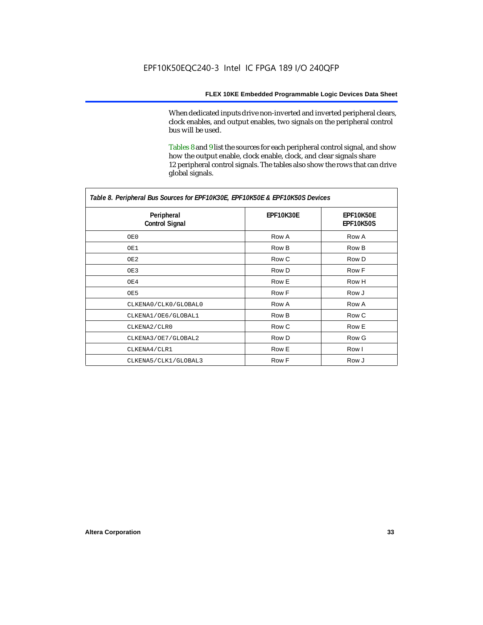When dedicated inputs drive non-inverted and inverted peripheral clears, clock enables, and output enables, two signals on the peripheral control bus will be used.

Tables 8 and 9 list the sources for each peripheral control signal, and show how the output enable, clock enable, clock, and clear signals share 12 peripheral control signals. The tables also show the rows that can drive global signals.

| Table 8. Peripheral Bus Sources for EPF10K30E, EPF10K50E & EPF10K50S Devices |                  |                        |  |  |
|------------------------------------------------------------------------------|------------------|------------------------|--|--|
| Peripheral<br><b>Control Signal</b>                                          | <b>EPF10K30E</b> | EPF10K50E<br>EPF10K50S |  |  |
| OE0                                                                          | Row A            | Row A                  |  |  |
| OE1                                                                          | Row B            | Row B                  |  |  |
| OE2                                                                          | Row C            | Row D                  |  |  |
| OE3                                                                          | Row D            | Row F                  |  |  |
| OE4                                                                          | Row E            | Row H                  |  |  |
| OE5                                                                          | Row F            | Row J                  |  |  |
| CLKENA0/CLK0/GLOBAL0                                                         | Row A            | Row A                  |  |  |
| CLKENA1/OE6/GLOBAL1                                                          | Row B            | Row C                  |  |  |
| CLKENA2/CLR0                                                                 | Row C            | Row E                  |  |  |
| CLKENA3/OE7/GLOBAL2                                                          | Row D            | Row G                  |  |  |
| CLKENA4/CLR1                                                                 | Row E            | Row I                  |  |  |
| CLKENA5/CLK1/GLOBAL3                                                         | Row F            | Row J                  |  |  |

*Table 8. Peripheral Bus Sources for EPF10K30E, EPF10K50E & EPF10K50S Devices*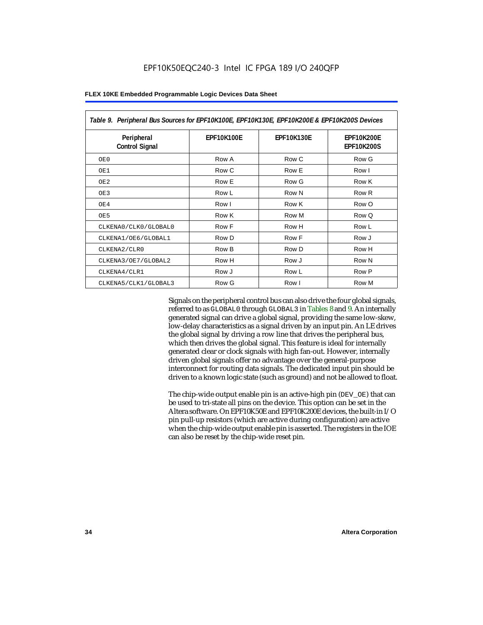| Table 9. Peripheral Bus Sources for EPF10K100E, EPF10K130E, EPF10K200E & EPF10K200S Devices |                   |                   |                                        |  |
|---------------------------------------------------------------------------------------------|-------------------|-------------------|----------------------------------------|--|
| Peripheral<br><b>Control Signal</b>                                                         | <b>EPF10K100E</b> | <b>EPF10K130E</b> | <b>EPF10K200E</b><br><b>EPF10K200S</b> |  |
| OE0                                                                                         | Row A             | Row C             | Row G                                  |  |
| OE1                                                                                         | Row C             | Row E             | Row I                                  |  |
| OE <sub>2</sub>                                                                             | Row E             | Row G             | Row K                                  |  |
| OE3                                                                                         | Row L             | Row N             | Row <sub>R</sub>                       |  |
| OE4                                                                                         | Row I             | Row K             | Row O                                  |  |
| OE5                                                                                         | Row K             | Row M             | Row Q                                  |  |
| CLKENA0/CLK0/GLOBAL0                                                                        | Row F             | Row H             | Row L                                  |  |
| CLKENA1/OE6/GLOBAL1                                                                         | Row D             | Row F             | Row J                                  |  |
| CLKENA2/CLR0                                                                                | Row B             | Row D             | Row H                                  |  |
| CLKENA3/OE7/GLOBAL2                                                                         | Row H             | Row J             | Row N                                  |  |
| CLKENA4/CLR1                                                                                | Row J             | Row L             | Row P                                  |  |
| CLKENA5/CLK1/GLOBAL3                                                                        | Row G             | Row I             | Row M                                  |  |

Signals on the peripheral control bus can also drive the four global signals, referred to as GLOBAL0 through GLOBAL3 in Tables 8 and 9. An internally generated signal can drive a global signal, providing the same low-skew, low-delay characteristics as a signal driven by an input pin. An LE drives the global signal by driving a row line that drives the peripheral bus, which then drives the global signal. This feature is ideal for internally generated clear or clock signals with high fan-out. However, internally driven global signals offer no advantage over the general-purpose interconnect for routing data signals. The dedicated input pin should be driven to a known logic state (such as ground) and not be allowed to float.

The chip-wide output enable pin is an active-high pin (DEV\_OE) that can be used to tri-state all pins on the device. This option can be set in the Altera software. On EPF10K50E and EPF10K200E devices, the built-in I/O pin pull-up resistors (which are active during configuration) are active when the chip-wide output enable pin is asserted. The registers in the IOE can also be reset by the chip-wide reset pin.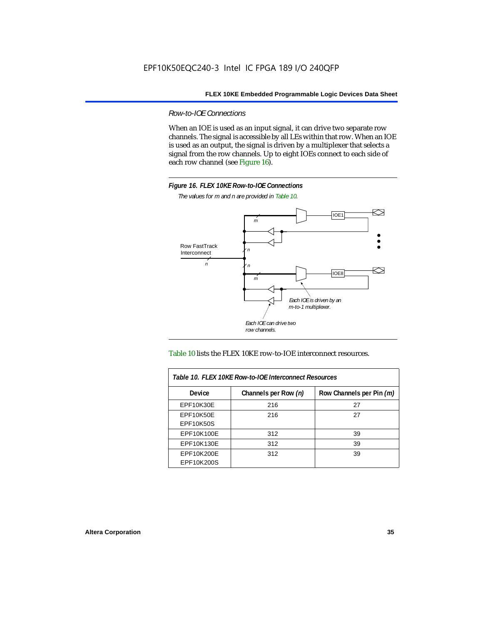*Row-to-IOE Connections*

When an IOE is used as an input signal, it can drive two separate row channels. The signal is accessible by all LEs within that row. When an IOE is used as an output, the signal is driven by a multiplexer that selects a signal from the row channels. Up to eight IOEs connect to each side of each row channel (see Figure 16).



*The values for m and n are provided in Table 10.*





| Table 10. FLEX 10KE Row-to-IOE Interconnect Resources |                      |                          |  |  |
|-------------------------------------------------------|----------------------|--------------------------|--|--|
| <b>Device</b>                                         | Channels per Row (n) | Row Channels per Pin (m) |  |  |
| <b>EPF10K30E</b>                                      | 216                  | 27                       |  |  |
| EPF10K50E                                             | 216                  | 27                       |  |  |
| <b>EPF10K50S</b>                                      |                      |                          |  |  |
| EPF10K100E                                            | 312                  | 39                       |  |  |
| EPF10K130E                                            | 312                  | 39                       |  |  |
| EPF10K200E<br>EPF10K200S                              | 312                  | 39                       |  |  |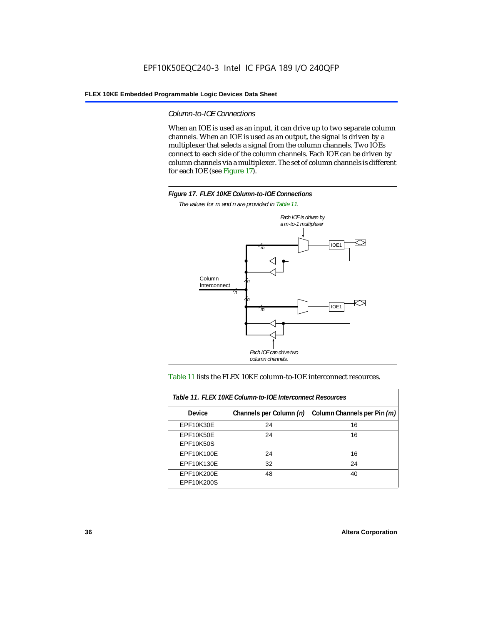*Column-to-IOE Connections*

When an IOE is used as an input, it can drive up to two separate column channels. When an IOE is used as an output, the signal is driven by a multiplexer that selects a signal from the column channels. Two IOEs connect to each side of the column channels. Each IOE can be driven by column channels via a multiplexer. The set of column channels is different for each IOE (see Figure 17).



*The values for m and n are provided in Table 11.*



#### Table 11 lists the FLEX 10KE column-to-IOE interconnect resources.

| Table 11. FLEX 10KE Column-to-IOE Interconnect Resources |                         |                             |  |  |  |
|----------------------------------------------------------|-------------------------|-----------------------------|--|--|--|
| <b>Device</b>                                            | Channels per Column (n) | Column Channels per Pin (m) |  |  |  |
| EPF10K30E                                                | 24                      | 16                          |  |  |  |
| EPF10K50E<br><b>EPF10K50S</b>                            | 24                      | 16                          |  |  |  |
| EPF10K100E                                               | 24                      | 16                          |  |  |  |
| EPF10K130E                                               | 32                      | 24                          |  |  |  |
| EPF10K200E<br>EPF10K200S                                 | 48                      | 40                          |  |  |  |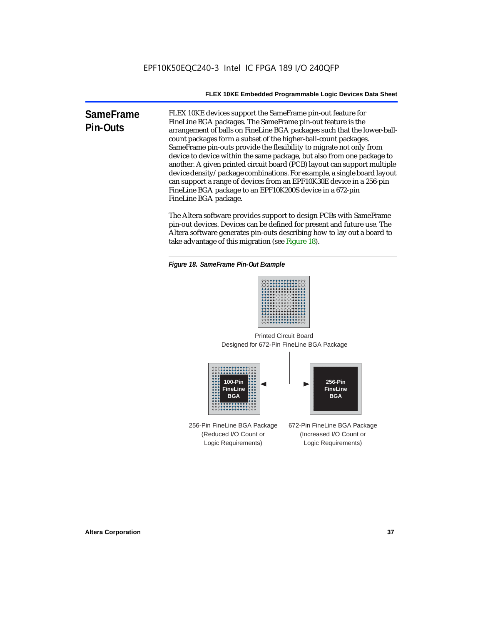**SameFrame Pin-Outs** FLEX 10KE devices support the SameFrame pin-out feature for FineLine BGA packages. The SameFrame pin-out feature is the arrangement of balls on FineLine BGA packages such that the lower-ballcount packages form a subset of the higher-ball-count packages. SameFrame pin-outs provide the flexibility to migrate not only from device to device within the same package, but also from one package to another. A given printed circuit board (PCB) layout can support multiple device density/package combinations. For example, a single board layout can support a range of devices from an EPF10K30E device in a 256-pin FineLine BGA package to an EPF10K200S device in a 672-pin FineLine BGA package.

> The Altera software provides support to design PCBs with SameFrame pin-out devices. Devices can be defined for present and future use. The Altera software generates pin-outs describing how to lay out a board to take advantage of this migration (see Figure 18).





Designed for 672-Pin FineLine BGA Package Printed Circuit Board



256-Pin FineLine BGA Package (Reduced I/O Count or Logic Requirements) 672-Pin FineLine BGA Package (Increased I/O Count or Logic Requirements)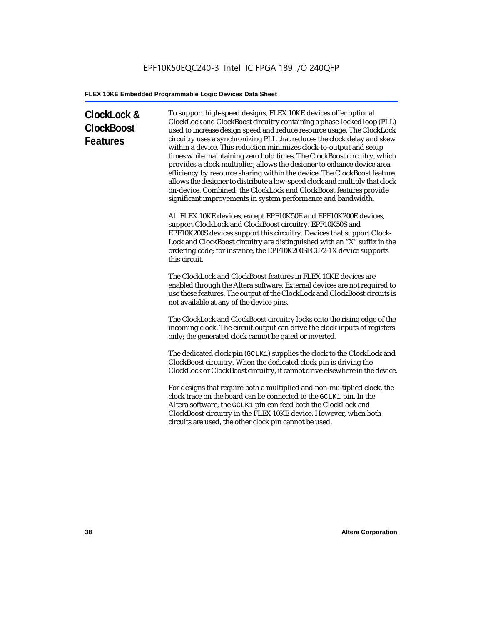# **ClockLock & ClockBoost Features**

To support high-speed designs, FLEX 10KE devices offer optional ClockLock and ClockBoost circuitry containing a phase-locked loop (PLL) used to increase design speed and reduce resource usage. The ClockLock circuitry uses a synchronizing PLL that reduces the clock delay and skew within a device. This reduction minimizes clock-to-output and setup times while maintaining zero hold times. The ClockBoost circuitry, which provides a clock multiplier, allows the designer to enhance device area efficiency by resource sharing within the device. The ClockBoost feature allows the designer to distribute a low-speed clock and multiply that clock on-device. Combined, the ClockLock and ClockBoost features provide significant improvements in system performance and bandwidth.

All FLEX 10KE devices, except EPF10K50E and EPF10K200E devices, support ClockLock and ClockBoost circuitry. EPF10K50S and EPF10K200S devices support this circuitry. Devices that support Clock-Lock and ClockBoost circuitry are distinguished with an "X" suffix in the ordering code; for instance, the EPF10K200SFC672-1X device supports this circuit.

The ClockLock and ClockBoost features in FLEX 10KE devices are enabled through the Altera software. External devices are not required to use these features. The output of the ClockLock and ClockBoost circuits is not available at any of the device pins.

The ClockLock and ClockBoost circuitry locks onto the rising edge of the incoming clock. The circuit output can drive the clock inputs of registers only; the generated clock cannot be gated or inverted.

The dedicated clock pin (GCLK1) supplies the clock to the ClockLock and ClockBoost circuitry. When the dedicated clock pin is driving the ClockLock or ClockBoost circuitry, it cannot drive elsewhere in the device.

For designs that require both a multiplied and non-multiplied clock, the clock trace on the board can be connected to the GCLK1 pin. In the Altera software, the GCLK1 pin can feed both the ClockLock and ClockBoost circuitry in the FLEX 10KE device. However, when both circuits are used, the other clock pin cannot be used.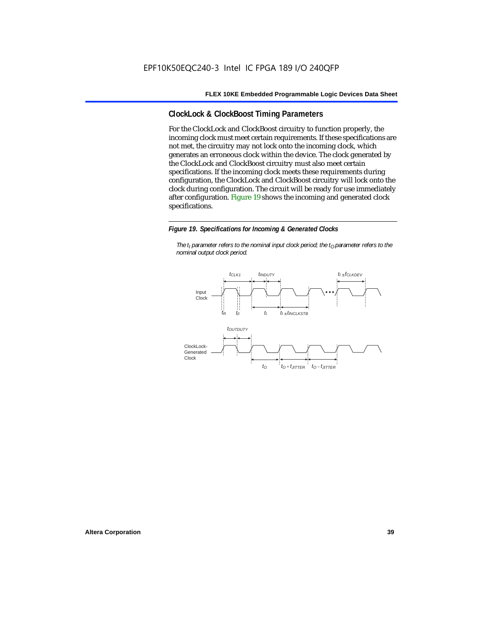## **ClockLock & ClockBoost Timing Parameters**

For the ClockLock and ClockBoost circuitry to function properly, the incoming clock must meet certain requirements. If these specifications are not met, the circuitry may not lock onto the incoming clock, which generates an erroneous clock within the device. The clock generated by the ClockLock and ClockBoost circuitry must also meet certain specifications. If the incoming clock meets these requirements during configuration, the ClockLock and ClockBoost circuitry will lock onto the clock during configuration. The circuit will be ready for use immediately after configuration. Figure 19 shows the incoming and generated clock specifications.

#### *Figure 19. Specifications for Incoming & Generated Clocks*

*The t<sub>I</sub> parameter refers to the nominal input clock period; the t<sub>0</sub> parameter refers to the nominal output clock period.*

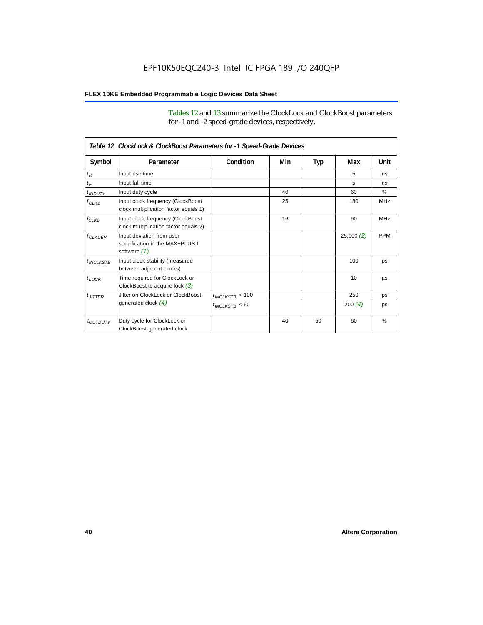Tables 12 and 13 summarize the ClockLock and ClockBoost parameters for -1 and -2 speed-grade devices, respectively.

| Table 12. ClockLock & ClockBoost Parameters for -1 Speed-Grade Devices |                                                                               |                      |     |     |           |               |
|------------------------------------------------------------------------|-------------------------------------------------------------------------------|----------------------|-----|-----|-----------|---------------|
| Symbol                                                                 | Parameter                                                                     | Condition            | Min | Typ | Max       | Unit          |
| $t_R$                                                                  | Input rise time                                                               |                      |     |     | 5         | ns            |
| $t_F$                                                                  | Input fall time                                                               |                      |     |     | 5         | ns            |
| $t$ <sub>INDUTY</sub>                                                  | Input duty cycle                                                              |                      | 40  |     | 60        | $\%$          |
| $f_{CLK1}$                                                             | Input clock frequency (ClockBoost<br>clock multiplication factor equals 1)    |                      | 25  |     | 180       | <b>MHz</b>    |
| $f_{CLK2}$                                                             | Input clock frequency (ClockBoost<br>clock multiplication factor equals 2)    |                      | 16  |     | 90        | <b>MHz</b>    |
| $f_{CLKDEV}$                                                           | Input deviation from user<br>specification in the MAX+PLUS II<br>software (1) |                      |     |     | 25,000(2) | <b>PPM</b>    |
| $t_{INCLKSTB}$                                                         | Input clock stability (measured<br>between adjacent clocks)                   |                      |     |     | 100       | ps            |
| $t_{\text{LOCK}}$                                                      | Time required for ClockLock or<br>ClockBoost to acquire lock $(3)$            |                      |     |     | 10        | μs            |
| $t_{JITTER}$                                                           | Jitter on ClockLock or ClockBoost-                                            | $t_{INCLKSTB} < 100$ |     |     | 250       | ps            |
|                                                                        | generated clock $(4)$                                                         | $t_{INCLKSTB}$ < 50  |     |     | 200 $(4)$ | ps            |
| <i>toutbuty</i>                                                        | Duty cycle for ClockLock or<br>ClockBoost-generated clock                     |                      | 40  | 50  | 60        | $\frac{9}{6}$ |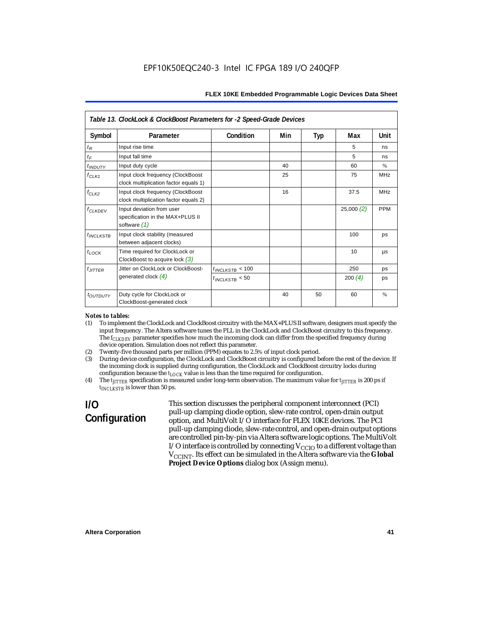|                       | Table 13. ClockLock & ClockBoost Parameters for -2 Speed-Grade Devices        |                      |     |            |           |            |  |
|-----------------------|-------------------------------------------------------------------------------|----------------------|-----|------------|-----------|------------|--|
| Symbol                | Parameter                                                                     | Condition            | Min | <b>Typ</b> | Max       | Unit       |  |
| $t_R$                 | Input rise time                                                               |                      |     |            | 5         | ns         |  |
| $t_{\digamma}$        | Input fall time                                                               |                      |     |            | 5         | ns         |  |
| $t$ <sub>INDUTY</sub> | Input duty cycle                                                              |                      | 40  |            | 60        | $\%$       |  |
| $f_{CLK1}$            | Input clock frequency (ClockBoost<br>clock multiplication factor equals 1)    |                      | 25  |            | 75        | <b>MHz</b> |  |
| $f_{CLK2}$            | Input clock frequency (ClockBoost<br>clock multiplication factor equals 2)    |                      | 16  |            | 37.5      | <b>MHz</b> |  |
| $f_{CLKDEV}$          | Input deviation from user<br>specification in the MAX+PLUS II<br>software (1) |                      |     |            | 25,000(2) | <b>PPM</b> |  |
| $t_{INCLKSTB}$        | Input clock stability (measured<br>between adjacent clocks)                   |                      |     |            | 100       | ps         |  |
| $t_{LOCK}$            | Time required for ClockLock or<br>ClockBoost to acquire lock $(3)$            |                      |     |            | 10        | μs         |  |
| $t_{JITTER}$          | Jitter on ClockLock or ClockBoost-                                            | $t_{INCLKSTB}$ < 100 |     |            | 250       | ps         |  |
|                       | generated clock $(4)$                                                         | $t_{INCIKSTB}$ < 50  |     |            | 200 $(4)$ | ps         |  |
| toutputy              | Duty cycle for ClockLock or<br>ClockBoost-generated clock                     |                      | 40  | 50         | 60        | $\%$       |  |

#### *Notes to tables:*

- (1) To implement the ClockLock and ClockBoost circuitry with the MAX+PLUS II software, designers must specify the input frequency. The Altera software tunes the PLL in the ClockLock and ClockBoost circuitry to this frequency. The *f<sub>CLKDEV</sub>* parameter specifies how much the incoming clock can differ from the specified frequency during device operation. Simulation does not reflect this parameter.
- (2) Twenty-five thousand parts per million (PPM) equates to 2.5% of input clock period.<br>(3) During device configuration, the ClockLock and ClockBoost circuitry is configured b
- (3) During device configuration, the ClockLock and ClockBoost circuitry is configured before the rest of the device. If the incoming clock is supplied during configuration, the ClockLock and ClockBoost circuitry locks during configuration because the  $t_{LOCK}$  value is less than the time required for configuration.
- (4) The *tJITTER* specification is measured under long-term observation. The maximum value for *tJITTER* is 200 ps if  $t_{INCI KSTB}$  is lower than 50 ps.

# **I/O Configuration**

This section discusses the peripheral component interconnect (PCI) pull-up clamping diode option, slew-rate control, open-drain output option, and MultiVolt I/O interface for FLEX 10KE devices. The PCI pull-up clamping diode, slew-rate control, and open-drain output options are controlled pin-by-pin via Altera software logic options. The MultiVolt I/O interface is controlled by connecting  $V_{CCIO}$  to a different voltage than V<sub>CCINT</sub>. Its effect can be simulated in the Altera software via the Global **Project Device Options** dialog box (Assign menu).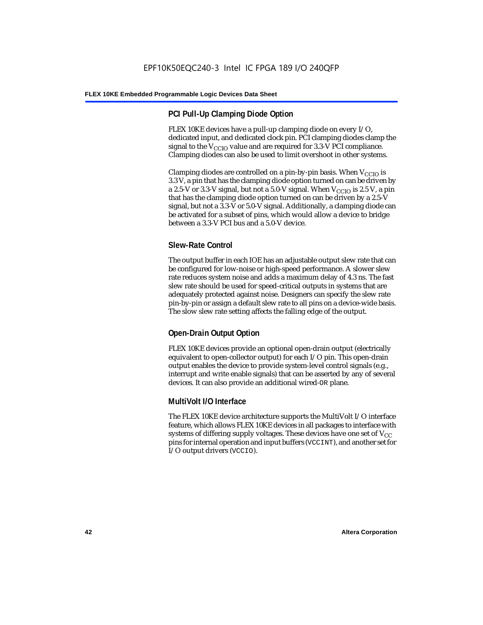## **PCI Pull-Up Clamping Diode Option**

FLEX 10KE devices have a pull-up clamping diode on every I/O, dedicated input, and dedicated clock pin. PCI clamping diodes clamp the signal to the  $V_{\text{CCIO}}$  value and are required for 3.3-V PCI compliance. Clamping diodes can also be used to limit overshoot in other systems.

Clamping diodes are controlled on a pin-by-pin basis. When  $V_{\text{CCIO}}$  is 3.3 V, a pin that has the clamping diode option turned on can be driven by a 2.5-V or 3.3-V signal, but not a 5.0-V signal. When  $V_{CCIO}$  is 2.5 V, a pin that has the clamping diode option turned on can be driven by a 2.5-V signal, but not a 3.3-V or 5.0-V signal. Additionally, a clamping diode can be activated for a subset of pins, which would allow a device to bridge between a 3.3-V PCI bus and a 5.0-V device.

## **Slew-Rate Control**

The output buffer in each IOE has an adjustable output slew rate that can be configured for low-noise or high-speed performance. A slower slew rate reduces system noise and adds a maximum delay of 4.3 ns. The fast slew rate should be used for speed-critical outputs in systems that are adequately protected against noise. Designers can specify the slew rate pin-by-pin or assign a default slew rate to all pins on a device-wide basis. The slow slew rate setting affects the falling edge of the output.

## **Open-Drain Output Option**

FLEX 10KE devices provide an optional open-drain output (electrically equivalent to open-collector output) for each I/O pin. This open-drain output enables the device to provide system-level control signals (e.g., interrupt and write enable signals) that can be asserted by any of several devices. It can also provide an additional wired-OR plane.

## **MultiVolt I/O Interface**

The FLEX 10KE device architecture supports the MultiVolt I/O interface feature, which allows FLEX 10KE devices in all packages to interface with systems of differing supply voltages. These devices have one set of  $V_{CC}$ pins for internal operation and input buffers (VCCINT), and another set for I/O output drivers (VCCIO).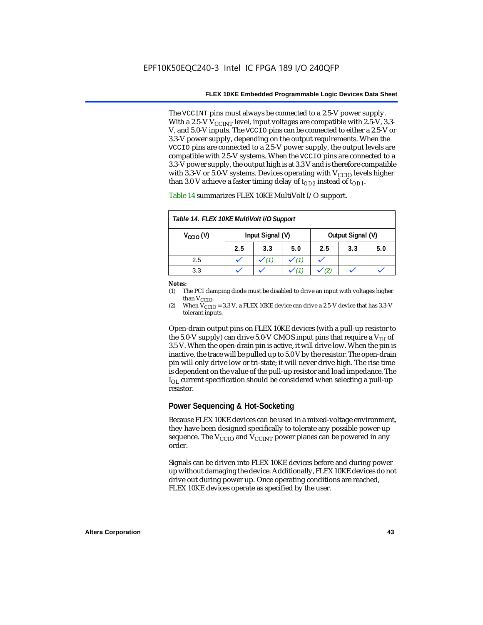The VCCINT pins must always be connected to a 2.5-V power supply. With a 2.5-V  $V_{CCMT}$  level, input voltages are compatible with 2.5-V, 3.3-V, and 5.0-V inputs. The VCCIO pins can be connected to either a 2.5-V or 3.3-V power supply, depending on the output requirements. When the VCCIO pins are connected to a 2.5-V power supply, the output levels are compatible with 2.5-V systems. When the VCCIO pins are connected to a 3.3-V power supply, the output high is at 3.3 V and is therefore compatible with 3.3-V or 5.0-V systems. Devices operating with  $V_{CCIO}$  levels higher than 3.0 V achieve a faster timing delay of  $t_{OD2}$  instead of  $t_{OD1}$ .

| Table 14. FLEX 10KE MultiVolt I/O Support |                  |     |     |                   |     |     |
|-------------------------------------------|------------------|-----|-----|-------------------|-----|-----|
| $V_{\text{CCIO}}(V)$                      | Input Signal (V) |     |     | Output Signal (V) |     |     |
|                                           | 2.5              | 3.3 | 5.0 | 2.5               | 3.3 | 5.0 |
| 2.5                                       |                  |     |     |                   |     |     |
| 3.3                                       |                  |     |     |                   |     |     |

Table 14 summarizes FLEX 10KE MultiVolt I/O support.

#### *Notes:*

(1) The PCI clamping diode must be disabled to drive an input with voltages higher than  $V_{CCIO}$ .

(2) When  $V_{\text{CCIO}} = 3.3$  V, a FLEX 10KE device can drive a 2.5-V device that has 3.3-V tolerant inputs.

Open-drain output pins on FLEX 10KE devices (with a pull-up resistor to the 5.0-V supply) can drive 5.0-V CMOS input pins that require a  $V_{\text{H}}$  of 3.5 V. When the open-drain pin is active, it will drive low. When the pin is inactive, the trace will be pulled up to 5.0 V by the resistor. The open-drain pin will only drive low or tri-state; it will never drive high. The rise time is dependent on the value of the pull-up resistor and load impedance. The  $I_{\text{OL}}$  current specification should be considered when selecting a pull-up resistor.

### **Power Sequencing & Hot-Socketing**

Because FLEX 10KE devices can be used in a mixed-voltage environment, they have been designed specifically to tolerate any possible power-up sequence. The  $V_{\text{CCIO}}$  and  $V_{\text{CCINT}}$  power planes can be powered in any order.

Signals can be driven into FLEX 10KE devices before and during power up without damaging the device. Additionally, FLEX 10KE devices do not drive out during power up. Once operating conditions are reached, FLEX 10KE devices operate as specified by the user.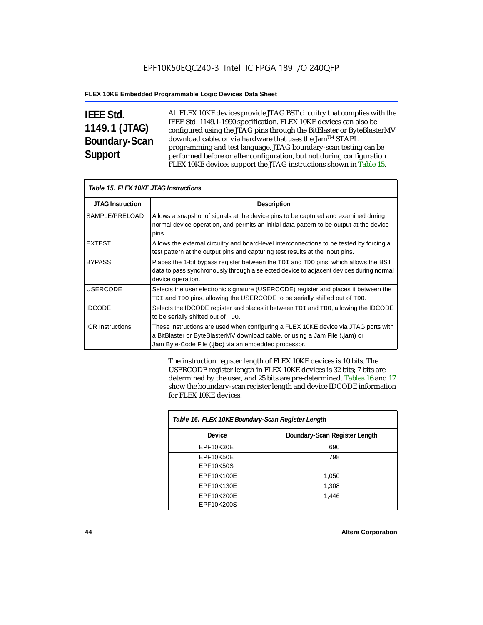# **IEEE Std. 1149.1 (JTAG) Boundary-Scan Support**

All FLEX 10KE devices provide JTAG BST circuitry that complies with the IEEE Std. 1149.1-1990 specification. FLEX 10KE devices can also be configured using the JTAG pins through the BitBlaster or ByteBlasterMV download cable, or via hardware that uses the Jam™ STAPL programming and test language. JTAG boundary-scan testing can be performed before or after configuration, but not during configuration. FLEX 10KE devices support the JTAG instructions shown in Table 15.

| Table 15. FLEX 10KE JTAG Instructions |                                                                                                                                                                                                                            |  |  |  |
|---------------------------------------|----------------------------------------------------------------------------------------------------------------------------------------------------------------------------------------------------------------------------|--|--|--|
| <b>JTAG Instruction</b>               | <b>Description</b>                                                                                                                                                                                                         |  |  |  |
| SAMPLE/PRELOAD                        | Allows a snapshot of signals at the device pins to be captured and examined during<br>normal device operation, and permits an initial data pattern to be output at the device<br>pins.                                     |  |  |  |
| <b>EXTEST</b>                         | Allows the external circuitry and board-level interconnections to be tested by forcing a<br>test pattern at the output pins and capturing test results at the input pins.                                                  |  |  |  |
| <b>BYPASS</b>                         | Places the 1-bit bypass register between the TDI and TDO pins, which allows the BST<br>data to pass synchronously through a selected device to adjacent devices during normal<br>device operation.                         |  |  |  |
| <b>USERCODE</b>                       | Selects the user electronic signature (USERCODE) register and places it between the<br>TDI and TDO pins, allowing the USERCODE to be serially shifted out of TDO.                                                          |  |  |  |
| <b>IDCODE</b>                         | Selects the IDCODE register and places it between TDI and TDO, allowing the IDCODE<br>to be serially shifted out of TDO.                                                                                                   |  |  |  |
| <b>ICR Instructions</b>               | These instructions are used when configuring a FLEX 10KE device via JTAG ports with<br>a BitBlaster or ByteBlasterMV download cable, or using a Jam File (.jam) or<br>Jam Byte-Code File (.jbc) via an embedded processor. |  |  |  |

The instruction register length of FLEX 10KE devices is 10 bits. The USERCODE register length in FLEX 10KE devices is 32 bits; 7 bits are determined by the user, and 25 bits are pre-determined. Tables 16 and 17 show the boundary-scan register length and device IDCODE information for FLEX 10KE devices.

| Table 16. FLEX 10KE Boundary-Scan Register Length |                               |  |  |
|---------------------------------------------------|-------------------------------|--|--|
| Device                                            | Boundary-Scan Register Length |  |  |
| EPF10K30E                                         | 690                           |  |  |
| EPF10K50E                                         | 798                           |  |  |
| <b>EPF10K50S</b>                                  |                               |  |  |
| EPF10K100E                                        | 1,050                         |  |  |
| EPF10K130E                                        | 1,308                         |  |  |
| EPF10K200E                                        | 1.446                         |  |  |
| EPF10K200S                                        |                               |  |  |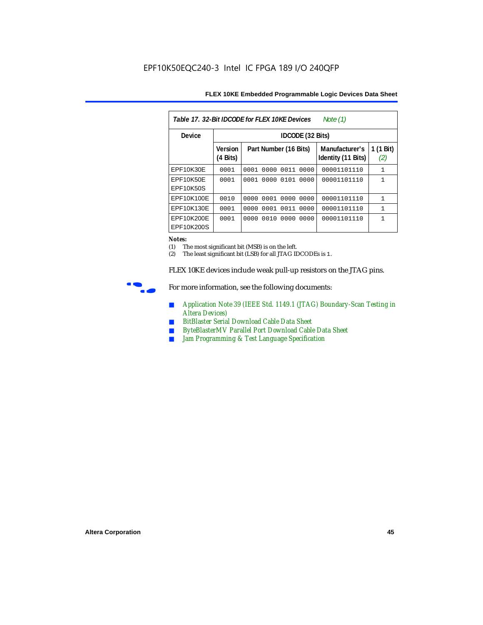| Table 17, 32-Bit IDCODE for FLEX 10KE Devices<br>Note $(1)$ |                            |                              |                                      |                  |  |  |  |
|-------------------------------------------------------------|----------------------------|------------------------------|--------------------------------------|------------------|--|--|--|
| <b>Device</b>                                               |                            | IDCODE (32 Bits)             |                                      |                  |  |  |  |
|                                                             | <b>Version</b><br>(4 Bits) | Part Number (16 Bits)        | Manufacturer's<br>Identity (11 Bits) | 1 (1 Bit)<br>(2) |  |  |  |
| EPF10K30E                                                   | 0001                       | 0000<br>0011<br>0001<br>0000 | 00001101110                          | $\mathbf{1}$     |  |  |  |
| <b>EPF10K50E</b><br>EPF10K50S                               | 0001                       | 0000<br>0101<br>0001<br>0000 | 00001101110                          | 1                |  |  |  |
| EPF10K100E                                                  | 0010                       | 0000 0001 0000<br>0000       | 00001101110                          | $\mathbf{1}$     |  |  |  |
| EPF10K130E                                                  | 0001                       | 0011<br>0001<br>0000<br>0000 | 00001101110                          | 1                |  |  |  |
| EPF10K200E<br>EPF10K200S                                    | 0001                       | 0010<br>0000<br>0000<br>0000 | 00001101110                          | 1                |  |  |  |

#### *Notes:*

(1) The most significant bit (MSB) is on the left.

(2) The least significant bit (LSB) for all JTAG IDCODEs is 1.

FLEX 10KE devices include weak pull-up resistors on the JTAG pins.



For more information, see the following documents:

- *Application Note 39 (IEEE Std. 1149.1 (JTAG) Boundary-Scan Testing in Altera Devices)*
- *BitBlaster Serial Download Cable Data Sheet*
- *ByteBlasterMV Parallel Port Download Cable Data Sheet*
- *Jam Programming & Test Language Specification*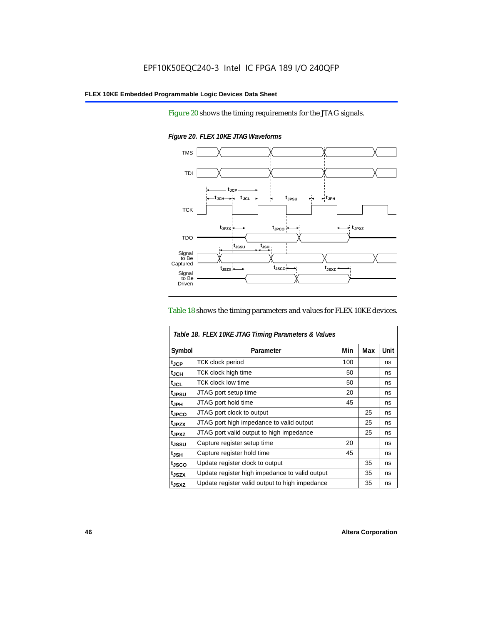Figure 20 shows the timing requirements for the JTAG signals.



*Figure 20. FLEX 10KE JTAG Waveforms*

#### Table 18 shows the timing parameters and values for FLEX 10KE devices.

| Table 18. FLEX 10KE JTAG Timing Parameters & Values |                                                |     |     |             |  |
|-----------------------------------------------------|------------------------------------------------|-----|-----|-------------|--|
| Symbol                                              | Parameter                                      | Min | Max | <b>Unit</b> |  |
| t <sub>JCP</sub>                                    | <b>TCK clock period</b>                        | 100 |     | ns          |  |
| t <sub>JCH</sub>                                    | TCK clock high time                            | 50  |     | ns          |  |
| $t_{\sf JCL}$                                       | TCK clock low time                             | 50  |     | ns          |  |
| tjpsu                                               | JTAG port setup time                           | 20  |     | ns          |  |
| t <sub>JPH</sub>                                    | JTAG port hold time                            | 45  |     | ns          |  |
| tjpco                                               | JTAG port clock to output                      |     | 25  | ns          |  |
| t <sub>JPZX</sub>                                   | JTAG port high impedance to valid output       |     | 25  | ns          |  |
| t <sub>JPXZ</sub>                                   | JTAG port valid output to high impedance       |     | 25  | ns          |  |
| tjssu                                               | Capture register setup time                    | 20  |     | ns          |  |
| $t_{\mathsf{JSH}}$                                  | Capture register hold time                     | 45  |     | ns          |  |
| tjsco                                               | Update register clock to output                |     | 35  | ns          |  |
| t <sub>JSZX</sub>                                   | Update register high impedance to valid output |     | 35  | ns          |  |
| t <sub>JSXZ</sub>                                   | Update register valid output to high impedance |     | 35  | ns          |  |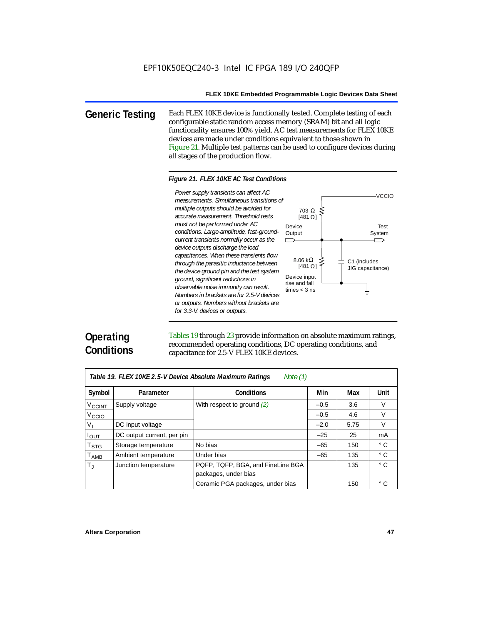**Generic Testing** Each FLEX 10KE device is functionally tested. Complete testing of each configurable static random access memory (SRAM) bit and all logic functionality ensures 100% yield. AC test measurements for FLEX 10KE devices are made under conditions equivalent to those shown in Figure 21. Multiple test patterns can be used to configure devices during all stages of the production flow.

#### *Figure 21. FLEX 10KE AC Test Conditions*

*measurements. Simultaneous transitions of multiple outputs should be avoided for accurate measurement. Threshold tests must not be performed under AC conditions. Large-amplitude, fast-groundcurrent transients normally occur as the device outputs discharge the load capacitances. When these transients flow through the parasitic inductance between the device ground pin and the test system ground, significant reductions in observable noise immunity can result. Numbers in brackets are for 2.5-V devices or outputs. Numbers without brackets are for 3.3-V. devices or outputs.*



# **Operating Conditions**

Tables 19 through 23 provide information on absolute maximum ratings, recommended operating conditions, DC operating conditions, and capacitance for 2.5-V FLEX 10KE devices.

| Table 19. FLEX 10KE 2.5-V Device Absolute Maximum Ratings<br>Note $(1)$ |                            |                                   |        |      |              |  |
|-------------------------------------------------------------------------|----------------------------|-----------------------------------|--------|------|--------------|--|
| Symbol                                                                  | Parameter                  | <b>Conditions</b>                 | Min    | Max  | <b>Unit</b>  |  |
| V <sub>CCINT</sub>                                                      | Supply voltage             | With respect to ground $(2)$      | $-0.5$ | 3.6  | $\vee$       |  |
| V <sub>CCIO</sub>                                                       |                            |                                   | $-0.5$ | 4.6  | V            |  |
| $V_{\parallel}$                                                         | DC input voltage           |                                   | $-2.0$ | 5.75 | $\vee$       |  |
| $I_{OUT}$                                                               | DC output current, per pin |                                   | $-25$  | 25   | mA           |  |
| $\mathsf{T}_{\textsf{STG}}$                                             | Storage temperature        | No bias                           | $-65$  | 150  | $^{\circ}$ C |  |
| $T_{AMB}$                                                               | Ambient temperature        | Under bias                        | $-65$  | 135  | $^{\circ}$ C |  |
| $T_{\rm J}$                                                             | Junction temperature       | PQFP, TQFP, BGA, and FineLine BGA |        | 135  | $^{\circ}$ C |  |
|                                                                         |                            | packages, under bias              |        |      |              |  |
|                                                                         |                            | Ceramic PGA packages, under bias  |        | 150  | $^{\circ}$ C |  |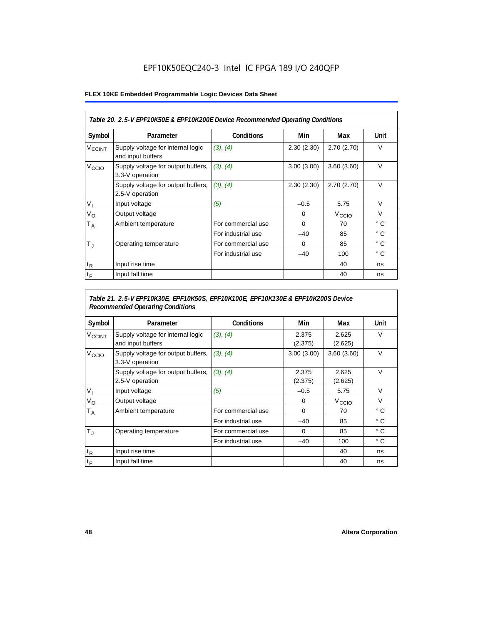## EPF10K50EQC240-3 Intel IC FPGA 189 I/O 240QFP

### **FLEX 10KE Embedded Programmable Logic Devices Data Sheet**

|                          | Table 20. 2.5-V EPF10K50E & EPF10K200E Device Recommended Operating Conditions |                    |            |                   |              |  |  |
|--------------------------|--------------------------------------------------------------------------------|--------------------|------------|-------------------|--------------|--|--|
| Symbol                   | Parameter                                                                      | <b>Conditions</b>  | Min        | Max               | <b>Unit</b>  |  |  |
| <b>V<sub>CCINT</sub></b> | Supply voltage for internal logic<br>and input buffers                         | (3), (4)           | 2.30(2.30) | 2.70(2.70)        | $\vee$       |  |  |
| V <sub>CCIO</sub>        | Supply voltage for output buffers,<br>3.3-V operation                          | (3), (4)           | 3.00(3.00) | 3.60(3.60)        | $\vee$       |  |  |
|                          | Supply voltage for output buffers,<br>2.5-V operation                          | (3), (4)           | 2.30(2.30) | 2.70(2.70)        | $\vee$       |  |  |
| $V_{1}$                  | Input voltage                                                                  | (5)                | $-0.5$     | 5.75              | $\vee$       |  |  |
| $V_{\rm O}$              | Output voltage                                                                 |                    | 0          | V <sub>ccio</sub> | V            |  |  |
| Т <sub>А</sub>           | Ambient temperature                                                            | For commercial use | $\Omega$   | 70                | $^{\circ}$ C |  |  |
|                          |                                                                                | For industrial use | $-40$      | 85                | $^{\circ}$ C |  |  |
| $T_{\rm J}$              | Operating temperature                                                          | For commercial use | $\Omega$   | 85                | $^{\circ}$ C |  |  |
|                          |                                                                                | For industrial use | $-40$      | 100               | $^{\circ}$ C |  |  |
| $t_{R}$                  | Input rise time                                                                |                    |            | 40                | ns           |  |  |
| $t_F$                    | Input fall time                                                                |                    |            | 40                | ns           |  |  |

## *Table 21. 2.5-V EPF10K30E, EPF10K50S, EPF10K100E, EPF10K130E & EPF10K200S Device Recommended Operating Conditions*

| Symbol                   | Parameter                                              | <b>Conditions</b>  | Min              | Max               | Unit         |
|--------------------------|--------------------------------------------------------|--------------------|------------------|-------------------|--------------|
| <b>V<sub>CCINT</sub></b> | Supply voltage for internal logic<br>and input buffers | (3), (4)           | 2.375<br>(2.375) | 2.625<br>(2.625)  | $\vee$       |
| V <sub>CCIO</sub>        | Supply voltage for output buffers,<br>3.3-V operation  | (3), (4)           | 3.00(3.00)       | 3.60(3.60)        | $\vee$       |
|                          | Supply voltage for output buffers,<br>2.5-V operation  | (3), (4)           | 2.375<br>(2.375) | 2.625<br>(2.625)  | $\vee$       |
| $V_{1}$                  | Input voltage                                          | (5)                | $-0.5$           | 5.75              | $\vee$       |
| $V_{\rm O}$              | Output voltage                                         |                    | 0                | V <sub>CCIO</sub> | $\vee$       |
| $T_A$                    | Ambient temperature                                    | For commercial use | 0                | 70                | ° C          |
|                          |                                                        | For industrial use | $-40$            | 85                | $^{\circ}$ C |
| $T_{\rm J}$              | Operating temperature                                  | For commercial use | $\mathbf 0$      | 85                | °C           |
|                          |                                                        | For industrial use | $-40$            | 100               | $^{\circ}$ C |
| $t_{R}$                  | Input rise time                                        |                    |                  | 40                | ns           |
| $t_F$                    | Input fall time                                        |                    |                  | 40                | ns           |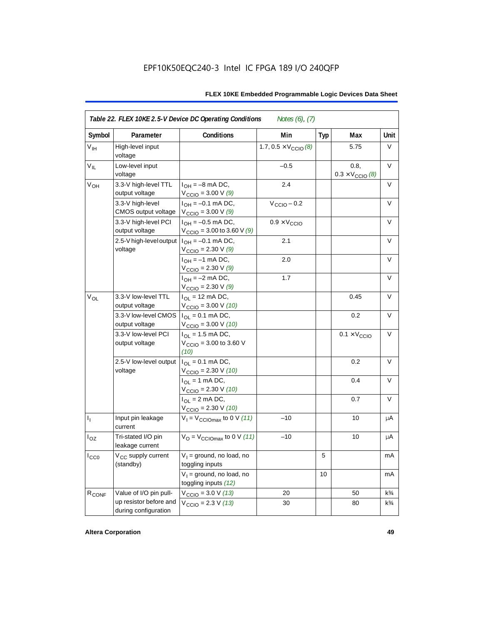| Symbol            | Parameter                                      | Conditions                                                                      | Min                                   | <b>Typ</b> | Max                                      | Unit           |
|-------------------|------------------------------------------------|---------------------------------------------------------------------------------|---------------------------------------|------------|------------------------------------------|----------------|
|                   |                                                |                                                                                 |                                       |            |                                          |                |
| V <sub>IH</sub>   | High-level input<br>voltage                    |                                                                                 | 1.7, $0.5 \times V_{\text{CCIO}}$ (8) |            | 5.75                                     | V              |
| $V_{IL}$          | Low-level input<br>voltage                     |                                                                                 | $-0.5$                                |            | 0.8.<br>$0.3 \times V_{\text{CCIO}}$ (8) | V              |
| ۷он               | 3.3-V high-level TTL<br>output voltage         | $I_{OH} = -8$ mA DC,<br>$V_{\text{CCIO}} = 3.00 V(9)$                           | 2.4                                   |            |                                          | V              |
|                   | 3.3-V high-level<br>CMOS output voltage        | $I_{OH} = -0.1$ mA DC,<br>$V_{\text{CCIO}} = 3.00 V(9)$                         | $V_{\text{CCIO}} - 0.2$               |            |                                          | V              |
|                   | 3.3-V high-level PCI<br>output voltage         | $I_{OH} = -0.5$ mA DC,<br>$V_{\text{CCIO}} = 3.00$ to 3.60 V (9)                | $0.9 \times V_{\text{CCIO}}$          |            |                                          | $\vee$         |
|                   | 2.5-V high-level output<br>voltage             | $I_{OH} = -0.1$ mA DC,<br>$V_{\text{CCIO}} = 2.30 \text{ V} (9)$                | 2.1                                   |            |                                          | $\vee$         |
|                   |                                                | $I_{OH} = -1$ mA DC,<br>$V_{\text{CCIO}} = 2.30 \text{ V } (9)$                 | 2.0                                   |            |                                          | V              |
|                   |                                                | $I_{OH} = -2$ mA DC,<br>$V_{\text{CCIO}} = 2.30 V (9)$                          | 1.7                                   |            |                                          | V              |
| $V_{OL}$          | 3.3-V low-level TTL<br>output voltage          | $I_{OL}$ = 12 mA DC,<br>$V_{\text{CCIO}} = 3.00 \text{ V} (10)$                 |                                       |            | 0.45                                     | $\vee$         |
|                   | 3.3-V low-level CMOS<br>output voltage         | $I_{\text{OI}} = 0.1 \text{ mA} \text{ DC},$<br>$V_{\text{CCIO}} = 3.00 V (10)$ |                                       |            | 0.2                                      | V              |
|                   | 3.3-V low-level PCI<br>output voltage          | $I_{\Omega}$ = 1.5 mA DC,<br>$V_{\text{CCIO}} = 3.00$ to 3.60 V<br>(10)         |                                       |            | $0.1 \times V_{\text{CCIO}}$             | V              |
|                   | 2.5-V low-level output<br>voltage              | $I_{OL} = 0.1$ mA DC,<br>$V_{\text{CCIO}} = 2.30 V (10)$                        |                                       |            | 0.2                                      | $\vee$         |
|                   |                                                | $I_{OL}$ = 1 mA DC,<br>$V_{\text{CCIO}} = 2.30 V (10)$                          |                                       |            | 0.4                                      | V              |
|                   |                                                | $I_{\text{OI}} = 2 \text{ mA DC}$ ,<br>$V_{\text{CCIO}} = 2.30 V (10)$          |                                       |            | 0.7                                      | V              |
| $I_1$             | Input pin leakage<br>current                   | $V_1 = V_{\text{CCIOMax}}$ to 0 V (11)                                          | $-10$                                 |            | 10                                       | μA             |
| $I_{OZ}$          | Tri-stated I/O pin<br>leakage current          | $V_{\text{O}} = V_{\text{CCIOMax}}$ to 0 V (11)                                 | $-10$                                 |            | 10                                       | μA             |
| ICCO              | V <sub>CC</sub> supply current<br>(standby)    | $V_1$ = ground, no load, no<br>toggling inputs                                  |                                       | 5          |                                          | mA             |
|                   |                                                | $V_1$ = ground, no load, no<br>toggling inputs (12)                             |                                       | 10         |                                          | mA             |
| R <sub>CONF</sub> | Value of I/O pin pull-                         | $V_{\text{CCIO}} = 3.0 V (13)$                                                  | 20                                    |            | 50                                       | $k\frac{3}{4}$ |
|                   | up resistor before and<br>during configuration | $V_{\text{CCIO}} = 2.3 \text{ V} (13)$                                          | 30                                    |            | 80                                       | $k\frac{3}{4}$ |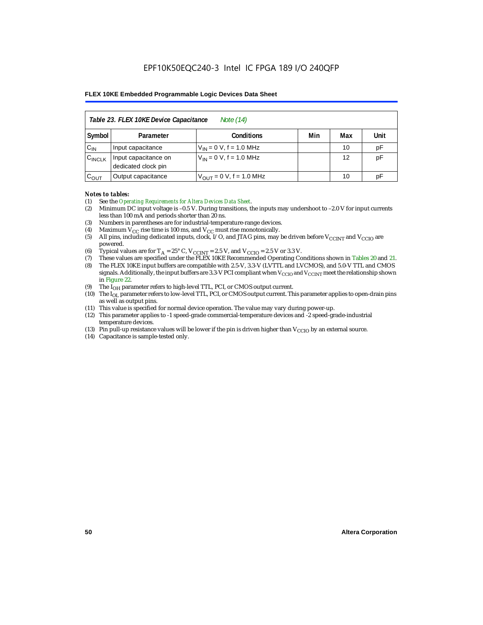|                    | Table 23. FLEX 10KE Device Capacitance<br>Note (14) |                              |     |     |      |  |
|--------------------|-----------------------------------------------------|------------------------------|-----|-----|------|--|
| Symbol             | Parameter                                           | <b>Conditions</b>            | Min | Max | Unit |  |
| $C_{IN}$           | Input capacitance                                   | $V_{IN} = 0 V$ , f = 1.0 MHz |     | 10  | pF   |  |
| $C_{\text{INCLK}}$ | Input capacitance on<br>dedicated clock pin         | $V_{IN} = 0 V$ , f = 1.0 MHz |     | 12  | pF   |  |
| $C_{OUT}$          | Output capacitance                                  | $V_{OUT} = 0 V, f = 1.0 MHz$ |     | 10  | рF   |  |

#### *Notes to tables:*

- (1) See the *Operating Requirements for Altera Devices Data Sheet*.
- (2) Minimum DC input voltage is –0.5 V. During transitions, the inputs may undershoot to –2.0 V for input currents less than 100 mA and periods shorter than 20 ns.
- (3) Numbers in parentheses are for industrial-temperature-range devices.
- (4) Maximum  $V_{CC}$  rise time is 100 ms, and  $V_{CC}$  must rise monotonically.<br>(5) All pins, including dedicated inputs, clock, I/O, and JTAG pins, may
- All pins, including dedicated inputs, clock, I/O, and JTAG pins, may be driven before  $V_{CCTNT}$  and  $V_{CCTO}$  are powered.
- (6) Typical values are for  $T_A = 25^\circ$  C,  $V_{CClNT} = 2.5$  V, and  $V_{CClO} = 2.5$  V or 3.3 V.<br>(7) These values are specified under the FLEX 10KE Recommended Operating Co
- (7) These values are specified under the FLEX 10KE Recommended Operating Conditions shown in Tables 20 and 21.<br>(8) The FLEX 10KE input buffers are compatible with 2.5-V. 3.3-V (LVTTL and LVCMOS), and 5.0-V TTL and CMOS (8) The FLEX 10KE input buffers are compatible with 2.5-V, 3.3-V (LVTTL and LVCMOS), and 5.0-V TTL and CMOS
- signals. Additionally, the input buffers are 3.3-V PCI compliant when  $V_{\rm CCD}$  and  $V_{\rm CCINT}$  meet the relationship shown in Figure 22.
- (9) The  $I<sub>OH</sub>$  parameter refers to high-level TTL, PCI, or CMOS output current.
- (10) The IOL parameter refers to low-level TTL, PCI, or CMOS output current. This parameter applies to open-drain pins as well as output pins.
- (11) This value is specified for normal device operation. The value may vary during power-up.
- (12) This parameter applies to -1 speed-grade commercial-temperature devices and -2 speed-grade-industrial temperature devices.
- (13) Pin pull-up resistance values will be lower if the pin is driven higher than  $V_{CCIO}$  by an external source.
- (14) Capacitance is sample-tested only.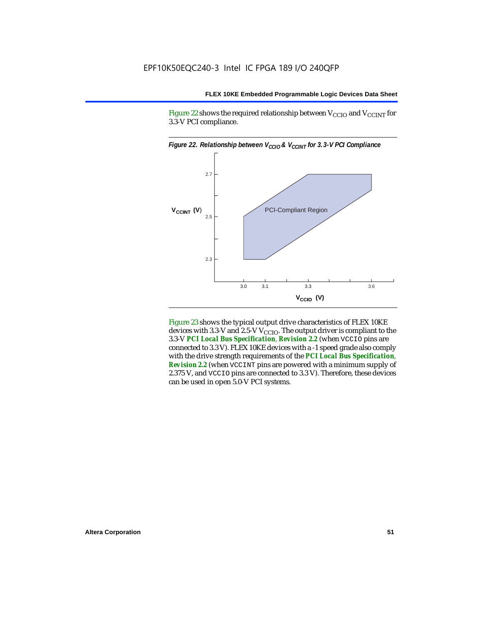Figure 22 shows the required relationship between  $V_{\text{CCIO}}$  and  $V_{\text{CCINT}}$  for 3.3-V PCI compliance.



Figure 23 shows the typical output drive characteristics of FLEX 10KE devices with 3.3-V and 2.5-V  $V_{\text{CCIO}}$ . The output driver is compliant to the 3.3-V *PCI Local Bus Specification*, *Revision 2.2* (when VCCIO pins are connected to 3.3 V). FLEX 10KE devices with a -1 speed grade also comply with the drive strength requirements of the *PCI Local Bus Specification*, *Revision 2.2* (when VCCINT pins are powered with a minimum supply of 2.375 V, and VCCIO pins are connected to 3.3 V). Therefore, these devices can be used in open 5.0-V PCI systems.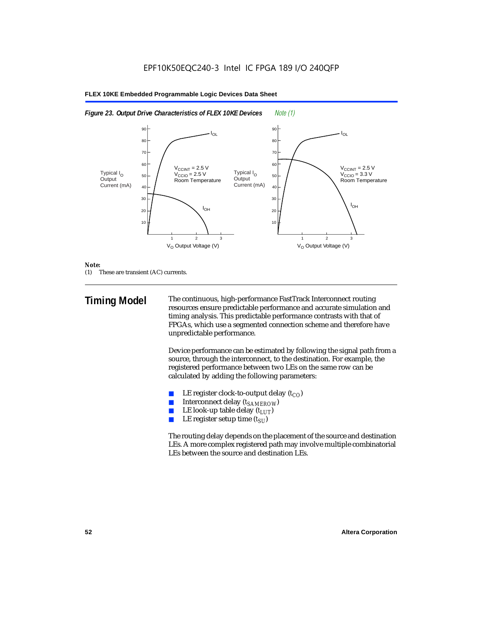#### $V_{O}$  Output Voltage (V)  $I_{OL}$  $I_{OH}$  $I_{OH}$  $\rm V_{\rm CCINT}$  = 2.5 V V<sub>CCIO</sub> = 2.5 V Room Temperature  $\rm V_{\rm CCINT}$  = 2.5 V V<sub>CCIO</sub> = 3.3 V Room Temperature 123 10 20 30 50 60 40 **70** 80 90  $V_{\Omega}$  Output Voltage (V) 123 10  $20$ 30 50 60 40 70 80 90 IOL Typical I<sub>O</sub> **Output** Current (mA) Typical I<sub>O</sub> **Output** Current (mA)

#### **FLEX 10KE Embedded Programmable Logic Devices Data Sheet**



#### *Note:*

(1) These are transient (AC) currents.

**Timing Model** The continuous, high-performance FastTrack Interconnect routing resources ensure predictable performance and accurate simulation and timing analysis. This predictable performance contrasts with that of FPGAs, which use a segmented connection scheme and therefore have unpredictable performance.

> Device performance can be estimated by following the signal path from a source, through the interconnect, to the destination. For example, the registered performance between two LEs on the same row can be calculated by adding the following parameters:

- LE register clock-to-output delay  $(t_{CO})$
- **■** Interconnect delay  $(t_{SAMEROW})$ <br> **■** I.E look-up table delay  $(t_{LUT})$
- LE look-up table delay  $(t_{LUT})$
- LE register setup time  $(t_{SI})$

The routing delay depends on the placement of the source and destination LEs. A more complex registered path may involve multiple combinatorial LEs between the source and destination LEs.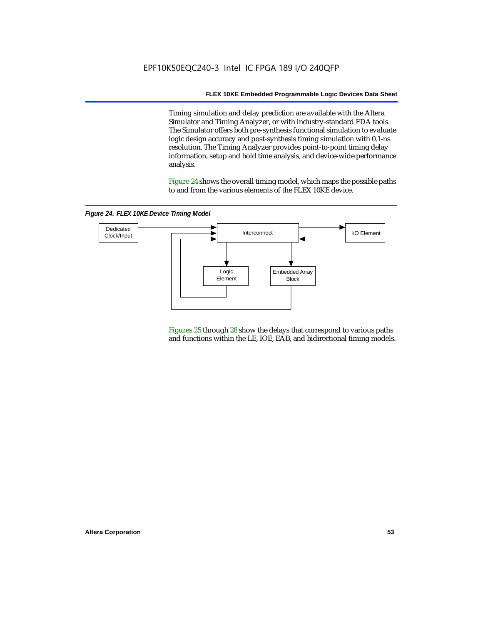Timing simulation and delay prediction are available with the Altera Simulator and Timing Analyzer, or with industry-standard EDA tools. The Simulator offers both pre-synthesis functional simulation to evaluate logic design accuracy and post-synthesis timing simulation with 0.1-ns resolution. The Timing Analyzer provides point-to-point timing delay information, setup and hold time analysis, and device-wide performance analysis.

Figure 24 shows the overall timing model, which maps the possible paths to and from the various elements of the FLEX 10KE device.

*Figure 24. FLEX 10KE Device Timing Model*



Figures 25 through 28 show the delays that correspond to various paths and functions within the LE, IOE, EAB, and bidirectional timing models.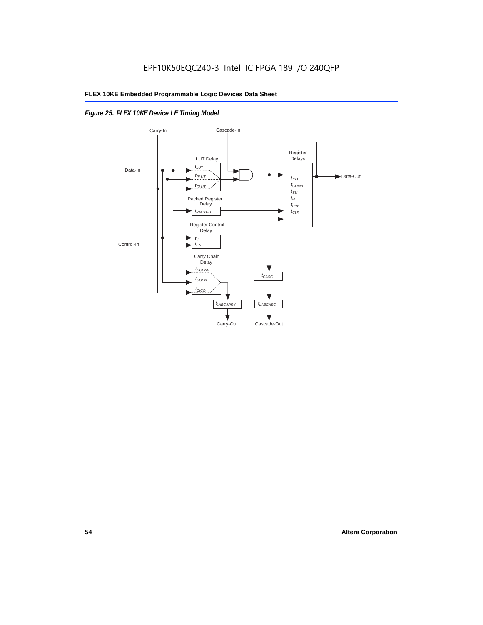## *Figure 25. FLEX 10KE Device LE Timing Model*

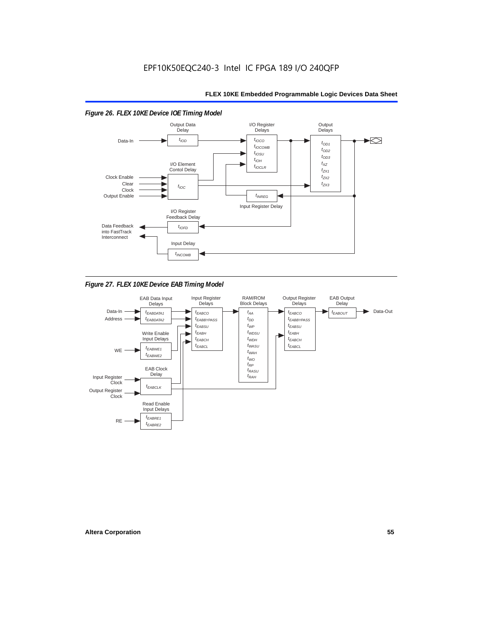#### Output Data I/O Register **Output Delays** Delays **Delay**  $t_{\text{IOD}}$  $t_{IOCO}$  $\blacktriangleright$ Data-In  $t_{OD1}$  $t_{IOCOMB}$  $t_{OD2}$  $t_{IOSU}$  $t_{OD3}$  $t_{IOH}$ I/O Element  $t_{\chi z}$  $t_{IOCLR}$ Contol Delay  $t_{ZX1}$ Clock Enable  $t_{ZX2}$ Clear  $t_{7X3}$  $t_{IOC}$ Clock Output Enable  $t_{INREG}$ Input Register Delay I/O Register Feedback Delay Data Feedback  $t_{IOFD}$ into FastTrack Interconnect Input Delay  $t_{INCOMB}$

### *Figure 26. FLEX 10KE Device IOE Timing Model*

*Figure 27. FLEX 10KE Device EAB Timing Model*

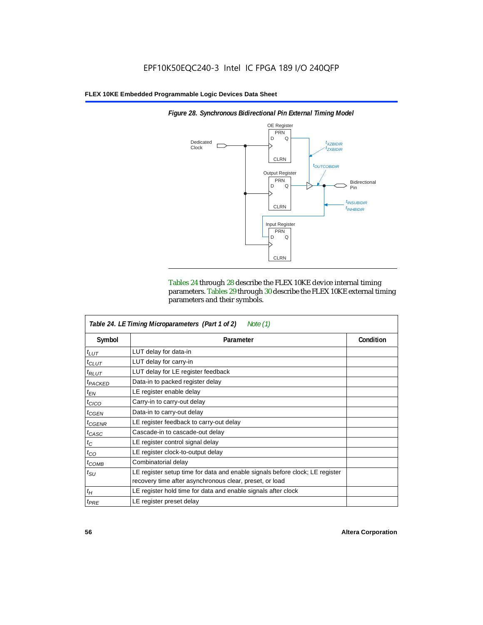

*Figure 28. Synchronous Bidirectional Pin External Timing Model*

Tables 24 through 28 describe the FLEX 10KE device internal timing parameters. Tables 29 through 30 describe the FLEX 10KE external timing parameters and their symbols.

|                     | Table 24. LE Timing Microparameters (Part 1 of 2)<br>Note $(1)$                                                                         |           |
|---------------------|-----------------------------------------------------------------------------------------------------------------------------------------|-----------|
| Symbol              | Parameter                                                                                                                               | Condition |
| $t_{LUT}$           | LUT delay for data-in                                                                                                                   |           |
| $t_{CLUT}$          | LUT delay for carry-in                                                                                                                  |           |
| $t_{RLUT}$          | LUT delay for LE register feedback                                                                                                      |           |
| <sup>t</sup> PACKED | Data-in to packed register delay                                                                                                        |           |
| $t_{EN}$            | LE register enable delay                                                                                                                |           |
| $t_{CICO}$          | Carry-in to carry-out delay                                                                                                             |           |
| $t_{GEN}$           | Data-in to carry-out delay                                                                                                              |           |
| ${}^t$ CGENR        | LE register feedback to carry-out delay                                                                                                 |           |
| $t_{CASC}$          | Cascade-in to cascade-out delay                                                                                                         |           |
| $t_C$               | LE register control signal delay                                                                                                        |           |
| $t_{CO}$            | LE register clock-to-output delay                                                                                                       |           |
| $t_{COMB}$          | Combinatorial delay                                                                                                                     |           |
| $t_{\rm SU}$        | LE register setup time for data and enable signals before clock; LE register<br>recovery time after asynchronous clear, preset, or load |           |
| $t_H$               | LE register hold time for data and enable signals after clock                                                                           |           |
| $t_{PRE}$           | LE register preset delay                                                                                                                |           |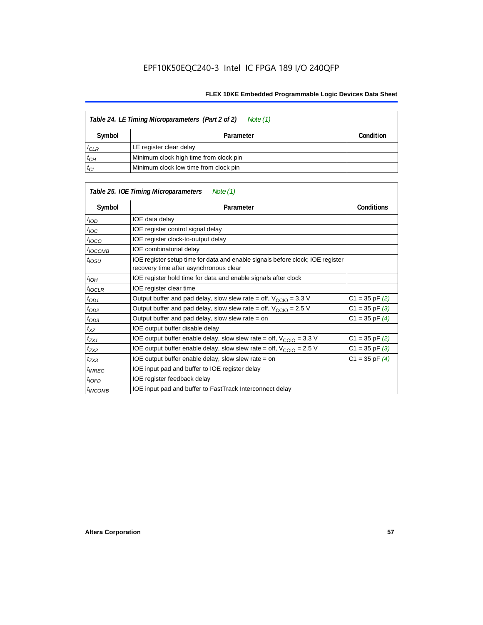| Table 24. LE Timing Microparameters (Part 2 of 2)<br>Note (1) |                                        |           |  |  |
|---------------------------------------------------------------|----------------------------------------|-----------|--|--|
| Symbol                                                        | Parameter                              | Condition |  |  |
| $t_{CLR}$                                                     | LE register clear delay                |           |  |  |
| $t_{CH}$                                                      | Minimum clock high time from clock pin |           |  |  |
| $t_{CL}$                                                      | Minimum clock low time from clock pin  |           |  |  |

|                          | Table 25. IOE Timing Microparameters<br>Note (1)                                                                         |                    |
|--------------------------|--------------------------------------------------------------------------------------------------------------------------|--------------------|
| Symbol                   | Parameter                                                                                                                | <b>Conditions</b>  |
| $t_{\mathit{IOD}}$       | IOE data delay                                                                                                           |                    |
| $t_{\text{IOC}}$         | IOE register control signal delay                                                                                        |                    |
| $t_{\text{IOCO}}$        | IOE register clock-to-output delay                                                                                       |                    |
| <sup>t</sup> IOCOMB      | IOE combinatorial delay                                                                                                  |                    |
| $t_{IOSU}$               | IOE register setup time for data and enable signals before clock; IOE register<br>recovery time after asynchronous clear |                    |
| t <sub>IOH</sub>         | IOE register hold time for data and enable signals after clock                                                           |                    |
| $t_{IOCLR}$              | IOE register clear time                                                                                                  |                    |
| $t_{OD1}$                | Output buffer and pad delay, slow slew rate = off, $V_{\text{CCIO}} = 3.3 \text{ V}$                                     | $C1 = 35$ pF $(2)$ |
| $t_{OD2}$                | Output buffer and pad delay, slow slew rate = off, $V_{\text{CCIO}} = 2.5$ V                                             | $C1 = 35$ pF $(3)$ |
| $t_{OD3}$                | Output buffer and pad delay, slow slew rate $=$ on                                                                       | $C1 = 35$ pF $(4)$ |
| $t_{XZ}$                 | IOE output buffer disable delay                                                                                          |                    |
| $t_{ZX1}$                | IOE output buffer enable delay, slow slew rate = off, $V_{\text{CCIO}} = 3.3 \text{ V}$                                  | $C1 = 35$ pF $(2)$ |
| $t_{ZX2}$                | IOE output buffer enable delay, slow slew rate = off, $V_{\text{CCIO}} = 2.5 V$                                          | $C1 = 35$ pF $(3)$ |
| $t_{ZX3}$                | IOE output buffer enable delay, slow slew rate = on                                                                      | $C1 = 35$ pF $(4)$ |
| <i>t<sub>INREG</sub></i> | IOE input pad and buffer to IOE register delay                                                                           |                    |
| $t_{IOFD}$               | IOE register feedback delay                                                                                              |                    |
| <sup>t</sup> INCOMB      | IOE input pad and buffer to FastTrack Interconnect delay                                                                 |                    |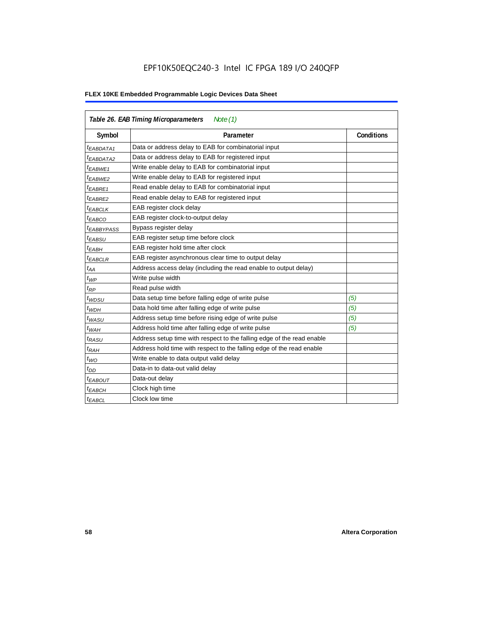## EPF10K50EQC240-3 Intel IC FPGA 189 I/O 240QFP

|                        | Table 26. EAB Timing Microparameters<br>Note $(1)$                     |                   |
|------------------------|------------------------------------------------------------------------|-------------------|
| Symbol                 | Parameter                                                              | <b>Conditions</b> |
| $t_{EABDATA1}$         | Data or address delay to EAB for combinatorial input                   |                   |
| <sup>t</sup> EABDATA2  | Data or address delay to EAB for registered input                      |                   |
| t <sub>EABWE1</sub>    | Write enable delay to EAB for combinatorial input                      |                   |
| <sup>t</sup> EABWE2    | Write enable delay to EAB for registered input                         |                   |
| <sup>t</sup> EABRE1    | Read enable delay to EAB for combinatorial input                       |                   |
| t <sub>EABRE2</sub>    | Read enable delay to EAB for registered input                          |                   |
| $t_{EABCLK}$           | EAB register clock delay                                               |                   |
| $t_{EABCO}$            | EAB register clock-to-output delay                                     |                   |
| <sup>t</sup> EABBYPASS | Bypass register delay                                                  |                   |
| t <sub>EABSU</sub>     | EAB register setup time before clock                                   |                   |
| t <sub>EABH</sub>      | EAB register hold time after clock                                     |                   |
| <sup>t</sup> EABCLR    | EAB register asynchronous clear time to output delay                   |                   |
| $t_{AA}$               | Address access delay (including the read enable to output delay)       |                   |
| $t_{WP}$               | Write pulse width                                                      |                   |
| $t_{RP}$               | Read pulse width                                                       |                   |
| $t_{WDSU}$             | Data setup time before falling edge of write pulse                     | (5)               |
| $t_{WDH}$              | Data hold time after falling edge of write pulse                       | (5)               |
| $t_{WASU}$             | Address setup time before rising edge of write pulse                   | (5)               |
| $t_{WAH}$              | Address hold time after falling edge of write pulse                    | (5)               |
| t <sub>RASU</sub>      | Address setup time with respect to the falling edge of the read enable |                   |
| $t_{RAH}$              | Address hold time with respect to the falling edge of the read enable  |                   |
| $t_{WO}$               | Write enable to data output valid delay                                |                   |
| $t_{DD}$               | Data-in to data-out valid delay                                        |                   |
| <sup>t</sup> EABOUT    | Data-out delay                                                         |                   |
| <sup>t</sup> EABCH     | Clock high time                                                        |                   |
| <sup>t</sup> EABCL     | Clock low time                                                         |                   |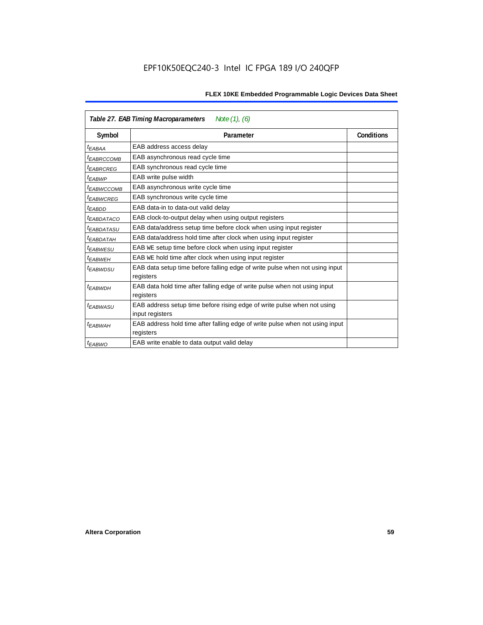|                        | Table 27. EAB Timing Macroparameters<br>Note (1), (6)                        |            |
|------------------------|------------------------------------------------------------------------------|------------|
| Symbol                 | Parameter                                                                    | Conditions |
| <sup>t</sup> EABAA     | EAB address access delay                                                     |            |
| <sup>t</sup> EABRCCOMB | EAB asynchronous read cycle time                                             |            |
| <sup>t</sup> EABRCREG  | EAB synchronous read cycle time                                              |            |
| <sup>t</sup> EABWP     | EAB write pulse width                                                        |            |
| <sup>t</sup> ЕАВWССОМВ | EAB asynchronous write cycle time                                            |            |
| <sup>t</sup> EABWCREG  | EAB synchronous write cycle time                                             |            |
| <sup>t</sup> EABDD     | EAB data-in to data-out valid delay                                          |            |
| <sup>t</sup> EABDATACO | EAB clock-to-output delay when using output registers                        |            |
| <sup>I</sup> EABDATASU | EAB data/address setup time before clock when using input register           |            |
| <sup>t</sup> EABDATAH  | EAB data/address hold time after clock when using input register             |            |
| <sup>t</sup> EABWESU   | EAB WE setup time before clock when using input register                     |            |
| t <sub>EABWEH</sub>    | EAB WE hold time after clock when using input register                       |            |
| t <sub>EABWDSU</sub>   | EAB data setup time before falling edge of write pulse when not using input  |            |
|                        | registers                                                                    |            |
| <sup>t</sup> EABWDH    | EAB data hold time after falling edge of write pulse when not using input    |            |
|                        | registers                                                                    |            |
| <sup>t</sup> EABWASU   | EAB address setup time before rising edge of write pulse when not using      |            |
|                        | input registers                                                              |            |
| t <sub>FARWAH</sub>    | EAB address hold time after falling edge of write pulse when not using input |            |
|                        | registers                                                                    |            |
| <sup>t</sup> EABWO     | EAB write enable to data output valid delay                                  |            |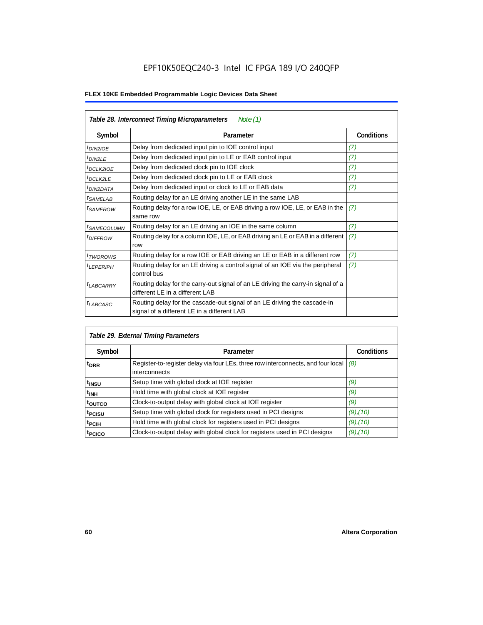|                            | Table 28. Interconnect Timing Microparameters<br>Note $(1)$                                                             |                   |
|----------------------------|-------------------------------------------------------------------------------------------------------------------------|-------------------|
| Symbol                     | Parameter                                                                                                               | <b>Conditions</b> |
| $tD$ IN2IOE                | Delay from dedicated input pin to IOE control input                                                                     | (7)               |
| $t_{DIN2LE}$               | Delay from dedicated input pin to LE or EAB control input                                                               | (7)               |
| <sup>t</sup> DCLK2IOE      | Delay from dedicated clock pin to IOE clock                                                                             | (7)               |
| $t_{DCLK2LE}$              | Delay from dedicated clock pin to LE or EAB clock                                                                       | (7)               |
| <sup>t</sup> DIN2DATA      | Delay from dedicated input or clock to LE or EAB data                                                                   | (7)               |
| <sup>t</sup> SAMELAB       | Routing delay for an LE driving another LE in the same LAB                                                              |                   |
| <sup>t</sup> SAMEROW       | Routing delay for a row IOE, LE, or EAB driving a row IOE, LE, or EAB in the<br>same row                                | (7)               |
| <sup>t</sup> SAMECOLUMN    | Routing delay for an LE driving an IOE in the same column                                                               | (7)               |
| <i>t<sub>DIFFROW</sub></i> | Routing delay for a column IOE, LE, or EAB driving an LE or EAB in a different<br>row                                   | (7)               |
| <i>t</i> TWOROWS           | Routing delay for a row IOE or EAB driving an LE or EAB in a different row                                              | (7)               |
| <sup>t</sup> LEPERIPH      | Routing delay for an LE driving a control signal of an IOE via the peripheral<br>control bus                            | (7)               |
| $t_{LABCARRY}$             | Routing delay for the carry-out signal of an LE driving the carry-in signal of a<br>different LE in a different LAB     |                   |
| $t_{LABCASC}$              | Routing delay for the cascade-out signal of an LE driving the cascade-in<br>signal of a different LE in a different LAB |                   |

|                    | Table 29. External Timing Parameters                                                              |                   |
|--------------------|---------------------------------------------------------------------------------------------------|-------------------|
| Symbol             | Parameter                                                                                         | <b>Conditions</b> |
| <sup>t</sup> DRR   | Register-to-register delay via four LEs, three row interconnects, and four local<br>interconnects | (8)               |
| t <sub>insu</sub>  | Setup time with global clock at IOE register                                                      | (9)               |
| $t_{\rm INH}$      | Hold time with global clock at IOE register                                                       | (9)               |
| toutco             | Clock-to-output delay with global clock at IOE register                                           | (9)               |
| t <sub>PCISU</sub> | Setup time with global clock for registers used in PCI designs                                    | $(9)$ , $(10)$    |
| <sup>t</sup> PCIH  | Hold time with global clock for registers used in PCI designs                                     | $(9)$ , $(10)$    |
| <sup>T</sup> PCICO | Clock-to-output delay with global clock for registers used in PCI designs                         | $(9)$ , $(10)$    |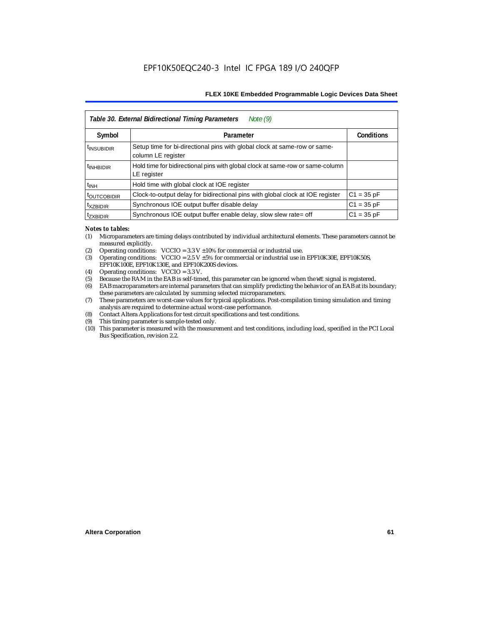|                           | Table 30. External Bidirectional Timing Parameters<br>Note $(9)$                                |                   |
|---------------------------|-------------------------------------------------------------------------------------------------|-------------------|
| Symbol                    | Parameter                                                                                       | <b>Conditions</b> |
| <sup>t</sup> INSUBIDIR    | Setup time for bi-directional pins with global clock at same-row or same-<br>column LE register |                   |
| <sup>t</sup> INHBIDIR     | Hold time for bidirectional pins with global clock at same-row or same-column<br>LE register    |                   |
| $t_{INH}$                 | Hold time with global clock at IOE register                                                     |                   |
| <b><i>LOUTCOBIDIR</i></b> | Clock-to-output delay for bidirectional pins with global clock at IOE register                  | $C1 = 35 pF$      |
| <sup>t</sup> xzbidir      | Synchronous IOE output buffer disable delay                                                     | $C1 = 35 pF$      |
| <sup>T</sup> ZXBIDIR      | Synchronous IOE output buffer enable delay, slow slew rate= off                                 | $C1 = 35 pF$      |

#### *Notes to tables:*

- (1) Microparameters are timing delays contributed by individual architectural elements. These parameters cannot be measured explicitly.
- (2) Operating conditions:  $VCCIO = 3.3 V ±10%$  for commercial or industrial use.<br>(3) Operating conditions:  $VCCIO = 2.5 V ±5%$  for commercial or industrial use in
- Operating conditions: VCCIO =  $2.5$  V  $\pm 5$ % for commercial or industrial use in EPF10K30E, EPF10K50S, EPF10K100E, EPF10K130E, and EPF10K200S devices.
- (4) Operating conditions: VCCIO = 3.3 V.
- (5) Because the RAM in the EAB is self-timed, this parameter can be ignored when the WE signal is registered.<br>(6) EAB macroparameters are internal parameters that can simplify predicting the behavior of an EAB at its bor
- EAB macroparameters are internal parameters that can simplify predicting the behavior of an EAB at its boundary; these parameters are calculated by summing selected microparameters.
- (7) These parameters are worst-case values for typical applications. Post-compilation timing simulation and timing analysis are required to determine actual worst-case performance.
- (8) Contact Altera Applications for test circuit specifications and test conditions.
- (9) This timing parameter is sample-tested only.
- (10) This parameter is measured with the measurement and test conditions, including load, specified in the PCI Local Bus Specification, revision 2.2.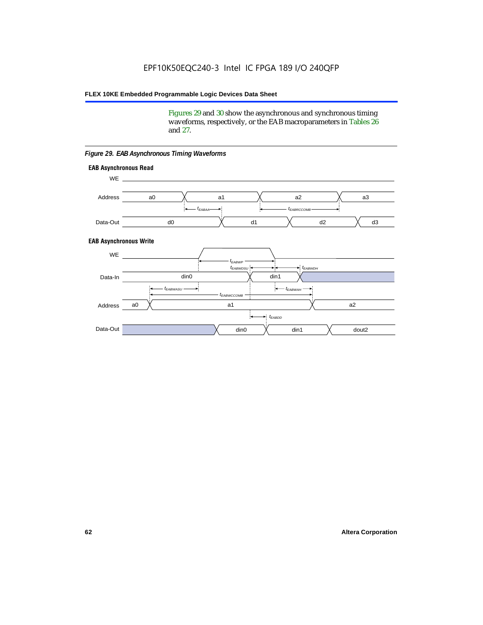Figures 29 and 30 show the asynchronous and synchronous timing waveforms, respectively, or the EAB macroparameters in Tables 26 and 27.

**EAB Asynchronous Write EAB Asynchronous Read** WE. a0 d0 d3  $t_{EABRCCOMB}$ a1 *《*、 a2 *《*、 a3 d2  $t_{FABAA}$ d1 Address Data-Out WE a0 din1  $\chi$  dout2  $t_{EABDD}$ a1 a2 din1 din0  $t_{EABWCCOMB}$  $t_{EABWASU}$   $\longrightarrow$  $t_{EABWDSU}$  +  $\longrightarrow$   $t_{EABWDH}$  $t_{EABWP}$ Data-In din0 Address Data-Out

#### *Figure 29. EAB Asynchronous Timing Waveforms*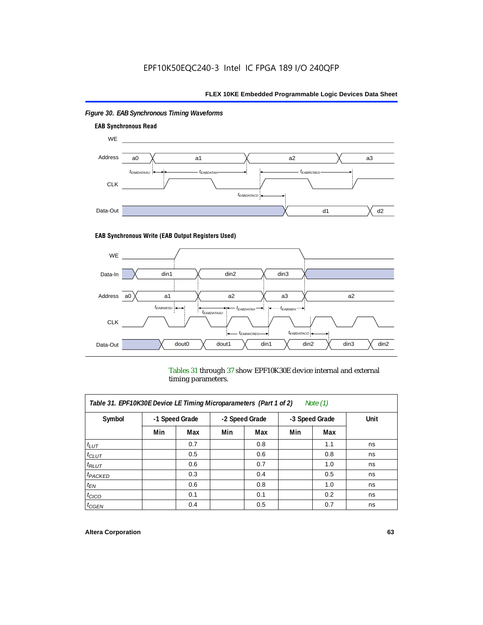

## *Figure 30. EAB Synchronous Timing Waveforms*

### **EAB Synchronous Write (EAB Output Registers Used)**



Tables 31 through 37 show EPF10K30E device internal and external timing parameters.

| Table 31. EPF10K30E Device LE Timing Microparameters (Part 1 of 2)<br>Note $(1)$ |     |                |     |                |     |                |      |
|----------------------------------------------------------------------------------|-----|----------------|-----|----------------|-----|----------------|------|
| Symbol                                                                           |     | -1 Speed Grade |     | -2 Speed Grade |     | -3 Speed Grade | Unit |
|                                                                                  | Min | Max            | Min | Max            | Min | Max            |      |
| $t_{LUT}$                                                                        |     | 0.7            |     | 0.8            |     | 1.1            | ns   |
| $t_{CLUT}$                                                                       |     | 0.5            |     | 0.6            |     | 0.8            | ns   |
| $t_{RLUT}$                                                                       |     | 0.6            |     | 0.7            |     | 1.0            | ns   |
| <sup>t</sup> PACKED                                                              |     | 0.3            |     | 0.4            |     | 0.5            | ns   |
| $t_{EN}$                                                                         |     | 0.6            |     | 0.8            |     | 1.0            | ns   |
| $t_{CICO}$                                                                       |     | 0.1            |     | 0.1            |     | 0.2            | ns   |
| $t_{\text{G}\text{E}\text{N}}$                                                   |     | 0.4            |     | 0.5            |     | 0.7            | ns   |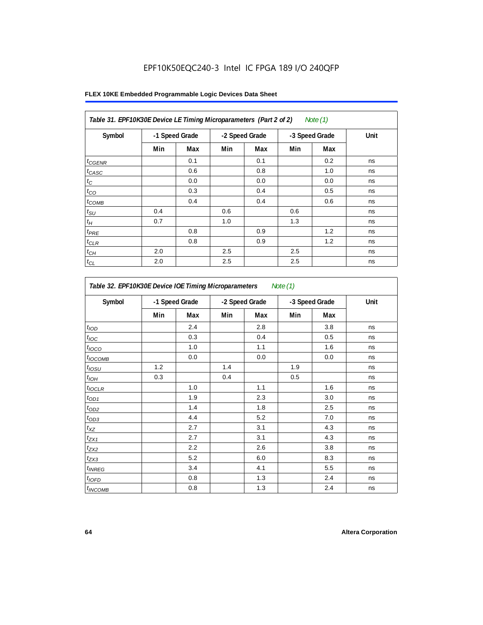## EPF10K50EQC240-3 Intel IC FPGA 189 I/O 240QFP

| Table 31. EPF10K30E Device LE Timing Microparameters (Part 2 of 2) |     |                |     |                |     | Note (1)       |      |
|--------------------------------------------------------------------|-----|----------------|-----|----------------|-----|----------------|------|
| Symbol                                                             |     | -1 Speed Grade |     | -2 Speed Grade |     | -3 Speed Grade | Unit |
|                                                                    | Min | Max            | Min | Max            | Min | Max            |      |
| $t_{G\text{ENR}}$                                                  |     | 0.1            |     | 0.1            |     | 0.2            | ns   |
| $t_{CASC}$                                                         |     | 0.6            |     | 0.8            |     | 1.0            | ns   |
| $t_C$                                                              |     | 0.0            |     | 0.0            |     | 0.0            | ns   |
| $t_{CO}$                                                           |     | 0.3            |     | 0.4            |     | 0.5            | ns   |
| $t_{COMB}$                                                         |     | 0.4            |     | 0.4            |     | 0.6            | ns   |
| $t_{\text{SU}}$                                                    | 0.4 |                | 0.6 |                | 0.6 |                | ns   |
| $t_H\,$                                                            | 0.7 |                | 1.0 |                | 1.3 |                | ns   |
| $t_{PRE}$                                                          |     | 0.8            |     | 0.9            |     | 1.2            | ns   |
| $t_{CLR}$                                                          |     | 0.8            |     | 0.9            |     | 1.2            | ns   |
| $t_{\mathit{CH}}$                                                  | 2.0 |                | 2.5 |                | 2.5 |                | ns   |
| $t_{CL}$                                                           | 2.0 |                | 2.5 |                | 2.5 |                | ns   |

| Symbol                    |     | -1 Speed Grade |     | -2 Speed Grade |     | -3 Speed Grade | Unit |  |
|---------------------------|-----|----------------|-----|----------------|-----|----------------|------|--|
|                           | Min | Max            | Min | Max            | Min | <b>Max</b>     |      |  |
| t <sub>IOD</sub>          |     | 2.4            |     | 2.8            |     | 3.8            | ns   |  |
| $t_{\text{IOC}}$          |     | 0.3            |     | 0.4            |     | 0.5            | ns   |  |
| $t_{\text{IOCO}}$         |     | 1.0            |     | 1.1            |     | 1.6            | ns   |  |
| $t_{IOCOMB}$              |     | 0.0            |     | 0.0            |     | 0.0            | ns   |  |
| $t_{IOSU}$                | 1.2 |                | 1.4 |                | 1.9 |                | ns   |  |
| $t_{IOM}$                 | 0.3 |                | 0.4 |                | 0.5 |                | ns   |  |
| $t_{IOCLR}$               |     | 1.0            |     | 1.1            |     | 1.6            | ns   |  |
| $t_{OD1}$                 |     | 1.9            |     | 2.3            |     | 3.0            | ns   |  |
| $t_{OD2}$                 |     | 1.4            |     | 1.8            |     | 2.5            | ns   |  |
| $t_{OD3}$                 |     | 4.4            |     | 5.2            |     | 7.0            | ns   |  |
| $t_{XZ}$                  |     | 2.7            |     | 3.1            |     | 4.3            | ns   |  |
| $t_{ZX1}$                 |     | 2.7            |     | 3.1            |     | 4.3            | ns   |  |
| $t_{ZX2}$                 |     | 2.2            |     | 2.6            |     | 3.8            | ns   |  |
| $t_{ZX3}$                 |     | 5.2            |     | 6.0            |     | 8.3            | ns   |  |
| <i>t</i> <sub>INREG</sub> |     | 3.4            |     | 4.1            |     | 5.5            | ns   |  |
| $t_{IQED}$                |     | 0.8            |     | 1.3            |     | 2.4            | ns   |  |
| $t_{INCOMB}$              |     | 0.8            |     | 1.3            |     | 2.4            | ns   |  |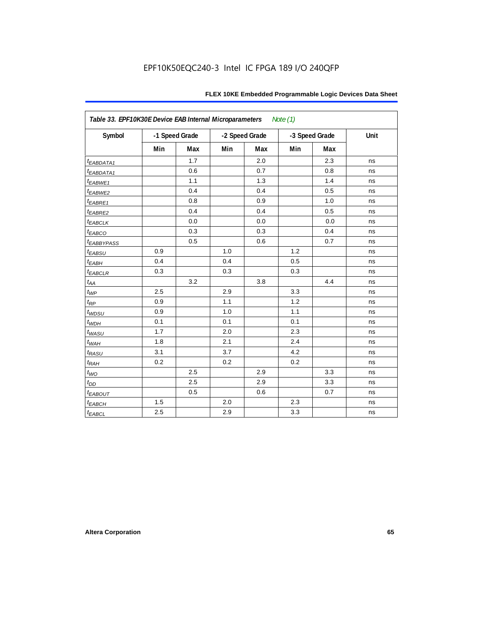| Table 33. EPF10K30E Device EAB Internal Microparameters<br>Note $(1)$ |     |                |     |                |     |                |      |  |  |
|-----------------------------------------------------------------------|-----|----------------|-----|----------------|-----|----------------|------|--|--|
| Symbol                                                                |     | -1 Speed Grade |     | -2 Speed Grade |     | -3 Speed Grade | Unit |  |  |
|                                                                       | Min | <b>Max</b>     | Min | Max            | Min | Max            |      |  |  |
| t <sub>EABDATA1</sub>                                                 |     | 1.7            |     | 2.0            |     | 2.3            | ns   |  |  |
| t <sub>EABDATA1</sub>                                                 |     | 0.6            |     | 0.7            |     | 0.8            | ns   |  |  |
| t <sub>EABWE1</sub>                                                   |     | 1.1            |     | 1.3            |     | 1.4            | ns   |  |  |
| t <sub>EABWE2</sub>                                                   |     | 0.4            |     | 0.4            |     | 0.5            | ns   |  |  |
| $t_{EABRE1}$                                                          |     | 0.8            |     | 0.9            |     | 1.0            | ns   |  |  |
| t <sub>EABRE2</sub>                                                   |     | 0.4            |     | 0.4            |     | 0.5            | ns   |  |  |
| <b><i>EABCLK</i></b>                                                  |     | 0.0            |     | 0.0            |     | 0.0            | ns   |  |  |
| t <sub>EABCO</sub>                                                    |     | 0.3            |     | 0.3            |     | 0.4            | ns   |  |  |
| <b><i>EABBYPASS</i></b>                                               |     | 0.5            |     | 0.6            |     | 0.7            | ns   |  |  |
| $t_{EABSU}$                                                           | 0.9 |                | 1.0 |                | 1.2 |                | ns   |  |  |
| $t_{EABH}$                                                            | 0.4 |                | 0.4 |                | 0.5 |                | ns   |  |  |
| $t_{EABCLR}$                                                          | 0.3 |                | 0.3 |                | 0.3 |                | ns   |  |  |
| $t_{AA}$                                                              |     | 3.2            |     | 3.8            |     | 4.4            | ns   |  |  |
| $t_{WP}$                                                              | 2.5 |                | 2.9 |                | 3.3 |                | ns   |  |  |
| $t_{RP}$                                                              | 0.9 |                | 1.1 |                | 1.2 |                | ns   |  |  |
| $t_{WDSU}$                                                            | 0.9 |                | 1.0 |                | 1.1 |                | ns   |  |  |
| $t_{WDH}$                                                             | 0.1 |                | 0.1 |                | 0.1 |                | ns   |  |  |
| $t_{WASU}$                                                            | 1.7 |                | 2.0 |                | 2.3 |                | ns   |  |  |
| $t_{WAH}$                                                             | 1.8 |                | 2.1 |                | 2.4 |                | ns   |  |  |
| $t_{RASU}$                                                            | 3.1 |                | 3.7 |                | 4.2 |                | ns   |  |  |
| $t_{RAH}$                                                             | 0.2 |                | 0.2 |                | 0.2 |                | ns   |  |  |
| $t_{WO}$                                                              |     | 2.5            |     | 2.9            |     | 3.3            | ns   |  |  |
| $t_{DD}$                                                              |     | 2.5            |     | 2.9            |     | 3.3            | ns   |  |  |
| $t_{EABOUT}$                                                          |     | 0.5            |     | 0.6            |     | 0.7            | ns   |  |  |
| $t_{EABCH}$                                                           | 1.5 |                | 2.0 |                | 2.3 |                | ns   |  |  |
| $t_{EABCL}$                                                           | 2.5 |                | 2.9 |                | 3.3 |                | ns   |  |  |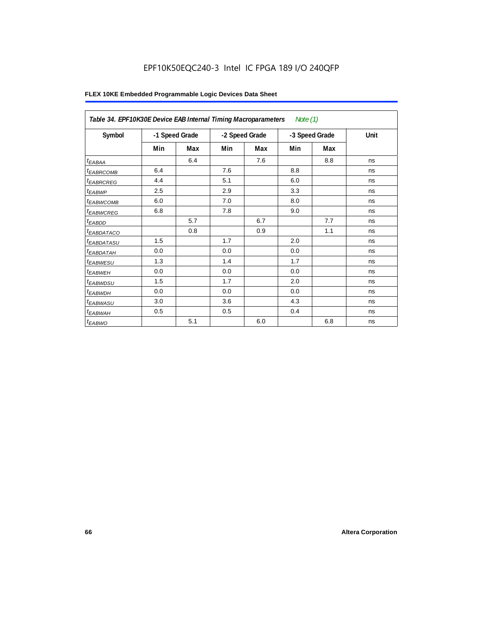## EPF10K50EQC240-3 Intel IC FPGA 189 I/O 240QFP

|                        | Table 34. EPF10K30E Device EAB Internal Timing Macroparameters<br>Note $(1)$ |     |                |     |     |                |      |  |  |  |
|------------------------|------------------------------------------------------------------------------|-----|----------------|-----|-----|----------------|------|--|--|--|
| Symbol                 | -1 Speed Grade                                                               |     | -2 Speed Grade |     |     | -3 Speed Grade | Unit |  |  |  |
|                        | Min                                                                          | Max | Min            | Max | Min | Max            |      |  |  |  |
| $t_{EABA}$             |                                                                              | 6.4 |                | 7.6 |     | 8.8            | ns   |  |  |  |
| <sup>t</sup> EABRCOMB  | 6.4                                                                          |     | 7.6            |     | 8.8 |                | ns   |  |  |  |
| <i><b>EABRCREG</b></i> | 4.4                                                                          |     | 5.1            |     | 6.0 |                | ns   |  |  |  |
| $t_{EABWP}$            | 2.5                                                                          |     | 2.9            |     | 3.3 |                | ns   |  |  |  |
| <sup>t</sup> ЕАВWСОМВ  | 6.0                                                                          |     | 7.0            |     | 8.0 |                | ns   |  |  |  |
| <sup>t</sup> EABWCREG  | 6.8                                                                          |     | 7.8            |     | 9.0 |                | ns   |  |  |  |
| t <sub>EABDD</sub>     |                                                                              | 5.7 |                | 6.7 |     | 7.7            | ns   |  |  |  |
| t <sub>eabdataco</sub> |                                                                              | 0.8 |                | 0.9 |     | 1.1            | ns   |  |  |  |
| <sup>t</sup> EABDATASU | 1.5                                                                          |     | 1.7            |     | 2.0 |                | ns   |  |  |  |
| t <sub>EABDATAH</sub>  | 0.0                                                                          |     | 0.0            |     | 0.0 |                | ns   |  |  |  |
| <sup>t</sup> EABWESU   | 1.3                                                                          |     | 1.4            |     | 1.7 |                | ns   |  |  |  |
| <sup>t</sup> EABWEH    | 0.0                                                                          |     | 0.0            |     | 0.0 |                | ns   |  |  |  |
| t <sub>EABWDSU</sub>   | 1.5                                                                          |     | 1.7            |     | 2.0 |                | ns   |  |  |  |
| <sup>t</sup> EABWDH    | 0.0                                                                          |     | 0.0            |     | 0.0 |                | ns   |  |  |  |
| <sup>t</sup> EABWASU   | 3.0                                                                          |     | 3.6            |     | 4.3 |                | ns   |  |  |  |
| <sup>t</sup> EABWAH    | 0.5                                                                          |     | 0.5            |     | 0.4 |                | ns   |  |  |  |
| $t_{EABWO}$            |                                                                              | 5.1 |                | 6.0 |     | 6.8            | ns   |  |  |  |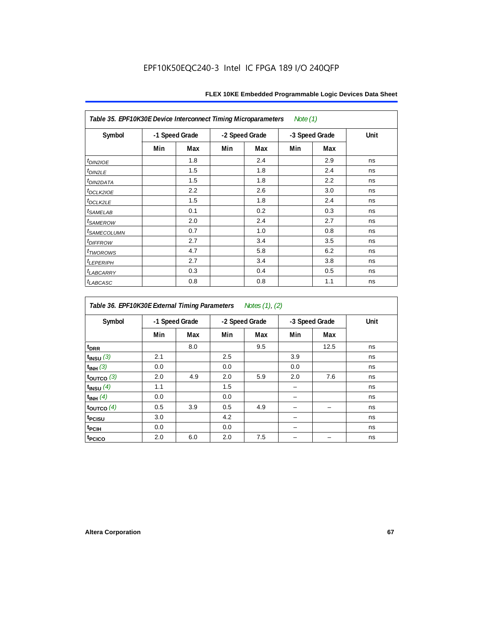| Note $(1)$<br>Table 35. EPF10K30E Device Interconnect Timing Microparameters |     |                |     |                |     |                |      |  |  |  |
|------------------------------------------------------------------------------|-----|----------------|-----|----------------|-----|----------------|------|--|--|--|
| Symbol                                                                       |     | -1 Speed Grade |     | -2 Speed Grade |     | -3 Speed Grade | Unit |  |  |  |
|                                                                              | Min | Max            | Min | Max            | Min | Max            |      |  |  |  |
| $t_{DINZIOE}$                                                                |     | 1.8            |     | 2.4            |     | 2.9            | ns   |  |  |  |
| t <sub>DIN2LE</sub>                                                          |     | 1.5            |     | 1.8            |     | 2.4            | ns   |  |  |  |
| <sup>t</sup> DIN2DATA                                                        |     | 1.5            |     | 1.8            |     | 2.2            | ns   |  |  |  |
| t <sub>DCLK2IOE</sub>                                                        |     | 2.2            |     | 2.6            |     | 3.0            | ns   |  |  |  |
| $t_{DCLK2LE}$                                                                |     | 1.5            |     | 1.8            |     | 2.4            | ns   |  |  |  |
| <i>t<sub>SAMELAB</sub></i>                                                   |     | 0.1            |     | 0.2            |     | 0.3            | ns   |  |  |  |
| <i>t</i> SAMEROW                                                             |     | 2.0            |     | 2.4            |     | 2.7            | ns   |  |  |  |
| <i>t<sub>SAMECOLUMN</sub></i>                                                |     | 0.7            |     | 1.0            |     | 0.8            | ns   |  |  |  |
| <i>t<sub>DIFFROW</sub></i>                                                   |     | 2.7            |     | 3.4            |     | 3.5            | ns   |  |  |  |
| <i>t</i> <sub>TWOROWS</sub>                                                  |     | 4.7            |     | 5.8            |     | 6.2            | ns   |  |  |  |
| <b><i>LEPERIPH</i></b>                                                       |     | 2.7            |     | 3.4            |     | 3.8            | ns   |  |  |  |
| <b><i>LABCARRY</i></b>                                                       |     | 0.3            |     | 0.4            |     | 0.5            | ns   |  |  |  |
| t <sub>LABCASC</sub>                                                         |     | 0.8            |     | 0.8            |     | 1.1            | ns   |  |  |  |

| Table 36. EPF10K30E External Timing Parameters Notes (1), (2) |     |                |     |                |     |                |      |  |  |  |
|---------------------------------------------------------------|-----|----------------|-----|----------------|-----|----------------|------|--|--|--|
| Symbol                                                        |     | -1 Speed Grade |     | -2 Speed Grade |     | -3 Speed Grade | Unit |  |  |  |
|                                                               | Min | Max            | Min | Max            | Min | Max            |      |  |  |  |
| $t_{DRR}$                                                     |     | 8.0            |     | 9.5            |     | 12.5           | ns   |  |  |  |
| $t_{INSU}$ (3)                                                | 2.1 |                | 2.5 |                | 3.9 |                | ns   |  |  |  |
| $t_{INH}$ (3)                                                 | 0.0 |                | 0.0 |                | 0.0 |                | ns   |  |  |  |
| $t_{OUTCO}$ (3)                                               | 2.0 | 4.9            | 2.0 | 5.9            | 2.0 | 7.6            | ns   |  |  |  |
| $t_{INSU}$ (4)                                                | 1.1 |                | 1.5 |                |     |                | ns   |  |  |  |
| $t_{INH}$ (4)                                                 | 0.0 |                | 0.0 |                |     |                | ns   |  |  |  |
| $t_{\text{OUTCO}}(4)$                                         | 0.5 | 3.9            | 0.5 | 4.9            |     |                | ns   |  |  |  |
| t <sub>PCISU</sub>                                            | 3.0 |                | 4.2 |                |     |                | ns   |  |  |  |
| t <sub>PCIH</sub>                                             | 0.0 |                | 0.0 |                |     |                | ns   |  |  |  |
| t <sub>PCICO</sub>                                            | 2.0 | 6.0            | 2.0 | 7.5            |     |                | ns   |  |  |  |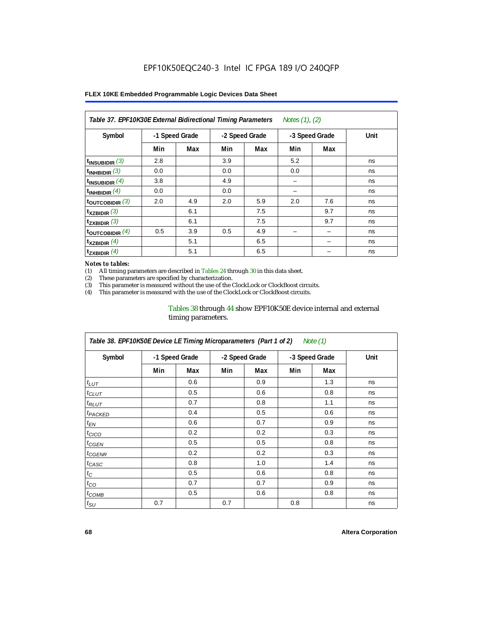| Table 37. EPF10K30E External Bidirectional Timing Parameters<br>Notes (1), (2) |                |     |                |     |                |     |      |  |  |  |
|--------------------------------------------------------------------------------|----------------|-----|----------------|-----|----------------|-----|------|--|--|--|
| Symbol                                                                         | -1 Speed Grade |     | -2 Speed Grade |     | -3 Speed Grade |     | Unit |  |  |  |
|                                                                                | Min            | Max | Min            | Max | Min            | Max |      |  |  |  |
| $t_{INSUBIDIR}$ (3)                                                            | 2.8            |     | 3.9            |     | 5.2            |     | ns   |  |  |  |
| $t_{INHBIDIR}$ (3)                                                             | 0.0            |     | 0.0            |     | 0.0            |     | ns   |  |  |  |
| $t_{INSUBIDIR}(4)$                                                             | 3.8            |     | 4.9            |     | -              |     | ns   |  |  |  |
| $t_{INHBIDIR}(4)$                                                              | 0.0            |     | 0.0            |     |                |     | ns   |  |  |  |
| $t_{\text{OUTCOBIDIR}}$ (3)                                                    | 2.0            | 4.9 | 2.0            | 5.9 | 2.0            | 7.6 | ns   |  |  |  |
| $t_{XZBIDIR}$ (3)                                                              |                | 6.1 |                | 7.5 |                | 9.7 | ns   |  |  |  |
| $t_{ZXBIDIR}$ (3)                                                              |                | 6.1 |                | 7.5 |                | 9.7 | ns   |  |  |  |
| $t_{\text{OUTCOBIDIR}}$ (4)                                                    | 0.5            | 3.9 | 0.5            | 4.9 |                |     | ns   |  |  |  |
| $t_{XZBIDIR}$ (4)                                                              |                | 5.1 |                | 6.5 |                |     | ns   |  |  |  |
| $t_{ZXBIDIR}$ (4)                                                              |                | 5.1 |                | 6.5 |                |     | ns   |  |  |  |

#### *Notes to tables:*

(1) All timing parameters are described in Tables 24 through 30 in this data sheet.<br>(2) These parameters are specified by characterization.

(2) These parameters are specified by characterization.<br>(3) This parameter is measured without the use of the C

This parameter is measured without the use of the ClockLock or ClockBoost circuits.

(4) This parameter is measured with the use of the ClockLock or ClockBoost circuits.

### Tables 38 through 44 show EPF10K50E device internal and external timing parameters.

| Table 38. EPF10K50E Device LE Timing Microparameters (Part 1 of 2)<br>Note (1) |                |     |                |     |                |     |      |  |  |
|--------------------------------------------------------------------------------|----------------|-----|----------------|-----|----------------|-----|------|--|--|
| Symbol                                                                         | -1 Speed Grade |     | -2 Speed Grade |     | -3 Speed Grade |     | Unit |  |  |
|                                                                                | Min            | Max | Min            | Max | Min            | Max |      |  |  |
| $t_{LUT}$                                                                      |                | 0.6 |                | 0.9 |                | 1.3 | ns   |  |  |
| $t_{CLUT}$                                                                     |                | 0.5 |                | 0.6 |                | 0.8 | ns   |  |  |
| $t_{RLUT}$                                                                     |                | 0.7 |                | 0.8 |                | 1.1 | ns   |  |  |
| <b><i>t<sub>PACKED</sub></i></b>                                               |                | 0.4 |                | 0.5 |                | 0.6 | ns   |  |  |
| $t_{EN}$                                                                       |                | 0.6 |                | 0.7 |                | 0.9 | ns   |  |  |
| $t_{CICO}$                                                                     |                | 0.2 |                | 0.2 |                | 0.3 | ns   |  |  |
| $t_{GEN}$                                                                      |                | 0.5 |                | 0.5 |                | 0.8 | ns   |  |  |
| ${}^t$ CGENR                                                                   |                | 0.2 |                | 0.2 |                | 0.3 | ns   |  |  |
| t <sub>CASC</sub>                                                              |                | 0.8 |                | 1.0 |                | 1.4 | ns   |  |  |
| $t_C$                                                                          |                | 0.5 |                | 0.6 |                | 0.8 | ns   |  |  |
| $t_{CO}$                                                                       |                | 0.7 |                | 0.7 |                | 0.9 | ns   |  |  |
| $t_{COMB}$                                                                     |                | 0.5 |                | 0.6 |                | 0.8 | ns   |  |  |
| $t_{\rm SU}$                                                                   | 0.7            |     | 0.7            |     | 0.8            |     | ns   |  |  |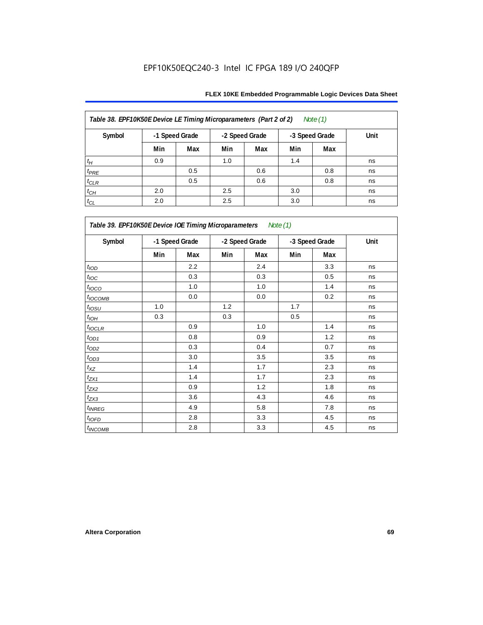| Table 38. EPF10K50E Device LE Timing Microparameters (Part 2 of 2)<br>Note $(1)$ |                |     |     |                |     |                |      |  |  |  |
|----------------------------------------------------------------------------------|----------------|-----|-----|----------------|-----|----------------|------|--|--|--|
| Symbol                                                                           | -1 Speed Grade |     |     | -2 Speed Grade |     | -3 Speed Grade | Unit |  |  |  |
|                                                                                  | Min            | Max | Min | Max            | Min | Max            |      |  |  |  |
| $t_H$                                                                            | 0.9            |     | 1.0 |                | 1.4 |                | ns   |  |  |  |
| $t_{PRE}$                                                                        |                | 0.5 |     | 0.6            |     | 0.8            | ns   |  |  |  |
| $t_{CLR}$                                                                        |                | 0.5 |     | 0.6            |     | 0.8            | ns   |  |  |  |
| $t_{CH}$                                                                         | 2.0            |     | 2.5 |                | 3.0 |                | ns   |  |  |  |
| $t_{CL}$                                                                         | 2.0            |     | 2.5 |                | 3.0 |                | ns   |  |  |  |

| Table 39. EPF10K50E Device IOE Timing Microparameters Note (1) |     |                |     |                |     |                |      |  |  |
|----------------------------------------------------------------|-----|----------------|-----|----------------|-----|----------------|------|--|--|
| Symbol                                                         |     | -1 Speed Grade |     | -2 Speed Grade |     | -3 Speed Grade | Unit |  |  |
|                                                                | Min | Max            | Min | Max            | Min | Max            |      |  |  |
| t <sub>IOD</sub>                                               |     | 2.2            |     | 2.4            |     | 3.3            | ns   |  |  |
| $t_{\text{IOC}}$                                               |     | 0.3            |     | 0.3            |     | 0.5            | ns   |  |  |
| $t_{IOCO}$                                                     |     | 1.0            |     | 1.0            |     | 1.4            | ns   |  |  |
| $t_{IOCOMB}$                                                   |     | 0.0            |     | 0.0            |     | 0.2            | ns   |  |  |
| $t_{IOSU}$                                                     | 1.0 |                | 1.2 |                | 1.7 |                | ns   |  |  |
| $t_{IOH}$                                                      | 0.3 |                | 0.3 |                | 0.5 |                | ns   |  |  |
| $t_{IOCLR}$                                                    |     | 0.9            |     | 1.0            |     | 1.4            | ns   |  |  |
| $t_{OD1}$                                                      |     | 0.8            |     | 0.9            |     | 1.2            | ns   |  |  |
| $t_{OD2}$                                                      |     | 0.3            |     | 0.4            |     | 0.7            | ns   |  |  |
| $t_{OD3}$                                                      |     | 3.0            |     | 3.5            |     | 3.5            | ns   |  |  |
| $t_{\mathsf{XZ}}$                                              |     | 1.4            |     | 1.7            |     | 2.3            | ns   |  |  |
| $t_{ZX1}$                                                      |     | 1.4            |     | 1.7            |     | 2.3            | ns   |  |  |
| $t_{ZX2}$                                                      |     | 0.9            |     | 1.2            |     | 1.8            | ns   |  |  |
| $t_{ZX3}$                                                      |     | 3.6            |     | 4.3            |     | 4.6            | ns   |  |  |
| $t_{INREG}$                                                    |     | 4.9            |     | 5.8            |     | 7.8            | ns   |  |  |
| $t_{IOFD}$                                                     |     | 2.8            |     | 3.3            |     | 4.5            | ns   |  |  |
| $t_{INCOMB}$                                                   |     | 2.8            |     | 3.3            |     | 4.5            | ns   |  |  |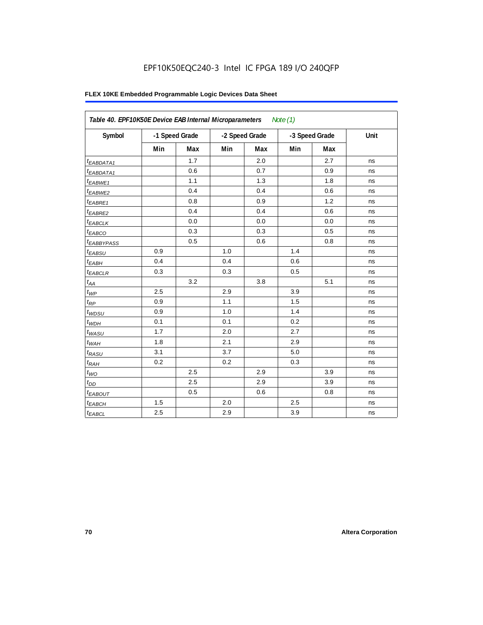## EPF10K50EQC240-3 Intel IC FPGA 189 I/O 240QFP

|                        | Table 40. EPF10K50E Device EAB Internal Microparameters<br>Note $(1)$ |     |                |     |                |     |      |  |  |  |
|------------------------|-----------------------------------------------------------------------|-----|----------------|-----|----------------|-----|------|--|--|--|
| Symbol                 | -1 Speed Grade                                                        |     | -2 Speed Grade |     | -3 Speed Grade |     | Unit |  |  |  |
|                        | Min                                                                   | Max | Min            | Max | Min            | Max |      |  |  |  |
| <sup>t</sup> EABDATA1  |                                                                       | 1.7 |                | 2.0 |                | 2.7 | ns   |  |  |  |
| $t_{EABDATA1}$         |                                                                       | 0.6 |                | 0.7 |                | 0.9 | ns   |  |  |  |
| <sup>t</sup> EABWE1    |                                                                       | 1.1 |                | 1.3 |                | 1.8 | ns   |  |  |  |
| t <sub>EABWE2</sub>    |                                                                       | 0.4 |                | 0.4 |                | 0.6 | ns   |  |  |  |
| t <sub>EABRE1</sub>    |                                                                       | 0.8 |                | 0.9 |                | 1.2 | ns   |  |  |  |
| $t_{EABRE2}$           |                                                                       | 0.4 |                | 0.4 |                | 0.6 | ns   |  |  |  |
| $t_{EABCLK}$           |                                                                       | 0.0 |                | 0.0 |                | 0.0 | ns   |  |  |  |
| t <sub>EABCO</sub>     |                                                                       | 0.3 |                | 0.3 |                | 0.5 | ns   |  |  |  |
| <sup>t</sup> EABBYPASS |                                                                       | 0.5 |                | 0.6 |                | 0.8 | ns   |  |  |  |
| $t_{EABSU}$            | 0.9                                                                   |     | 1.0            |     | 1.4            |     | ns   |  |  |  |
| $t_{EABH}$             | 0.4                                                                   |     | 0.4            |     | 0.6            |     | ns   |  |  |  |
| <sup>t</sup> EABCLR    | 0.3                                                                   |     | 0.3            |     | 0.5            |     | ns   |  |  |  |
| $t_{AA}$               |                                                                       | 3.2 |                | 3.8 |                | 5.1 | ns   |  |  |  |
| $t_{WP}$               | 2.5                                                                   |     | 2.9            |     | 3.9            |     | ns   |  |  |  |
| $t_{RP}$               | 0.9                                                                   |     | 1.1            |     | 1.5            |     | ns   |  |  |  |
| $t_{WDSU}$             | 0.9                                                                   |     | 1.0            |     | 1.4            |     | ns   |  |  |  |
| $t_{WDH}$              | 0.1                                                                   |     | 0.1            |     | 0.2            |     | ns   |  |  |  |
| $t_{WASU}$             | 1.7                                                                   |     | 2.0            |     | 2.7            |     | ns   |  |  |  |
| $t_{WAH}$              | 1.8                                                                   |     | 2.1            |     | 2.9            |     | ns   |  |  |  |
| $t_{RASU}$             | 3.1                                                                   |     | 3.7            |     | 5.0            |     | ns   |  |  |  |
| $t_{RAH}$              | 0.2                                                                   |     | 0.2            |     | 0.3            |     | ns   |  |  |  |
| $t_{\textit{WO}}$      |                                                                       | 2.5 |                | 2.9 |                | 3.9 | ns   |  |  |  |
| $t_{DD}$               |                                                                       | 2.5 |                | 2.9 |                | 3.9 | ns   |  |  |  |
| <b><i>EABOUT</i></b>   |                                                                       | 0.5 |                | 0.6 |                | 0.8 | ns   |  |  |  |
| t <sub>EABCH</sub>     | $1.5$                                                                 |     | 2.0            |     | 2.5            |     | ns   |  |  |  |
| $t_{EABCL}$            | 2.5                                                                   |     | 2.9            |     | 3.9            |     | ns   |  |  |  |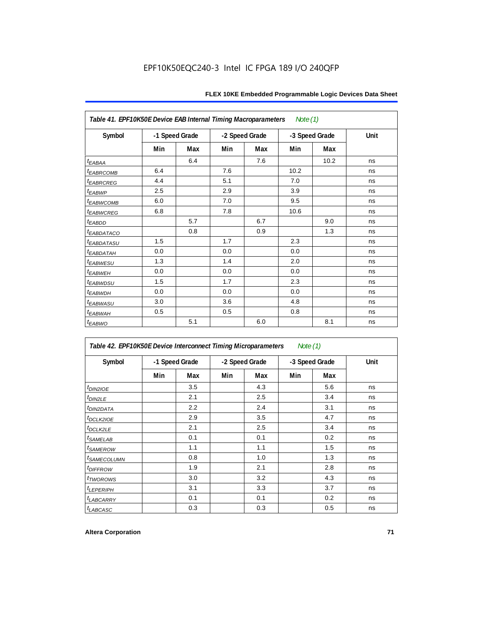| Note (1)<br>Table 41. EPF10K50E Device EAB Internal Timing Macroparameters |                |     |                |     |      |                |      |  |  |
|----------------------------------------------------------------------------|----------------|-----|----------------|-----|------|----------------|------|--|--|
| Symbol                                                                     | -1 Speed Grade |     | -2 Speed Grade |     |      | -3 Speed Grade | Unit |  |  |
|                                                                            | Min            | Max | Min            | Max | Min  | Max            |      |  |  |
| $t_{EABA}$                                                                 |                | 6.4 |                | 7.6 |      | 10.2           | ns   |  |  |
| <b><i>EABRCOMB</i></b>                                                     | 6.4            |     | 7.6            |     | 10.2 |                | ns   |  |  |
| t <sub>EABRCREG</sub>                                                      | 4.4            |     | 5.1            |     | 7.0  |                | ns   |  |  |
| t <sub>EABWP</sub>                                                         | 2.5            |     | 2.9            |     | 3.9  |                | ns   |  |  |
| <sup>t</sup> EABWCOMB                                                      | 6.0            |     | 7.0            |     | 9.5  |                | ns   |  |  |
| <sup>t</sup> EABWCREG                                                      | 6.8            |     | 7.8            |     | 10.6 |                | ns   |  |  |
| t <sub>EABDD</sub>                                                         |                | 5.7 |                | 6.7 |      | 9.0            | ns   |  |  |
| <sup>t</sup> EABDATACO                                                     |                | 0.8 |                | 0.9 |      | 1.3            | ns   |  |  |
| <sup>t</sup> EABDATASU                                                     | 1.5            |     | 1.7            |     | 2.3  |                | ns   |  |  |
| t <sub>eabdatah</sub>                                                      | 0.0            |     | 0.0            |     | 0.0  |                | ns   |  |  |
| <sup>t</sup> EABWESU                                                       | 1.3            |     | 1.4            |     | 2.0  |                | ns   |  |  |
| t <sub>EABWEH</sub>                                                        | 0.0            |     | 0.0            |     | 0.0  |                | ns   |  |  |
| <i>t<sub>EABWDSU</sub></i>                                                 | 1.5            |     | 1.7            |     | 2.3  |                | ns   |  |  |
| <sup>t</sup> EABWDH                                                        | 0.0            |     | 0.0            |     | 0.0  |                | ns   |  |  |
| t <sub>EABWASU</sub>                                                       | 3.0            |     | 3.6            |     | 4.8  |                | ns   |  |  |
| t <sub>EABWAH</sub>                                                        | 0.5            |     | 0.5            |     | 0.8  |                | ns   |  |  |
| $t_{EABWO}$                                                                |                | 5.1 |                | 6.0 |      | 8.1            | ns   |  |  |

| Table 42. EPF10K50E Device Interconnect Timing Microparameters |                |     |                |     | Note (1)       |     |      |
|----------------------------------------------------------------|----------------|-----|----------------|-----|----------------|-----|------|
| Symbol                                                         | -1 Speed Grade |     | -2 Speed Grade |     | -3 Speed Grade |     | Unit |
|                                                                | Min            | Max | Min            | Max | Min            | Max |      |
| $t_{DIN2IOE}$                                                  |                | 3.5 |                | 4.3 |                | 5.6 | ns   |
| t <sub>DIN2LE</sub>                                            |                | 2.1 |                | 2.5 |                | 3.4 | ns   |
| <sup>t</sup> DIN2DATA                                          |                | 2.2 |                | 2.4 |                | 3.1 | ns   |
| t <sub>DCLK2IOE</sub>                                          |                | 2.9 |                | 3.5 |                | 4.7 | ns   |
| t <sub>DCLK2LE</sub>                                           |                | 2.1 |                | 2.5 |                | 3.4 | ns   |
| <i>t</i> SAMELAB                                               |                | 0.1 |                | 0.1 |                | 0.2 | ns   |
| <i>t</i> SAMEROW                                               |                | 1.1 |                | 1.1 |                | 1.5 | ns   |
| <i><b>ISAMECOLUMN</b></i>                                      |                | 0.8 |                | 1.0 |                | 1.3 | ns   |
| <i>t<sub>DIFFROW</sub></i>                                     |                | 1.9 |                | 2.1 |                | 2.8 | ns   |
| <i>t</i> TWOROWS                                               |                | 3.0 |                | 3.2 |                | 4.3 | ns   |
| <sup>t</sup> LEPERIPH                                          |                | 3.1 |                | 3.3 |                | 3.7 | ns   |
| <b>LABCARRY</b>                                                |                | 0.1 |                | 0.1 |                | 0.2 | ns   |
| t <sub>LABCASC</sub>                                           |                | 0.3 |                | 0.3 |                | 0.5 | ns   |

 $\mathsf{r}$ 

٦Ì,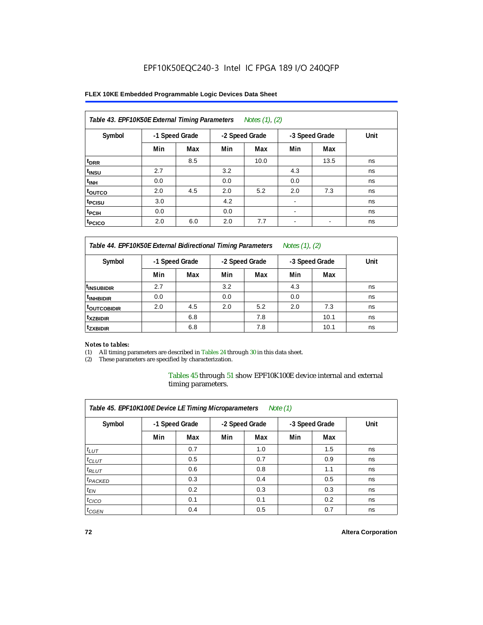#### **FLEX 10KE Embedded Programmable Logic Devices Data Sheet**

| Table 43. EPF10K50E External Timing Parameters<br>Notes (1), (2) |                |     |                |      |                          |      |      |  |  |  |
|------------------------------------------------------------------|----------------|-----|----------------|------|--------------------------|------|------|--|--|--|
| Symbol                                                           | -1 Speed Grade |     | -2 Speed Grade |      | -3 Speed Grade           |      | Unit |  |  |  |
|                                                                  | Min            | Max | Min            | Max  | Min                      | Max  |      |  |  |  |
| t <sub>DRR</sub>                                                 |                | 8.5 |                | 10.0 |                          | 13.5 | ns   |  |  |  |
| t <sub>insu</sub>                                                | 2.7            |     | 3.2            |      | 4.3                      |      | ns   |  |  |  |
| $t_{\text{INH}}$                                                 | 0.0            |     | 0.0            |      | 0.0                      |      | ns   |  |  |  |
| toutco                                                           | 2.0            | 4.5 | 2.0            | 5.2  | 2.0                      | 7.3  | ns   |  |  |  |
| t <sub>PCISU</sub>                                               | 3.0            |     | 4.2            |      |                          |      | ns   |  |  |  |
| <sup>t</sup> PCIH                                                | 0.0            |     | 0.0            |      | $\overline{\phantom{a}}$ |      | ns   |  |  |  |
| <sup>t</sup> PCICO                                               | 2.0            | 6.0 | 2.0            | 7.7  | $\blacksquare$           |      | ns   |  |  |  |

*Table 44. EPF10K50E External Bidirectional Timing Parameters Notes (1), (2)*

| Symbol                   | -1 Speed Grade |     | -2 Speed Grade |     | -3 Speed Grade |      | Unit |
|--------------------------|----------------|-----|----------------|-----|----------------|------|------|
|                          | Min            | Max | Min            | Max | Min            | Max  |      |
| I <sup>t</sup> insubidir | 2.7            |     | 3.2            |     | 4.3            |      | ns   |
| <sup>t</sup> INHBIDIR    | 0.0            |     | 0.0            |     | 0.0            |      | ns   |
| <b>LOUTCOBIDIR</b>       | 2.0            | 4.5 | 2.0            | 5.2 | 2.0            | 7.3  | ns   |
| <sup>t</sup> xzbidir     |                | 6.8 |                | 7.8 |                | 10.1 | ns   |
| <sup>t</sup> zxbidir     |                | 6.8 |                | 7.8 |                | 10.1 | ns   |

#### *Notes to tables:*

(1) All timing parameters are described in Tables 24 through 30 in this data sheet.

(2) These parameters are specified by characterization.

Tables 45 through 51 show EPF10K100E device internal and external timing parameters.

| Table 45. EPF10K100E Device LE Timing Microparameters<br>Note $(1)$ |                |     |                |     |                |     |      |  |  |  |  |
|---------------------------------------------------------------------|----------------|-----|----------------|-----|----------------|-----|------|--|--|--|--|
| Symbol                                                              | -1 Speed Grade |     | -2 Speed Grade |     | -3 Speed Grade |     | Unit |  |  |  |  |
|                                                                     | Min            | Max | Min            | Max | Min            | Max |      |  |  |  |  |
| $t_{LUT}$                                                           |                | 0.7 |                | 1.0 |                | 1.5 | ns   |  |  |  |  |
| $t_{CLUT}$                                                          |                | 0.5 |                | 0.7 |                | 0.9 | ns   |  |  |  |  |
| $t_{RLUT}$                                                          |                | 0.6 |                | 0.8 |                | 1.1 | ns   |  |  |  |  |
| <sup>t</sup> PACKED                                                 |                | 0.3 |                | 0.4 |                | 0.5 | ns   |  |  |  |  |
| $t_{EN}$                                                            |                | 0.2 |                | 0.3 |                | 0.3 | ns   |  |  |  |  |
| $t_{CICO}$                                                          |                | 0.1 |                | 0.1 |                | 0.2 | ns   |  |  |  |  |
| $t_{\text{GEN}}$                                                    |                | 0.4 |                | 0.5 |                | 0.7 | ns   |  |  |  |  |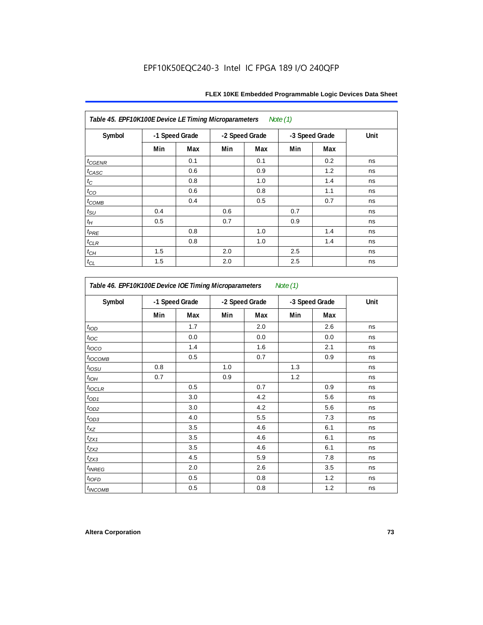| Table 45. EPF10K100E Device LE Timing Microparameters Note (1) |                |     |     |                |     |                |      |  |  |  |
|----------------------------------------------------------------|----------------|-----|-----|----------------|-----|----------------|------|--|--|--|
| Symbol                                                         | -1 Speed Grade |     |     | -2 Speed Grade |     | -3 Speed Grade | Unit |  |  |  |
|                                                                | Min            | Max | Min | Max            | Min | Max            |      |  |  |  |
| $t_{GENR}$                                                     |                | 0.1 |     | 0.1            |     | 0.2            | ns   |  |  |  |
| $t_{CASC}$                                                     |                | 0.6 |     | 0.9            |     | 1.2            | ns   |  |  |  |
| $t_{\rm C}$                                                    |                | 0.8 |     | 1.0            |     | 1.4            | ns   |  |  |  |
| $t_{CO}$                                                       |                | 0.6 |     | 0.8            |     | 1.1            | ns   |  |  |  |
| $t_{COMB}$                                                     |                | 0.4 |     | 0.5            |     | 0.7            | ns   |  |  |  |
| $t_{\text{SU}}$                                                | 0.4            |     | 0.6 |                | 0.7 |                | ns   |  |  |  |
| $t_H\,$                                                        | 0.5            |     | 0.7 |                | 0.9 |                | ns   |  |  |  |
| $t_{PRE}$                                                      |                | 0.8 |     | 1.0            |     | 1.4            | ns   |  |  |  |
| $t_{\mathrm{CLR}}$                                             |                | 0.8 |     | 1.0            |     | 1.4            | ns   |  |  |  |
| $t_{\mathit{CH}}$                                              | 1.5            |     | 2.0 |                | 2.5 |                | ns   |  |  |  |
| $t_{CL}$                                                       | 1.5            |     | 2.0 |                | 2.5 |                | ns   |  |  |  |

| Symbol                   |     | -1 Speed Grade |     | -2 Speed Grade |     | -3 Speed Grade | Unit |
|--------------------------|-----|----------------|-----|----------------|-----|----------------|------|
|                          | Min | Max            | Min | Max            | Min | Max            |      |
| t <sub>IOD</sub>         |     | 1.7            |     | 2.0            |     | 2.6            | ns   |
| $t_{\text{loc}}$         |     | 0.0            |     | 0.0            |     | 0.0            | ns   |
| $t_{\text{IOCO}}$        |     | 1.4            |     | 1.6            |     | 2.1            | ns   |
| t <sub>IOCOMB</sub>      |     | 0.5            |     | 0.7            |     | 0.9            | ns   |
| $t_{IOSU}$               | 0.8 |                | 1.0 |                | 1.3 |                | ns   |
| $t_{IOH}$                | 0.7 |                | 0.9 |                | 1.2 |                | ns   |
| $t_{IOCLR}$              |     | 0.5            |     | 0.7            |     | 0.9            | ns   |
| $t_{OD1}$                |     | 3.0            |     | 4.2            |     | 5.6            | ns   |
| $t_{OD2}$                |     | 3.0            |     | 4.2            |     | 5.6            | ns   |
| $t_{OD3}$                |     | 4.0            |     | 5.5            |     | 7.3            | ns   |
| $t_{XZ}$                 |     | 3.5            |     | 4.6            |     | 6.1            | ns   |
| $t_{ZX1}$                |     | 3.5            |     | 4.6            |     | 6.1            | ns   |
| $t_{ZX2}$                |     | 3.5            |     | 4.6            |     | 6.1            | ns   |
| $t_{ZX3}$                |     | 4.5            |     | 5.9            |     | 7.8            | ns   |
| <i>t<sub>INREG</sub></i> |     | 2.0            |     | 2.6            |     | 3.5            | ns   |
| $t_{IOED}$               |     | 0.5            |     | 0.8            |     | 1.2            | ns   |
| <sup>t</sup> INCOMB      |     | 0.5            |     | 0.8            |     | 1.2            | ns   |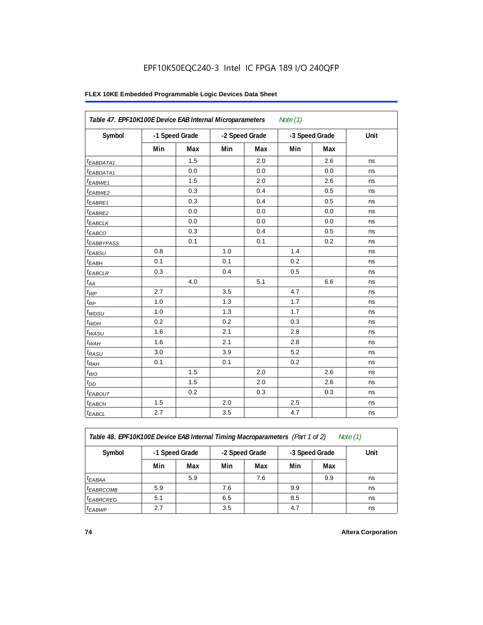#### **FLEX 10KE Embedded Programmable Logic Devices Data Sheet**

| Table 47. EPF10K100E Device EAB Internal Microparameters<br>Note $(1)$ |     |                |     |                |     |                |      |  |  |  |  |
|------------------------------------------------------------------------|-----|----------------|-----|----------------|-----|----------------|------|--|--|--|--|
| Symbol                                                                 |     | -1 Speed Grade |     | -2 Speed Grade |     | -3 Speed Grade | Unit |  |  |  |  |
|                                                                        | Min | Max            | Min | Max            | Min | Max            |      |  |  |  |  |
| <sup>t</sup> EABDATA1                                                  |     | 1.5            |     | 2.0            |     | 2.6            | ns   |  |  |  |  |
| $t_{EABDATA1}$                                                         |     | 0.0            |     | 0.0            |     | 0.0            | ns   |  |  |  |  |
| $t_{EABWE1}$                                                           |     | 1.5            |     | 2.0            |     | 2.6            | ns   |  |  |  |  |
| t <sub>EABWE2</sub>                                                    |     | 0.3            |     | 0.4            |     | 0.5            | ns   |  |  |  |  |
| t <sub>EABRE1</sub>                                                    |     | 0.3            |     | 0.4            |     | 0.5            | ns   |  |  |  |  |
| $t_{EABRE2}$                                                           |     | 0.0            |     | 0.0            |     | 0.0            | ns   |  |  |  |  |
| $t_{EABCLK}$                                                           |     | 0.0            |     | 0.0            |     | 0.0            | ns   |  |  |  |  |
| $t_{EABCO}$                                                            |     | 0.3            |     | 0.4            |     | 0.5            | ns   |  |  |  |  |
| t <sub>EABBYPASS</sub>                                                 |     | 0.1            |     | 0.1            |     | 0.2            | ns   |  |  |  |  |
| $t_{EABSU}$                                                            | 0.8 |                | 1.0 |                | 1.4 |                | ns   |  |  |  |  |
| $t_{EABH}$                                                             | 0.1 |                | 0.1 |                | 0.2 |                | ns   |  |  |  |  |
| $t_{EABCLR}$                                                           | 0.3 |                | 0.4 |                | 0.5 |                | ns   |  |  |  |  |
| $t_{AA}$                                                               |     | 4.0            |     | 5.1            |     | 6.6            | ns   |  |  |  |  |
| $t_{WP}$                                                               | 2.7 |                | 3.5 |                | 4.7 |                | ns   |  |  |  |  |
| $t_{RP}$                                                               | 1.0 |                | 1.3 |                | 1.7 |                | ns   |  |  |  |  |
| $t_{WDSU}$                                                             | 1.0 |                | 1.3 |                | 1.7 |                | ns   |  |  |  |  |
| $t_{WDH}$                                                              | 0.2 |                | 0.2 |                | 0.3 |                | ns   |  |  |  |  |
| $t_{WASU}$                                                             | 1.6 |                | 2.1 |                | 2.8 |                | ns   |  |  |  |  |
| $t_{WAH}$                                                              | 1.6 |                | 2.1 |                | 2.8 |                | ns   |  |  |  |  |
| $t_{RASU}$                                                             | 3.0 |                | 3.9 |                | 5.2 |                | ns   |  |  |  |  |
| $t_{RAH}$                                                              | 0.1 |                | 0.1 |                | 0.2 |                | ns   |  |  |  |  |
| $t_{WO}$                                                               |     | 1.5            |     | 2.0            |     | 2.6            | ns   |  |  |  |  |
| $t_{DD}$                                                               |     | 1.5            |     | 2.0            |     | 2.6            | ns   |  |  |  |  |
| $t_{EABOUT}$                                                           |     | 0.2            |     | 0.3            |     | 0.3            | ns   |  |  |  |  |
| <sup>t</sup> EABCH                                                     | 1.5 |                | 2.0 |                | 2.5 |                | ns   |  |  |  |  |
| $t_{EABCL}$                                                            | 2.7 |                | 3.5 |                | 4.7 |                | ns   |  |  |  |  |

*Table 48. EPF10K100E Device EAB Internal Timing Macroparameters (Part 1 of 2)* 

| Note (1 |
|---------|
|---------|

| Symbol                | -1 Speed Grade |     |     | -2 Speed Grade |     | -3 Speed Grade | Unit |
|-----------------------|----------------|-----|-----|----------------|-----|----------------|------|
|                       | Min            | Max | Min | Max            | Min | Max            |      |
| $t_{EABA}$            |                | 5.9 |     | 7.6            |     | 9.9            | ns   |
| <sup>t</sup> EABRCOMB | 5.9            |     | 7.6 |                | 9.9 |                | ns   |
| <sup>I</sup> EABRCREG | 5.1            |     | 6.5 |                | 8.5 |                | ns   |
| <sup>t</sup> EABWP    | 2.7            |     | 3.5 |                | 4.7 |                | ns   |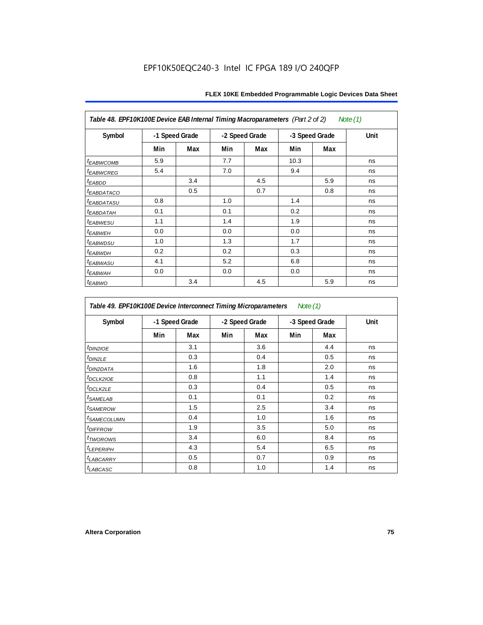| Table 48. EPF10K100E Device EAB Internal Timing Macroparameters (Part 2 of 2)<br>Note (1) |                |     |                |     |                |     |      |  |  |  |
|-------------------------------------------------------------------------------------------|----------------|-----|----------------|-----|----------------|-----|------|--|--|--|
| Symbol                                                                                    | -1 Speed Grade |     | -2 Speed Grade |     | -3 Speed Grade |     | Unit |  |  |  |
|                                                                                           | Min            | Max | Min            | Max | Min            | Max |      |  |  |  |
| <i><b>EABWCOMB</b></i>                                                                    | 5.9            |     | 7.7            |     | 10.3           |     | ns   |  |  |  |
| <sup>t</sup> EABWCREG                                                                     | 5.4            |     | 7.0            |     | 9.4            |     | ns   |  |  |  |
| <sup>t</sup> EABDD                                                                        |                | 3.4 |                | 4.5 |                | 5.9 | ns   |  |  |  |
| <b><i>EABDATACO</i></b>                                                                   |                | 0.5 |                | 0.7 |                | 0.8 | ns   |  |  |  |
| <sup>t</sup> EABDATASU                                                                    | 0.8            |     | 1.0            |     | 1.4            |     | ns   |  |  |  |
| <sup>t</sup> EABDATAH                                                                     | 0.1            |     | 0.1            |     | 0.2            |     | ns   |  |  |  |
| t <sub>EABWESU</sub>                                                                      | 1.1            |     | 1.4            |     | 1.9            |     | ns   |  |  |  |
| <sup>t</sup> EABWEH                                                                       | 0.0            |     | 0.0            |     | 0.0            |     | ns   |  |  |  |
| <sup>t</sup> EABWDSU                                                                      | 1.0            |     | 1.3            |     | 1.7            |     | ns   |  |  |  |
| <sup>t</sup> EABWDH                                                                       | 0.2            |     | 0.2            |     | 0.3            |     | ns   |  |  |  |
| <sup>t</sup> EABWASU                                                                      | 4.1            |     | 5.2            |     | 6.8            |     | ns   |  |  |  |
| <sup>t</sup> ЕАВWАН                                                                       | 0.0            |     | 0.0            |     | 0.0            |     | ns   |  |  |  |
| t <sub>EABWO</sub>                                                                        |                | 3.4 |                | 4.5 |                | 5.9 | ns   |  |  |  |

*Table 49. EPF10K100E Device Interconnect Timing Microparameters Note (1)*

| Symbol                        |     | -1 Speed Grade |     | -2 Speed Grade |     | -3 Speed Grade | Unit |
|-------------------------------|-----|----------------|-----|----------------|-----|----------------|------|
|                               | Min | Max            | Min | Max            | Min | Max            |      |
| $tD$ IN2IOE                   |     | 3.1            |     | 3.6            |     | 4.4            | ns   |
| t <sub>DIN2LE</sub>           |     | 0.3            |     | 0.4            |     | 0.5            | ns   |
| <sup>t</sup> DIN2DATA         |     | 1.6            |     | 1.8            |     | 2.0            | ns   |
| $t_{DCLK2IOE}$                |     | 0.8            |     | 1.1            |     | 1.4            | ns   |
| $t$ DCLK2LE                   |     | 0.3            |     | 0.4            |     | 0.5            | ns   |
| <sup>t</sup> SAMELAB          |     | 0.1            |     | 0.1            |     | 0.2            | ns   |
| <i>t</i> SAMEROW              |     | 1.5            |     | 2.5            |     | 3.4            | ns   |
| <i>t<sub>SAMECOLUMN</sub></i> |     | 0.4            |     | 1.0            |     | 1.6            | ns   |
| <i>t<sub>DIFFROW</sub></i>    |     | 1.9            |     | 3.5            |     | 5.0            | ns   |
| <i>t</i> TWOROWS              |     | 3.4            |     | 6.0            |     | 8.4            | ns   |
| <b><i>LEPERIPH</i></b>        |     | 4.3            |     | 5.4            |     | 6.5            | ns   |
| t <sub>LABCARRY</sub>         |     | 0.5            |     | 0.7            |     | 0.9            | ns   |
| $t_{LABCASC}$                 |     | 0.8            |     | 1.0            |     | 1.4            | ns   |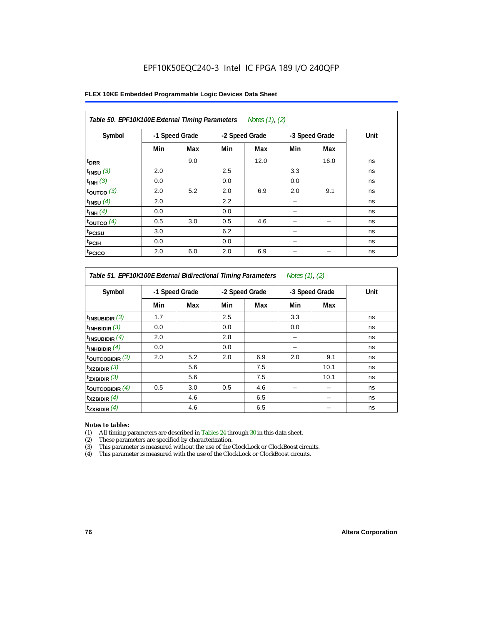#### **FLEX 10KE Embedded Programmable Logic Devices Data Sheet**

| Table 50. EPF10K100E External Timing Parameters Notes (1), (2) |                |     |                |      |                |      |      |  |  |  |
|----------------------------------------------------------------|----------------|-----|----------------|------|----------------|------|------|--|--|--|
| Symbol                                                         | -1 Speed Grade |     | -2 Speed Grade |      | -3 Speed Grade |      | Unit |  |  |  |
|                                                                | Min            | Max | Min            | Max  | Min            | Max  |      |  |  |  |
| t <sub>DRR</sub>                                               |                | 9.0 |                | 12.0 |                | 16.0 | ns   |  |  |  |
| $t_{INSU}$ (3)                                                 | 2.0            |     | 2.5            |      | 3.3            |      | ns   |  |  |  |
| $t_{INH}$ (3)                                                  | 0.0            |     | 0.0            |      | 0.0            |      | ns   |  |  |  |
| $t_{OUTCO}$ (3)                                                | 2.0            | 5.2 | 2.0            | 6.9  | 2.0            | 9.1  | ns   |  |  |  |
| $t_{INSU}$ (4)                                                 | 2.0            |     | 2.2            |      |                |      | ns   |  |  |  |
| $t_{INH}$ (4)                                                  | 0.0            |     | 0.0            |      |                |      | ns   |  |  |  |
| $t_{OUTCO}$ (4)                                                | 0.5            | 3.0 | 0.5            | 4.6  |                |      | ns   |  |  |  |
| t <sub>PCISU</sub>                                             | 3.0            |     | 6.2            |      |                |      | ns   |  |  |  |
| t <sub>PCIH</sub>                                              | 0.0            |     | 0.0            |      | -              |      | ns   |  |  |  |
| <sup>t</sup> PCICO                                             | 2.0            | 6.0 | 2.0            | 6.9  |                |      | ns   |  |  |  |

#### *Table 51. EPF10K100E External Bidirectional Timing Parameters Notes (1), (2)*

| Symbol                      |     | -1 Speed Grade |     | -2 Speed Grade |     | -3 Speed Grade | Unit |
|-----------------------------|-----|----------------|-----|----------------|-----|----------------|------|
|                             | Min | Max            | Min | Max            | Min | Max            |      |
| $t_{INSUBIDIR}$ (3)         | 1.7 |                | 2.5 |                | 3.3 |                | ns   |
| $t_{INHBIDIR}$ (3)          | 0.0 |                | 0.0 |                | 0.0 |                | ns   |
| $t_{INSUBIDIR}(4)$          | 2.0 |                | 2.8 |                |     |                | ns   |
| $t_{INHBIDIR}$ $(4)$        | 0.0 |                | 0.0 |                |     |                | ns   |
| $t_{\text{OUTCOBIDIR}}$ (3) | 2.0 | 5.2            | 2.0 | 6.9            | 2.0 | 9.1            | ns   |
| $t_{XZBIDIR}$ (3)           |     | 5.6            |     | 7.5            |     | 10.1           | ns   |
| $t_{ZXBIDIR}$ (3)           |     | 5.6            |     | 7.5            |     | 10.1           | ns   |
| $t_{\text{OUTCOBIDIR}}$ (4) | 0.5 | 3.0            | 0.5 | 4.6            |     |                | ns   |
| $t_{XZBIDIR}$ (4)           |     | 4.6            |     | 6.5            |     |                | ns   |
| $t_{ZXBIDIR}$ (4)           |     | 4.6            |     | 6.5            |     |                | ns   |

#### *Notes to tables:*

(1) All timing parameters are described in Tables 24 through 30 in this data sheet.

(2) These parameters are specified by characterization.

(3) This parameter is measured without the use of the ClockLock or ClockBoost circuits.

(4) This parameter is measured with the use of the ClockLock or ClockBoost circuits.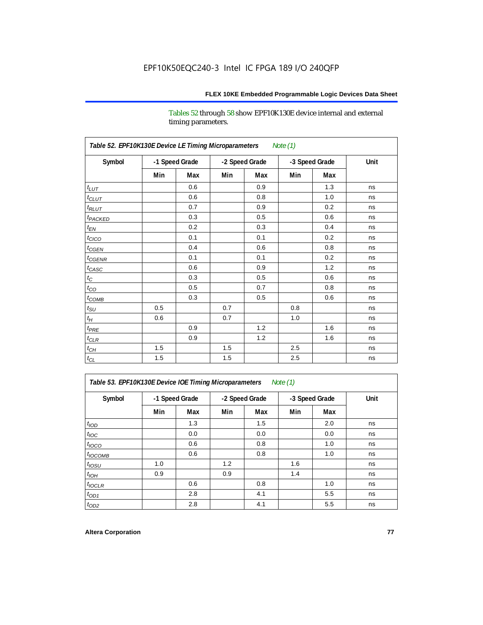Tables 52 through 58 show EPF10K130E device internal and external timing parameters.

| Table 52. EPF10K130E Device LE Timing Microparameters<br><b>Note (1)</b> |                |     |     |                |     |                |      |  |  |  |
|--------------------------------------------------------------------------|----------------|-----|-----|----------------|-----|----------------|------|--|--|--|
| Symbol                                                                   | -1 Speed Grade |     |     | -2 Speed Grade |     | -3 Speed Grade | Unit |  |  |  |
|                                                                          | Min            | Max | Min | Max            | Min | Max            |      |  |  |  |
| $t_{LUT}$                                                                |                | 0.6 |     | 0.9            |     | 1.3            | ns   |  |  |  |
| $t_{CLUT}$                                                               |                | 0.6 |     | 0.8            |     | 1.0            | ns   |  |  |  |
| $t_{RLUT}$                                                               |                | 0.7 |     | 0.9            |     | 0.2            | ns   |  |  |  |
| t <sub>PACKED</sub>                                                      |                | 0.3 |     | 0.5            |     | 0.6            | ns   |  |  |  |
| $t_{EN}$                                                                 |                | 0.2 |     | 0.3            |     | 0.4            | ns   |  |  |  |
| $t_{CICO}$                                                               |                | 0.1 |     | 0.1            |     | 0.2            | ns   |  |  |  |
| $t_{CGEN}$                                                               |                | 0.4 |     | 0.6            |     | 0.8            | ns   |  |  |  |
| $t_{CGENR}$                                                              |                | 0.1 |     | 0.1            |     | 0.2            | ns   |  |  |  |
| $t_{CASC}$                                                               |                | 0.6 |     | 0.9            |     | 1.2            | ns   |  |  |  |
| $t_{\rm C}$                                                              |                | 0.3 |     | 0.5            |     | 0.6            | ns   |  |  |  |
| $t_{CO}$                                                                 |                | 0.5 |     | 0.7            |     | 0.8            | ns   |  |  |  |
| $t_{\text{COMB}}$                                                        |                | 0.3 |     | 0.5            |     | 0.6            | ns   |  |  |  |
| $t_{\rm SU}$                                                             | 0.5            |     | 0.7 |                | 0.8 |                | ns   |  |  |  |
| $t_H$                                                                    | 0.6            |     | 0.7 |                | 1.0 |                | ns   |  |  |  |
| $t_{PRE}$                                                                |                | 0.9 |     | 1.2            |     | 1.6            | ns   |  |  |  |
| $t_{CLR}$                                                                |                | 0.9 |     | 1.2            |     | 1.6            | ns   |  |  |  |
| $t_{CH}$                                                                 | 1.5            |     | 1.5 |                | 2.5 |                | ns   |  |  |  |
| $t_{\rm CL}$                                                             | 1.5            |     | 1.5 |                | 2.5 |                | ns   |  |  |  |

*Table 53. EPF10K130E Device IOE Timing Microparameters Note (1)*

| Symbol           |                |     |                |     | -3 Speed Grade |     | Unit |
|------------------|----------------|-----|----------------|-----|----------------|-----|------|
|                  | -1 Speed Grade |     | -2 Speed Grade |     |                |     |      |
|                  | Min            | Max | Min            | Max | Min            | Max |      |
| t <sub>IOD</sub> |                | 1.3 |                | 1.5 |                | 2.0 | ns   |
| $t_{\text{IOC}}$ |                | 0.0 |                | 0.0 |                | 0.0 | ns   |
| $t_{IOCO}$       |                | 0.6 |                | 0.8 |                | 1.0 | ns   |
| $t_{IOCOMB}$     |                | 0.6 |                | 0.8 |                | 1.0 | ns   |
| $t_{IOSU}$       | 1.0            |     | 1.2            |     | 1.6            |     | ns   |
| $t_{IOH}$        | 0.9            |     | 0.9            |     | 1.4            |     | ns   |
| $t_{IOCLR}$      |                | 0.6 |                | 0.8 |                | 1.0 | ns   |
| $t_{OD1}$        |                | 2.8 |                | 4.1 |                | 5.5 | ns   |
| $t_{OD2}$        |                | 2.8 |                | 4.1 |                | 5.5 | ns   |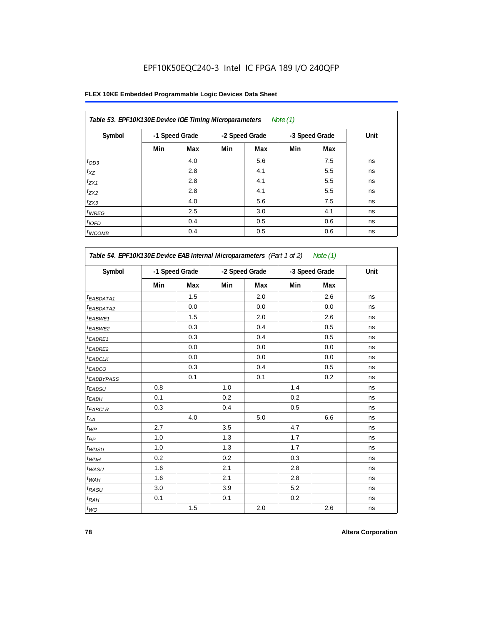#### **FLEX 10KE Embedded Programmable Logic Devices Data Sheet**

| Table 53. EPF10K130E Device IOE Timing Microparameters<br>Note $(1)$ |                |     |     |                |     |                |      |  |  |  |  |
|----------------------------------------------------------------------|----------------|-----|-----|----------------|-----|----------------|------|--|--|--|--|
| Symbol                                                               | -1 Speed Grade |     |     | -2 Speed Grade |     | -3 Speed Grade | Unit |  |  |  |  |
|                                                                      | Min            | Max | Min | Max            | Min | Max            |      |  |  |  |  |
| $t_{OD3}$                                                            |                | 4.0 |     | 5.6            |     | 7.5            | ns   |  |  |  |  |
| $t_{XZ}$                                                             |                | 2.8 |     | 4.1            |     | 5.5            | ns   |  |  |  |  |
| $t_{ZX1}$                                                            |                | 2.8 |     | 4.1            |     | 5.5            | ns   |  |  |  |  |
| $t_{ZX2}$                                                            |                | 2.8 |     | 4.1            |     | 5.5            | ns   |  |  |  |  |
| $t_{ZX3}$                                                            |                | 4.0 |     | 5.6            |     | 7.5            | ns   |  |  |  |  |
| $t_{INREG}$                                                          |                | 2.5 |     | 3.0            |     | 4.1            | ns   |  |  |  |  |
| $t_{IOFD}$                                                           |                | 0.4 |     | 0.5            |     | 0.6            | ns   |  |  |  |  |
| $t_{INCOMB}$                                                         |                | 0.4 |     | 0.5            |     | 0.6            | ns   |  |  |  |  |

| Symbol                 | -1 Speed Grade |     | -2 Speed Grade |     | -3 Speed Grade |     | Unit |
|------------------------|----------------|-----|----------------|-----|----------------|-----|------|
|                        | Min            | Max | Min            | Max | Min            | Max |      |
| <sup>t</sup> EABDATA1  |                | 1.5 |                | 2.0 |                | 2.6 | ns   |
| <sup>t</sup> EABDATA2  |                | 0.0 |                | 0.0 |                | 0.0 | ns   |
| t <sub>EABWE1</sub>    |                | 1.5 |                | 2.0 |                | 2.6 | ns   |
| t <sub>EABWE2</sub>    |                | 0.3 |                | 0.4 |                | 0.5 | ns   |
| t <sub>EABRE1</sub>    |                | 0.3 |                | 0.4 |                | 0.5 | ns   |
| <sup>t</sup> EABRE2    |                | 0.0 |                | 0.0 |                | 0.0 | ns   |
| <sup>t</sup> EABCLK    |                | 0.0 |                | 0.0 |                | 0.0 | ns   |
| t <sub>EABCO</sub>     |                | 0.3 |                | 0.4 |                | 0.5 | ns   |
| t <sub>EABBYPASS</sub> |                | 0.1 |                | 0.1 |                | 0.2 | ns   |
| t <sub>EABSU</sub>     | 0.8            |     | 1.0            |     | 1.4            |     | ns   |
| t <sub>ЕАВН</sub>      | 0.1            |     | 0.2            |     | 0.2            |     | ns   |
| <sup>t</sup> EABCLR    | 0.3            |     | 0.4            |     | 0.5            |     | ns   |
| t <sub>АА</sub>        |                | 4.0 |                | 5.0 |                | 6.6 | ns   |
| $t_{\mathcal{WP}}$     | 2.7            |     | 3.5            |     | 4.7            |     | ns   |
| $t_{\mathsf{RP}}$      | 1.0            |     | 1.3            |     | 1.7            |     | ns   |
| ${}^t\!$ wdsu          | 1.0            |     | 1.3            |     | 1.7            |     | ns   |
| $t_{WDH}$              | 0.2            |     | 0.2            |     | 0.3            |     | ns   |
| t <sub>WASU</sub>      | 1.6            |     | 2.1            |     | 2.8            |     | ns   |
| $t_{WAH}$              | 1.6            |     | 2.1            |     | 2.8            |     | ns   |
| t <sub>RASU</sub>      | 3.0            |     | 3.9            |     | 5.2            |     | ns   |
| $t_{RAH}$              | 0.1            |     | 0.1            |     | 0.2            |     | ns   |
| $t_{WO}$               |                | 1.5 |                | 2.0 |                | 2.6 | ns   |

**78 Altera Corporation**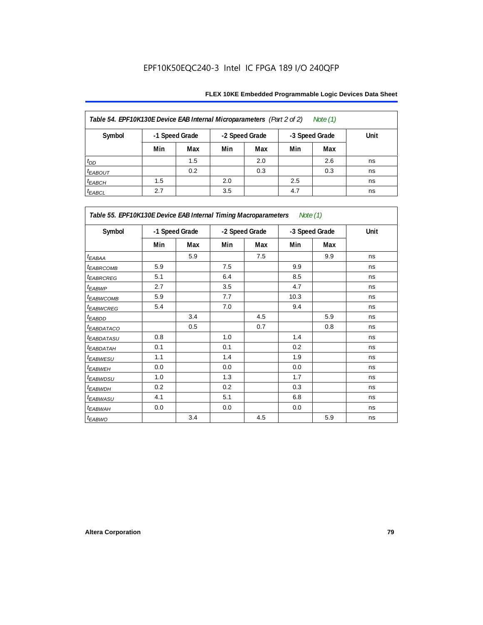| Table 54. EPF10K130E Device EAB Internal Microparameters (Part 2 of 2)<br>Note (1) |     |                |     |                |     |                |      |  |  |  |
|------------------------------------------------------------------------------------|-----|----------------|-----|----------------|-----|----------------|------|--|--|--|
| Symbol                                                                             |     | -1 Speed Grade |     | -2 Speed Grade |     | -3 Speed Grade | Unit |  |  |  |
|                                                                                    | Min | Max            | Min | Max            | Min | Max            |      |  |  |  |
| $t_{DD}$                                                                           |     | 1.5            |     | 2.0            |     | 2.6            | ns   |  |  |  |
| <b><i>EABOUT</i></b>                                                               |     | 0.2            |     | 0.3            |     | 0.3            | ns   |  |  |  |
| $t_{EABCH}$                                                                        | 1.5 |                | 2.0 |                | 2.5 |                | ns   |  |  |  |
| $t_{EABCL}$                                                                        | 2.7 |                | 3.5 |                | 4.7 |                | ns   |  |  |  |

| Table 55. EPF10K130E Device EAB Internal Timing Macroparameters Note (1) |     |                |     |                |      |                |             |
|--------------------------------------------------------------------------|-----|----------------|-----|----------------|------|----------------|-------------|
| Symbol                                                                   |     | -1 Speed Grade |     | -2 Speed Grade |      | -3 Speed Grade | <b>Unit</b> |
|                                                                          | Min | Max            | Min | Max            | Min  | Max            |             |
| $t_{EABA}$                                                               |     | 5.9            |     | 7.5            |      | 9.9            | ns          |
| <sup>t</sup> EABRCOMB                                                    | 5.9 |                | 7.5 |                | 9.9  |                | ns          |
| <b><i>EABROREG</i></b>                                                   | 5.1 |                | 6.4 |                | 8.5  |                | ns          |
| t <sub>EABWP</sub>                                                       | 2.7 |                | 3.5 |                | 4.7  |                | ns          |
| <sup>t</sup> EABWCOMB                                                    | 5.9 |                | 7.7 |                | 10.3 |                | ns          |
| <sup>t</sup> EABWCREG                                                    | 5.4 |                | 7.0 |                | 9.4  |                | ns          |
| <sup>t</sup> EABDD                                                       |     | 3.4            |     | 4.5            |      | 5.9            | ns          |
| <sup>t</sup> EABDATACO                                                   |     | 0.5            |     | 0.7            |      | 0.8            | ns          |
| <sup>t</sup> EABDATASU                                                   | 0.8 |                | 1.0 |                | 1.4  |                | ns          |
| <sup>t</sup> EABDATAH                                                    | 0.1 |                | 0.1 |                | 0.2  |                | ns          |
| <sup>t</sup> EABWESU                                                     | 1.1 |                | 1.4 |                | 1.9  |                | ns          |
| <sup>t</sup> EABWEH                                                      | 0.0 |                | 0.0 |                | 0.0  |                | ns          |
| <sup>t</sup> EABWDSU                                                     | 1.0 |                | 1.3 |                | 1.7  |                | ns          |
| <sup>t</sup> EABWDH                                                      | 0.2 |                | 0.2 |                | 0.3  |                | ns          |
| <sup>t</sup> EABWASU                                                     | 4.1 |                | 5.1 |                | 6.8  |                | ns          |
| <sup>t</sup> EABWAH                                                      | 0.0 |                | 0.0 |                | 0.0  |                | ns          |
| t <sub>EABWO</sub>                                                       |     | 3.4            |     | 4.5            |      | 5.9            | ns          |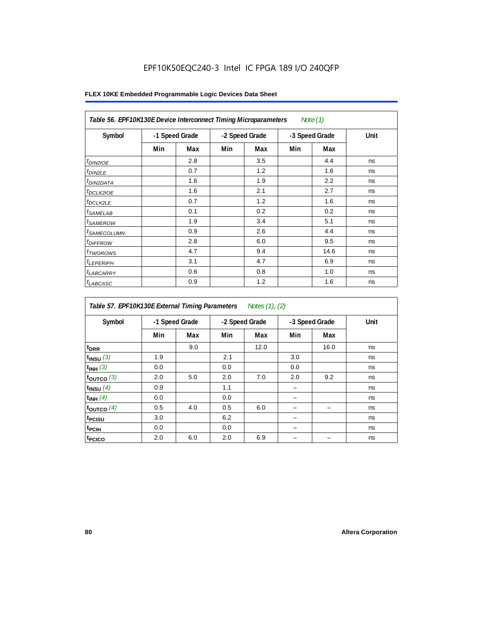| Table 56. EPF10K130E Device Interconnect Timing Microparameters<br>Note $(1)$ |                |     |                |     |                |      |      |  |  |  |
|-------------------------------------------------------------------------------|----------------|-----|----------------|-----|----------------|------|------|--|--|--|
| Symbol                                                                        | -1 Speed Grade |     | -2 Speed Grade |     | -3 Speed Grade |      | Unit |  |  |  |
|                                                                               | Min            | Max | Min            | Max | Min            | Max  |      |  |  |  |
| $t_{DIN2IOE}$                                                                 |                | 2.8 |                | 3.5 |                | 4.4  | ns   |  |  |  |
| $t_{DIN2LE}$                                                                  |                | 0.7 |                | 1.2 |                | 1.6  | ns   |  |  |  |
| <sup>t</sup> DIN2DATA                                                         |                | 1.6 |                | 1.9 |                | 2.2  | ns   |  |  |  |
| $t_{DCLK2IOE}$                                                                |                | 1.6 |                | 2.1 |                | 2.7  | ns   |  |  |  |
| $t_{DCLK2LE}$                                                                 |                | 0.7 |                | 1.2 |                | 1.6  | ns   |  |  |  |
| <sup>t</sup> SAMELAB                                                          |                | 0.1 |                | 0.2 |                | 0.2  | ns   |  |  |  |
| <i>t</i> SAMEROW                                                              |                | 1.9 |                | 3.4 |                | 5.1  | ns   |  |  |  |
| <sup>t</sup> SAMECOLUMN                                                       |                | 0.9 |                | 2.6 |                | 4.4  | ns   |  |  |  |
| <i>t<sub>DIFFROW</sub></i>                                                    |                | 2.8 |                | 6.0 |                | 9.5  | ns   |  |  |  |
| <sup>t</sup> TWOROWS                                                          |                | 4.7 |                | 9.4 |                | 14.6 | ns   |  |  |  |
| <sup>t</sup> LEPERIPH                                                         |                | 3.1 |                | 4.7 |                | 6.9  | ns   |  |  |  |
| <sup>t</sup> LABCARRY                                                         |                | 0.6 |                | 0.8 |                | 1.0  | ns   |  |  |  |
| <sup>t</sup> LABCASC                                                          |                | 0.9 |                | 1.2 |                | 1.6  | ns   |  |  |  |

| Table 57. EPF10K130E External Timing Parameters Notes (1), (2) |                |     |     |                |     |                |      |  |  |  |
|----------------------------------------------------------------|----------------|-----|-----|----------------|-----|----------------|------|--|--|--|
| Symbol                                                         | -1 Speed Grade |     |     | -2 Speed Grade |     | -3 Speed Grade | Unit |  |  |  |
|                                                                | Min            | Max | Min | Max            | Min | Max            |      |  |  |  |
| t <sub>DRR</sub>                                               |                | 9.0 |     | 12.0           |     | 16.0           | ns   |  |  |  |
| $t_{INSU}$ (3)                                                 | 1.9            |     | 2.1 |                | 3.0 |                | ns   |  |  |  |
| $t_{INH}$ (3)                                                  | 0.0            |     | 0.0 |                | 0.0 |                | ns   |  |  |  |
| $t_{OUTCO}$ (3)                                                | 2.0            | 5.0 | 2.0 | 7.0            | 2.0 | 9.2            | ns   |  |  |  |
| $t_{INSU}$ (4)                                                 | 0.9            |     | 1.1 |                |     |                | ns   |  |  |  |
| $t_{INH}$ (4)                                                  | 0.0            |     | 0.0 |                |     |                | ns   |  |  |  |
| toutco $(4)$                                                   | 0.5            | 4.0 | 0.5 | 6.0            |     |                | ns   |  |  |  |
| t <sub>PCISU</sub>                                             | 3.0            |     | 6.2 |                |     |                | ns   |  |  |  |
| $t_{PCH}$                                                      | 0.0            |     | 0.0 |                |     |                | ns   |  |  |  |
| <sup>t</sup> PCICO                                             | 2.0            | 6.0 | 2.0 | 6.9            |     |                | ns   |  |  |  |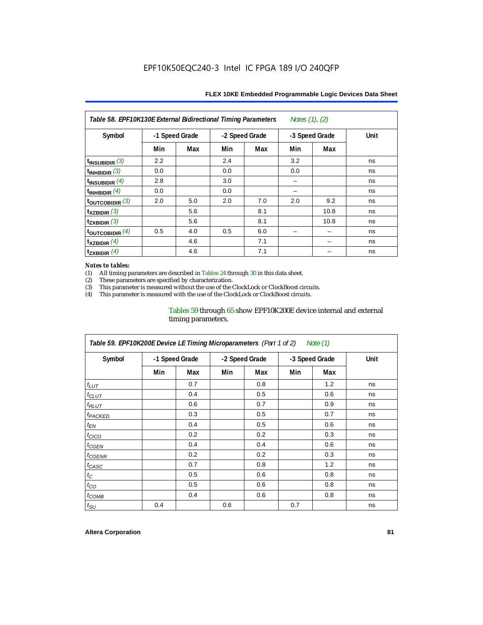| Table 58. EPF10K130E External Bidirectional Timing Parameters<br>Notes $(1)$ , $(2)$ |                |     |     |                |     |                |      |  |  |  |
|--------------------------------------------------------------------------------------|----------------|-----|-----|----------------|-----|----------------|------|--|--|--|
| Symbol                                                                               | -1 Speed Grade |     |     | -2 Speed Grade |     | -3 Speed Grade | Unit |  |  |  |
|                                                                                      | Min            | Max | Min | Max            | Min | Max            |      |  |  |  |
| $t_{INSUBIDIR}$ (3)                                                                  | 2.2            |     | 2.4 |                | 3.2 |                | ns   |  |  |  |
| $t_{INHBIDIR}$ (3)                                                                   | 0.0            |     | 0.0 |                | 0.0 |                | ns   |  |  |  |
| $t_{\text{INSUBIDIR}}$ (4)                                                           | 2.8            |     | 3.0 |                |     |                | ns   |  |  |  |
| $t_{INHBIDIR}$ $(4)$                                                                 | 0.0            |     | 0.0 |                |     |                | ns   |  |  |  |
| toutcobidir $(3)$                                                                    | 2.0            | 5.0 | 2.0 | 7.0            | 2.0 | 9.2            | ns   |  |  |  |
| $\mathsf{t}_{\mathsf{XZBIDIR}}$ (3)                                                  |                | 5.6 |     | 8.1            |     | 10.8           | ns   |  |  |  |
| $t_{ZXBIDIR}$ (3)                                                                    |                | 5.6 |     | 8.1            |     | 10.8           | ns   |  |  |  |
| toutcobidir $(4)$                                                                    | 0.5            | 4.0 | 0.5 | 6.0            |     |                | ns   |  |  |  |
| $t_{XZBIDIR}$ (4)                                                                    |                | 4.6 |     | 7.1            |     |                | ns   |  |  |  |
| $t_{\text{ZXBIDIR}}$ (4)                                                             |                | 4.6 |     | 7.1            |     |                | ns   |  |  |  |

#### *Notes to tables:*

(1) All timing parameters are described in Tables 24 through 30 in this data sheet.<br>(2) These parameters are specified by characterization.

(2) These parameters are specified by characterization.<br>
(3) This parameter is measured without the use of the C

This parameter is measured without the use of the ClockLock or ClockBoost circuits.

(4) This parameter is measured with the use of the ClockLock or ClockBoost circuits.

#### Tables 59 through 65 show EPF10K200E device internal and external timing parameters.

| Table 59. EPF10K200E Device LE Timing Microparameters (Part 1 of 2) Note (1) |                |     |     |                |                |     |      |  |  |  |
|------------------------------------------------------------------------------|----------------|-----|-----|----------------|----------------|-----|------|--|--|--|
| Symbol                                                                       | -1 Speed Grade |     |     | -2 Speed Grade | -3 Speed Grade |     | Unit |  |  |  |
|                                                                              | Min            | Max | Min | Max            | Min            | Max |      |  |  |  |
| $t_{LUT}$                                                                    |                | 0.7 |     | 0.8            |                | 1.2 | ns   |  |  |  |
| $t_{CLUT}$                                                                   |                | 0.4 |     | 0.5            |                | 0.6 | ns   |  |  |  |
| $t_{RLUT}$                                                                   |                | 0.6 |     | 0.7            |                | 0.9 | ns   |  |  |  |
| <sup>t</sup> PACKED                                                          |                | 0.3 |     | 0.5            |                | 0.7 | ns   |  |  |  |
| $t_{EN}$                                                                     |                | 0.4 |     | 0.5            |                | 0.6 | ns   |  |  |  |
| $t_{CICO}$                                                                   |                | 0.2 |     | 0.2            |                | 0.3 | ns   |  |  |  |
| $t_{GEN}$                                                                    |                | 0.4 |     | 0.4            |                | 0.6 | ns   |  |  |  |
| <sup>t</sup> CGENR                                                           |                | 0.2 |     | 0.2            |                | 0.3 | ns   |  |  |  |
| $t_{CASC}$                                                                   |                | 0.7 |     | 0.8            |                | 1.2 | ns   |  |  |  |
| $t_{\rm C}$                                                                  |                | 0.5 |     | 0.6            |                | 0.8 | ns   |  |  |  |
| $t_{CO}$                                                                     |                | 0.5 |     | 0.6            |                | 0.8 | ns   |  |  |  |
| $t_{COMB}$                                                                   |                | 0.4 |     | 0.6            |                | 0.8 | ns   |  |  |  |
| $t_{\text{SU}}$                                                              | 0.4            |     | 0.6 |                | 0.7            |     | ns   |  |  |  |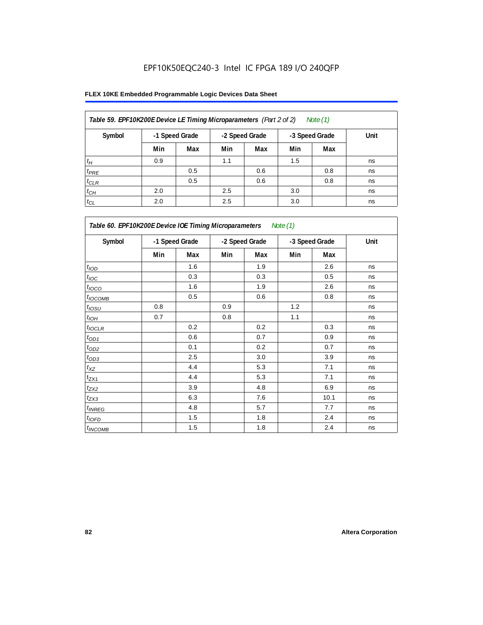| Table 59. EPF10K200E Device LE Timing Microparameters (Part 2 of 2) |     |                |     |                |     | Note (1)       |      |
|---------------------------------------------------------------------|-----|----------------|-----|----------------|-----|----------------|------|
| Symbol                                                              |     | -1 Speed Grade |     | -2 Speed Grade |     | -3 Speed Grade | Unit |
|                                                                     | Min | Max            | Min | Max            | Min | Max            |      |
| $t_H$                                                               | 0.9 |                | 1.1 |                | 1.5 |                | ns   |
| $t_{PRE}$                                                           |     | 0.5            |     | 0.6            |     | 0.8            | ns   |
| $t_{CLR}$                                                           |     | 0.5            |     | 0.6            |     | 0.8            | ns   |
| $t_{CH}$                                                            | 2.0 |                | 2.5 |                | 3.0 |                | ns   |
| $t_{CL}$                                                            | 2.0 |                | 2.5 |                | 3.0 |                | ns   |

| Table 60. EPF10K200E Device IOE Timing Microparameters Note (1) |                |     |                |     |                |      |      |  |  |
|-----------------------------------------------------------------|----------------|-----|----------------|-----|----------------|------|------|--|--|
| Symbol                                                          | -1 Speed Grade |     | -2 Speed Grade |     | -3 Speed Grade |      | Unit |  |  |
|                                                                 | Min            | Max | Min            | Max | Min            | Max  |      |  |  |
| t <sub>IOD</sub>                                                |                | 1.6 |                | 1.9 |                | 2.6  | ns   |  |  |
| $t_{\text{IOC}}$                                                |                | 0.3 |                | 0.3 |                | 0.5  | ns   |  |  |
| $t_{IOCO}$                                                      |                | 1.6 |                | 1.9 |                | 2.6  | ns   |  |  |
| $t_{IOCOMB}$                                                    |                | 0.5 |                | 0.6 |                | 0.8  | ns   |  |  |
| $t_{IOSU}$                                                      | 0.8            |     | 0.9            |     | 1.2            |      | ns   |  |  |
| $t_{IOH}$                                                       | 0.7            |     | 0.8            |     | 1.1            |      | ns   |  |  |
| $t_{IOCLR}$                                                     |                | 0.2 |                | 0.2 |                | 0.3  | ns   |  |  |
| $t_{OD1}$                                                       |                | 0.6 |                | 0.7 |                | 0.9  | ns   |  |  |
| $t_{OD2}$                                                       |                | 0.1 |                | 0.2 |                | 0.7  | ns   |  |  |
| $t_{\underline{OD3}}$                                           |                | 2.5 |                | 3.0 |                | 3.9  | ns   |  |  |
| $t_{\mathsf{XZ}}$                                               |                | 4.4 |                | 5.3 |                | 7.1  | ns   |  |  |
| $t_{ZX1}$                                                       |                | 4.4 |                | 5.3 |                | 7.1  | ns   |  |  |
| $t_{ZX2}$                                                       |                | 3.9 |                | 4.8 |                | 6.9  | ns   |  |  |
| $t_{ZX3}$                                                       |                | 6.3 |                | 7.6 |                | 10.1 | ns   |  |  |
| $t_{INREG}$                                                     |                | 4.8 |                | 5.7 |                | 7.7  | ns   |  |  |
| $t_{IOED}$                                                      |                | 1.5 |                | 1.8 |                | 2.4  | ns   |  |  |
| $t_{INCOMB}$                                                    |                | 1.5 |                | 1.8 |                | 2.4  | ns   |  |  |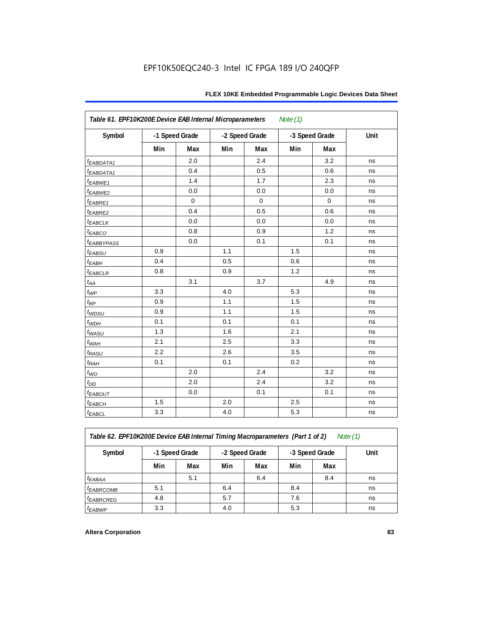| Table 61. EPF10K200E Device EAB Internal Microparameters<br>Note $(1)$ |                |             |                |             |                |             |      |  |  |
|------------------------------------------------------------------------|----------------|-------------|----------------|-------------|----------------|-------------|------|--|--|
| Symbol                                                                 | -1 Speed Grade |             | -2 Speed Grade |             | -3 Speed Grade |             | Unit |  |  |
|                                                                        | Min            | Max         | Min            | Max         | Min            | Max         |      |  |  |
| t <sub>EABDATA1</sub>                                                  |                | 2.0         |                | 2.4         |                | 3.2         | ns   |  |  |
| t <sub>EABDATA1</sub>                                                  |                | 0.4         |                | 0.5         |                | 0.6         | ns   |  |  |
| t <sub>EABWE1</sub>                                                    |                | 1.4         |                | 1.7         |                | 2.3         | ns   |  |  |
| t <sub>EABWE2</sub>                                                    |                | 0.0         |                | 0.0         |                | 0.0         | ns   |  |  |
| $t_{EABRE1}$                                                           |                | $\mathbf 0$ |                | $\mathbf 0$ |                | $\mathbf 0$ | ns   |  |  |
| $t_{EABRE2}$                                                           |                | 0.4         |                | 0.5         |                | 0.6         | ns   |  |  |
| $t_{EABCLK}$                                                           |                | 0.0         |                | 0.0         |                | 0.0         | ns   |  |  |
| $t_{EABCO}$                                                            |                | 0.8         |                | 0.9         |                | 1.2         | ns   |  |  |
| <i><b>EABBYPASS</b></i>                                                |                | 0.0         |                | 0.1         |                | 0.1         | ns   |  |  |
| $t_{EABSU}$                                                            | 0.9            |             | 1.1            |             | 1.5            |             | ns   |  |  |
| $t_{EABH}$                                                             | 0.4            |             | 0.5            |             | 0.6            |             | ns   |  |  |
| $t_{EABCLR}$                                                           | 0.8            |             | 0.9            |             | 1.2            |             | ns   |  |  |
| $t_{AA}$                                                               |                | 3.1         |                | 3.7         |                | 4.9         | ns   |  |  |
| $t_{WP}$                                                               | 3.3            |             | 4.0            |             | 5.3            |             | ns   |  |  |
| $t_{RP}$                                                               | 0.9            |             | 1.1            |             | 1.5            |             | ns   |  |  |
| t <sub>WDSU</sub>                                                      | 0.9            |             | 1.1            |             | 1.5            |             | ns   |  |  |
| $t_{WDH}$                                                              | 0.1            |             | 0.1            |             | 0.1            |             | ns   |  |  |
| $t_{WASU}$                                                             | 1.3            |             | 1.6            |             | 2.1            |             | ns   |  |  |
| $t_{\textit{WAH}}$                                                     | 2.1            |             | 2.5            |             | 3.3            |             | ns   |  |  |
| $t_{RASU}$                                                             | 2.2            |             | 2.6            |             | 3.5            |             | ns   |  |  |
| $t_{RAH}$                                                              | 0.1            |             | 0.1            |             | 0.2            |             | ns   |  |  |
| $t_{WO}$                                                               |                | 2.0         |                | 2.4         |                | 3.2         | ns   |  |  |
| $t_{DD}$                                                               |                | 2.0         |                | 2.4         |                | 3.2         | ns   |  |  |
| $t_{EABOUT}$                                                           |                | 0.0         |                | 0.1         |                | 0.1         | ns   |  |  |
| $t_{EABCH}$                                                            | 1.5            |             | 2.0            |             | 2.5            |             | ns   |  |  |
| $t_{EABCL}$                                                            | 3.3            |             | 4.0            |             | 5.3            |             | ns   |  |  |

*Table 62. EPF10K200E Device EAB Internal Timing Macroparameters (Part 1 of 2) Note (1)*

| Symbol                 | -1 Speed Grade |     | -2 Speed Grade |     | -3 Speed Grade |     | Unit |  |  |  |
|------------------------|----------------|-----|----------------|-----|----------------|-----|------|--|--|--|
|                        | Min            | Max | Min            | Max | Min            | Max |      |  |  |  |
| <sup>t</sup> EABAA     |                | 5.1 |                | 6.4 |                | 8.4 | ns   |  |  |  |
| <b><i>EABRCOMB</i></b> | 5.1            |     | 6.4            |     | 8.4            |     | ns   |  |  |  |
| <i><b>EABRCREG</b></i> | 4.8            |     | 5.7            |     | 7.6            |     | ns   |  |  |  |
| <sup>t</sup> EABWP     | 3.3            |     | 4.0            |     | 5.3            |     | ns   |  |  |  |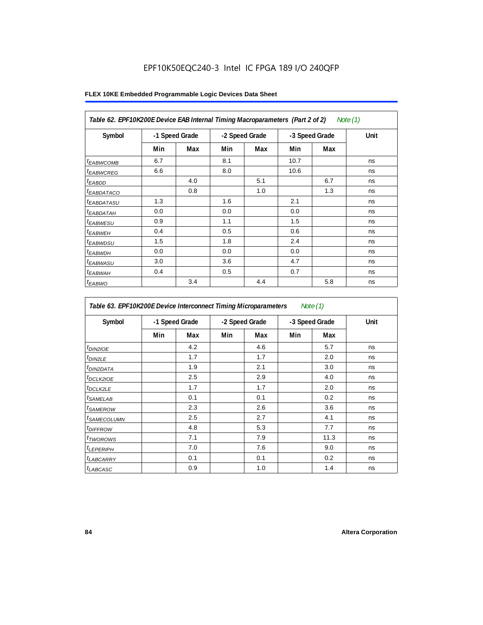| Table 62. EPF10K200E Device EAB Internal Timing Macroparameters (Part 2 of 2)<br>Note $(1)$ |                |     |                |     |                |     |      |  |  |
|---------------------------------------------------------------------------------------------|----------------|-----|----------------|-----|----------------|-----|------|--|--|
| Symbol                                                                                      | -1 Speed Grade |     | -2 Speed Grade |     | -3 Speed Grade |     | Unit |  |  |
|                                                                                             | Min            | Max | Min            | Max | Min            | Max |      |  |  |
| <sup>t</sup> EABWCOMB                                                                       | 6.7            |     | 8.1            |     | 10.7           |     | ns   |  |  |
| <sup>t</sup> EABWCREG                                                                       | 6.6            |     | 8.0            |     | 10.6           |     | ns   |  |  |
| <sup>t</sup> EABDD                                                                          |                | 4.0 |                | 5.1 |                | 6.7 | ns   |  |  |
| <sup>t</sup> EABDATACO                                                                      |                | 0.8 |                | 1.0 |                | 1.3 | ns   |  |  |
| <sup>t</sup> EABDATASU                                                                      | 1.3            |     | 1.6            |     | 2.1            |     | ns   |  |  |
| <sup>t</sup> EABDATAH                                                                       | 0.0            |     | 0.0            |     | 0.0            |     | ns   |  |  |
| <sup>t</sup> EABWESU                                                                        | 0.9            |     | 1.1            |     | 1.5            |     | ns   |  |  |
| $t_{EABWEH}$                                                                                | 0.4            |     | 0.5            |     | 0.6            |     | ns   |  |  |
| <sup>t</sup> EABWDSU                                                                        | 1.5            |     | 1.8            |     | 2.4            |     | ns   |  |  |
| <sup>t</sup> EABWDH                                                                         | 0.0            |     | 0.0            |     | 0.0            |     | ns   |  |  |
| <sup>t</sup> EABWASU                                                                        | 3.0            |     | 3.6            |     | 4.7            |     | ns   |  |  |
| <sup>t</sup> EABWAH                                                                         | 0.4            |     | 0.5            |     | 0.7            |     | ns   |  |  |
| $t_{EABWO}$                                                                                 |                | 3.4 |                | 4.4 |                | 5.8 | ns   |  |  |

| Table 63. EPF10K200E Device Interconnect Timing Microparameters<br>Note $(1)$ |     |                |     |                |     |                |      |  |  |
|-------------------------------------------------------------------------------|-----|----------------|-----|----------------|-----|----------------|------|--|--|
| Symbol                                                                        |     | -1 Speed Grade |     | -2 Speed Grade |     | -3 Speed Grade | Unit |  |  |
|                                                                               | Min | Max            | Min | Max            | Min | Max            |      |  |  |
| $t_{DINZIOE}$                                                                 |     | 4.2            |     | 4.6            |     | 5.7            | ns   |  |  |
| $t_{DIN2LE}$                                                                  |     | 1.7            |     | 1.7            |     | 2.0            | ns   |  |  |
| <sup>t</sup> DIN2DATA                                                         |     | 1.9            |     | 2.1            |     | 3.0            | ns   |  |  |
| <sup>t</sup> DCLK2IOE                                                         |     | 2.5            |     | 2.9            |     | 4.0            | ns   |  |  |
| <sup>t</sup> DCLK2LE                                                          |     | 1.7            |     | 1.7            |     | 2.0            | ns   |  |  |
| <sup>t</sup> SAMELAB                                                          |     | 0.1            |     | 0.1            |     | 0.2            | ns   |  |  |
| <sup>t</sup> SAMEROW                                                          |     | 2.3            |     | 2.6            |     | 3.6            | ns   |  |  |
| <sup>t</sup> SAMECOLUMN                                                       |     | 2.5            |     | 2.7            |     | 4.1            | ns   |  |  |
| <sup>t</sup> DIFFROW                                                          |     | 4.8            |     | 5.3            |     | 7.7            | ns   |  |  |
| t <sub>TWOROWS</sub>                                                          |     | 7.1            |     | 7.9            |     | 11.3           | ns   |  |  |
| $t_{LEPERIPH}$                                                                |     | 7.0            |     | 7.6            |     | 9.0            | ns   |  |  |
| <sup>t</sup> LABCARRY                                                         |     | 0.1            |     | 0.1            |     | 0.2            | ns   |  |  |
| <sup>t</sup> LABCASC                                                          |     | 0.9            |     | 1.0            |     | 1.4            | ns   |  |  |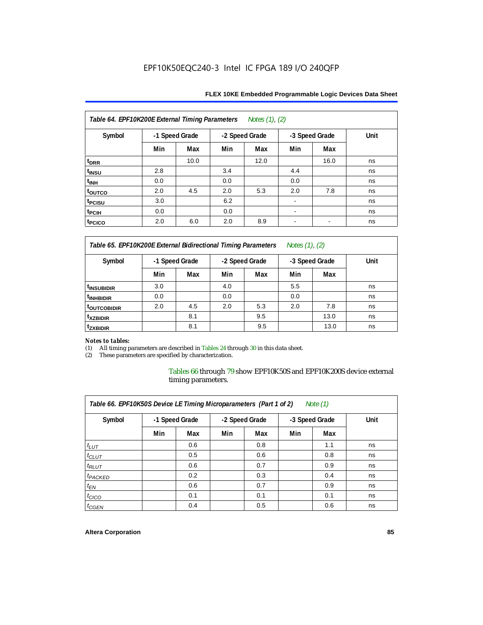| Table 64. EPF10K200E External Timing Parameters<br>Notes (1), (2) |                |      |                |      |                |                          |      |  |  |  |  |
|-------------------------------------------------------------------|----------------|------|----------------|------|----------------|--------------------------|------|--|--|--|--|
| Symbol                                                            | -1 Speed Grade |      | -2 Speed Grade |      | -3 Speed Grade |                          | Unit |  |  |  |  |
|                                                                   | Min            | Max  | Min            | Max  | Min            | Max                      |      |  |  |  |  |
| $t_{\text{DRR}}$                                                  |                | 10.0 |                | 12.0 |                | 16.0                     | ns   |  |  |  |  |
| t <sub>insu</sub>                                                 | 2.8            |      | 3.4            |      | 4.4            |                          | ns   |  |  |  |  |
| t <sub>INH</sub>                                                  | 0.0            |      | 0.0            |      | 0.0            |                          | ns   |  |  |  |  |
| t <sub>outco</sub>                                                | 2.0            | 4.5  | 2.0            | 5.3  | 2.0            | 7.8                      | ns   |  |  |  |  |
| <sup>t</sup> PCISU                                                | 3.0            |      | 6.2            |      | ۰              |                          | ns   |  |  |  |  |
| t <sub>pCIH</sub>                                                 | 0.0            |      | 0.0            |      |                |                          | ns   |  |  |  |  |
| t <sub>PCICO</sub>                                                | 2.0            | 6.0  | 2.0            | 8.9  | ۰              | $\overline{\phantom{a}}$ | ns   |  |  |  |  |

*Table 65. EPF10K200E External Bidirectional Timing Parameters Notes (1), (2)*

| Symbol                  | -1 Speed Grade |     | -2 Speed Grade |     | -3 Speed Grade |      | Unit |
|-------------------------|----------------|-----|----------------|-----|----------------|------|------|
|                         | Min            | Max | Min            | Max | Min            | Max  |      |
| <sup>t</sup> INSUBIDIR  | 3.0            |     | 4.0            |     | 5.5            |      | ns   |
| <sup>t</sup> INHBIDIR   | 0.0            |     | 0.0            |     | 0.0            |      | ns   |
| <sup>T</sup> OUTCOBIDIR | 2.0            | 4.5 | 2.0            | 5.3 | 2.0            | 7.8  | ns   |
| <sup>t</sup> xzbidir    |                | 8.1 |                | 9.5 |                | 13.0 | ns   |
| <sup>T</sup> ZXBIDIR    |                | 8.1 |                | 9.5 |                | 13.0 | ns   |

# *Notes to tables:*

(1) All timing parameters are described in Tables 24 through 30 in this data sheet.<br>(2) These parameters are specified by characterization.

These parameters are specified by characterization.

Tables 66 through 79 show EPF10K50S and EPF10K200S device external timing parameters.

| Table 66. EPF10K50S Device LE Timing Microparameters (Part 1 of 2)<br>Note $(1)$ |     |                |     |                |     |                |      |  |  |  |  |
|----------------------------------------------------------------------------------|-----|----------------|-----|----------------|-----|----------------|------|--|--|--|--|
| Symbol                                                                           |     | -1 Speed Grade |     | -2 Speed Grade |     | -3 Speed Grade | Unit |  |  |  |  |
|                                                                                  | Min | Max            | Min | Max            | Min | Max            |      |  |  |  |  |
| $t_{LUT}$                                                                        |     | 0.6            |     | 0.8            |     | 1.1            | ns   |  |  |  |  |
| $t_{CLUT}$                                                                       |     | 0.5            |     | 0.6            |     | 0.8            | ns   |  |  |  |  |
| $t_{RLUT}$                                                                       |     | 0.6            |     | 0.7            |     | 0.9            | ns   |  |  |  |  |
| <sup>t</sup> PACKED                                                              |     | 0.2            |     | 0.3            |     | 0.4            | ns   |  |  |  |  |
| $t_{EN}$                                                                         |     | 0.6            |     | 0.7            |     | 0.9            | ns   |  |  |  |  |
| $t_{CICO}$                                                                       |     | 0.1            |     | 0.1            |     | 0.1            | ns   |  |  |  |  |
| $t_{GEN}$                                                                        |     | 0.4            |     | 0.5            |     | 0.6            | ns   |  |  |  |  |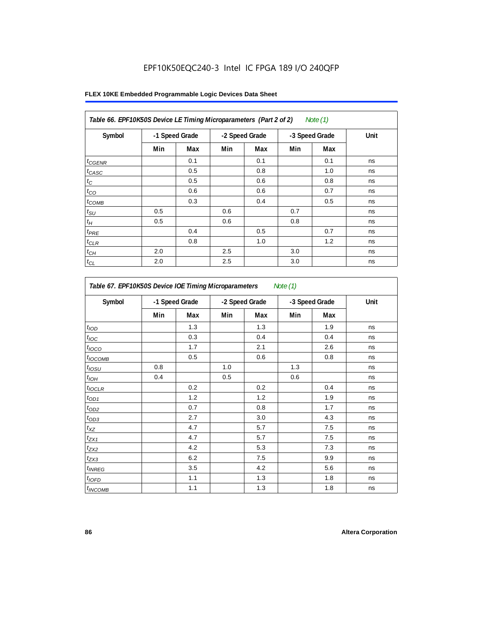| Table 66. EPF10K50S Device LE Timing Microparameters (Part 2 of 2)<br>Note $(1)$ |     |                |     |                |     |                |      |  |  |  |  |
|----------------------------------------------------------------------------------|-----|----------------|-----|----------------|-----|----------------|------|--|--|--|--|
| Symbol                                                                           |     | -1 Speed Grade |     | -2 Speed Grade |     | -3 Speed Grade | Unit |  |  |  |  |
|                                                                                  | Min | Max            | Min | Max            | Min | Max            |      |  |  |  |  |
| $t_{GENR}$                                                                       |     | 0.1            |     | 0.1            |     | 0.1            | ns   |  |  |  |  |
| $t_{CASC}$                                                                       |     | 0.5            |     | 0.8            |     | 1.0            | ns   |  |  |  |  |
| $t_{\rm C}$                                                                      |     | 0.5            |     | 0.6            |     | 0.8            | ns   |  |  |  |  |
| $t_{\rm CO}$                                                                     |     | 0.6            |     | 0.6            |     | 0.7            | ns   |  |  |  |  |
| $t_{COMB}$                                                                       |     | 0.3            |     | 0.4            |     | 0.5            | ns   |  |  |  |  |
| $t_{\text{SU}}$                                                                  | 0.5 |                | 0.6 |                | 0.7 |                | ns   |  |  |  |  |
| $t_H$                                                                            | 0.5 |                | 0.6 |                | 0.8 |                | ns   |  |  |  |  |
| $t_{PRE}$                                                                        |     | 0.4            |     | 0.5            |     | 0.7            | ns   |  |  |  |  |
| $t_{CLR}$                                                                        |     | 0.8            |     | 1.0            |     | 1.2            | ns   |  |  |  |  |
| $t_{CH}$                                                                         | 2.0 |                | 2.5 |                | 3.0 |                | ns   |  |  |  |  |
| $t_{CL}$                                                                         | 2.0 |                | 2.5 |                | 3.0 |                | ns   |  |  |  |  |

| Symbol                     | -1 Speed Grade |     | -2 Speed Grade |     | -3 Speed Grade |     | Unit |
|----------------------------|----------------|-----|----------------|-----|----------------|-----|------|
|                            | Min            | Max | Min            | Max | Min            | Max |      |
| t <sub>IOD</sub>           |                | 1.3 |                | 1.3 |                | 1.9 | ns   |
| $t_{\text{IOC}}$           |                | 0.3 |                | 0.4 |                | 0.4 | ns   |
| $t_{IOCO}$                 |                | 1.7 |                | 2.1 |                | 2.6 | ns   |
| $t_{IOCOMB}$               |                | 0.5 |                | 0.6 |                | 0.8 | ns   |
| $t_{IOSU}$                 | 0.8            |     | 1.0            |     | 1.3            |     | ns   |
| $t_{IOH}$                  | 0.4            |     | 0.5            |     | 0.6            |     | ns   |
| $t_{IOCLR}$                |                | 0.2 |                | 0.2 |                | 0.4 | ns   |
| $t_{OD1}$                  |                | 1.2 |                | 1.2 |                | 1.9 | ns   |
| $t_{OD2}$                  |                | 0.7 |                | 0.8 |                | 1.7 | ns   |
| $t_{OD3}$                  |                | 2.7 |                | 3.0 |                | 4.3 | ns   |
| $t_{XZ}$                   |                | 4.7 |                | 5.7 |                | 7.5 | ns   |
| $t_{ZX1}$                  |                | 4.7 |                | 5.7 |                | 7.5 | ns   |
| $t_{ZX2}$                  |                | 4.2 |                | 5.3 |                | 7.3 | ns   |
| $t_{ZX3}$                  |                | 6.2 |                | 7.5 |                | 9.9 | ns   |
| $t_{INREG}$                |                | 3.5 |                | 4.2 |                | 5.6 | ns   |
| $t_{IOFD}$                 |                | 1.1 |                | 1.3 |                | 1.8 | ns   |
| <i>t</i> <sub>INCOMB</sub> |                | 1.1 |                | 1.3 |                | 1.8 | ns   |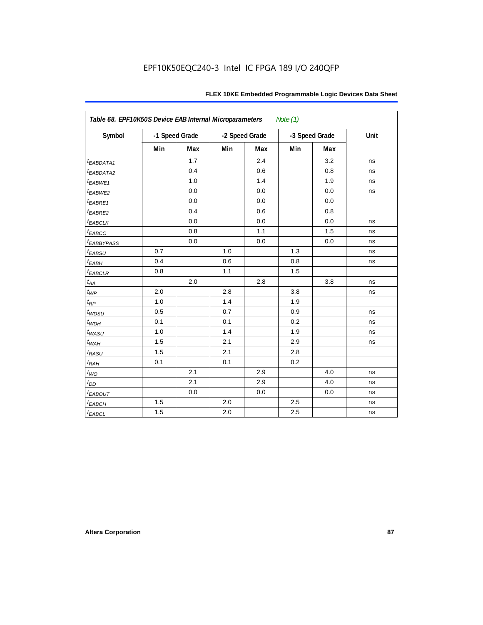| Table 68. EPF10K50S Device EAB Internal Microparameters<br>Note (1) |     |                |                |     |                |     |      |  |  |
|---------------------------------------------------------------------|-----|----------------|----------------|-----|----------------|-----|------|--|--|
| Symbol                                                              |     | -1 Speed Grade | -2 Speed Grade |     | -3 Speed Grade |     | Unit |  |  |
|                                                                     | Min | Max            | Min            | Max | Min            | Max |      |  |  |
| $t_{EABDATA1}$                                                      |     | 1.7            |                | 2.4 |                | 3.2 | ns   |  |  |
| $t_{EABDATA2}$                                                      |     | 0.4            |                | 0.6 |                | 0.8 | ns   |  |  |
| $t_{EABWE1}$                                                        |     | 1.0            |                | 1.4 |                | 1.9 | ns   |  |  |
| t <sub>EABWE2</sub>                                                 |     | 0.0            |                | 0.0 |                | 0.0 | ns   |  |  |
| $t_{EABRE1}$                                                        |     | 0.0            |                | 0.0 |                | 0.0 |      |  |  |
| $t_{EABRE2}$                                                        |     | 0.4            |                | 0.6 |                | 0.8 |      |  |  |
| $t_{EABCLK}$                                                        |     | 0.0            |                | 0.0 |                | 0.0 | ns   |  |  |
| $t_{EABCO}$                                                         |     | 0.8            |                | 1.1 |                | 1.5 | ns   |  |  |
| <i><b><i>EABBYPASS</i></b></i>                                      |     | 0.0            |                | 0.0 |                | 0.0 | ns   |  |  |
| $t_{EABSU}$                                                         | 0.7 |                | 1.0            |     | 1.3            |     | ns   |  |  |
| $t_{EABH}$                                                          | 0.4 |                | 0.6            |     | 0.8            |     | ns   |  |  |
| $t_{EABCLR}$                                                        | 0.8 |                | 1.1            |     | 1.5            |     |      |  |  |
| $t_{AA}$                                                            |     | 2.0            |                | 2.8 |                | 3.8 | ns   |  |  |
| $t_{WP}$                                                            | 2.0 |                | 2.8            |     | 3.8            |     | ns   |  |  |
| $t_{RP}$                                                            | 1.0 |                | 1.4            |     | 1.9            |     |      |  |  |
| $t_{WDSU}$                                                          | 0.5 |                | 0.7            |     | 0.9            |     | ns   |  |  |
| $t_{WDH}$                                                           | 0.1 |                | 0.1            |     | 0.2            |     | ns   |  |  |
| $t_{WASU}$                                                          | 1.0 |                | 1.4            |     | 1.9            |     | ns   |  |  |
| $t_{W\!AH}$                                                         | 1.5 |                | 2.1            |     | 2.9            |     | ns   |  |  |
| $t_{RASU}$                                                          | 1.5 |                | 2.1            |     | 2.8            |     |      |  |  |
| $t_{RAH}$                                                           | 0.1 |                | 0.1            |     | 0.2            |     |      |  |  |
| $t_{WO}$                                                            |     | 2.1            |                | 2.9 |                | 4.0 | ns   |  |  |
| $t_{DD}$                                                            |     | 2.1            |                | 2.9 |                | 4.0 | ns   |  |  |
| $t_{EABOUT}$                                                        |     | 0.0            |                | 0.0 |                | 0.0 | ns   |  |  |
| $t_{EABCH}$                                                         | 1.5 |                | 2.0            |     | 2.5            |     | ns   |  |  |
| $t_{EABCL}$                                                         | 1.5 |                | 2.0            |     | 2.5            |     | ns   |  |  |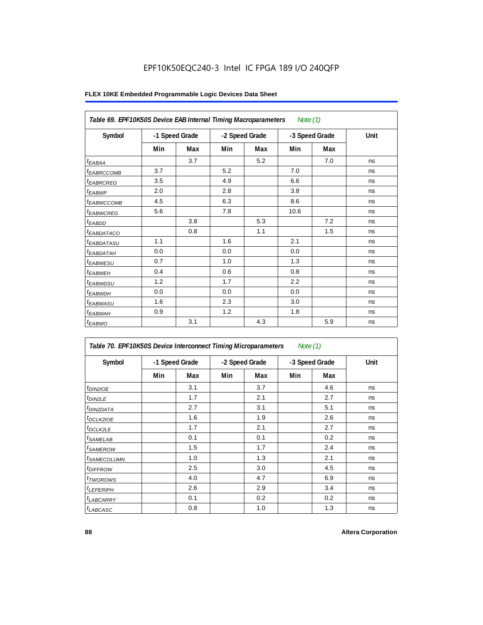|                        | Table 69. EPF10K50S Device EAB Internal Timing Macroparameters<br>Note $(1)$ |                |     |                |      |                |      |  |  |  |  |
|------------------------|------------------------------------------------------------------------------|----------------|-----|----------------|------|----------------|------|--|--|--|--|
| Symbol                 |                                                                              | -1 Speed Grade |     | -2 Speed Grade |      | -3 Speed Grade | Unit |  |  |  |  |
|                        | Min                                                                          | Max            | Min | Max            | Min  | Max            |      |  |  |  |  |
| <sup>t</sup> EABAA     |                                                                              | 3.7            |     | 5.2            |      | 7.0            | ns   |  |  |  |  |
| <sup>t</sup> EABRCCOMB | 3.7                                                                          |                | 5.2 |                | 7.0  |                | ns   |  |  |  |  |
| <sup>t</sup> EABRCREG  | 3.5                                                                          |                | 4.9 |                | 6.6  |                | ns   |  |  |  |  |
| t <sub>EABWP</sub>     | 2.0                                                                          |                | 2.8 |                | 3.8  |                | ns   |  |  |  |  |
| <sup>t</sup> ЕАВWССОМВ | 4.5                                                                          |                | 6.3 |                | 8.6  |                | ns   |  |  |  |  |
| <sup>t</sup> EABWCREG  | 5.6                                                                          |                | 7.8 |                | 10.6 |                | ns   |  |  |  |  |
| <sup>t</sup> EABDD     |                                                                              | 3.8            |     | 5.3            |      | 7.2            | ns   |  |  |  |  |
| <sup>t</sup> EABDATACO |                                                                              | 0.8            |     | 1.1            |      | 1.5            | ns   |  |  |  |  |
| <sup>t</sup> EABDATASU | 1.1                                                                          |                | 1.6 |                | 2.1  |                | ns   |  |  |  |  |
| <sup>t</sup> EABDATAH  | 0.0                                                                          |                | 0.0 |                | 0.0  |                | ns   |  |  |  |  |
| <sup>t</sup> EABWESU   | 0.7                                                                          |                | 1.0 |                | 1.3  |                | ns   |  |  |  |  |
| <sup>t</sup> EABWEH    | 0.4                                                                          |                | 0.6 |                | 0.8  |                | ns   |  |  |  |  |
| t <sub>EABWDSU</sub>   | 1.2                                                                          |                | 1.7 |                | 2.2  |                | ns   |  |  |  |  |
| <sup>t</sup> EABWDH    | 0.0                                                                          |                | 0.0 |                | 0.0  |                | ns   |  |  |  |  |
| <sup>t</sup> EABWASU   | 1.6                                                                          |                | 2.3 |                | 3.0  |                | ns   |  |  |  |  |
| <sup>t</sup> EABWAH    | 0.9                                                                          |                | 1.2 |                | 1.8  |                | ns   |  |  |  |  |
| <sup>t</sup> EABWO     |                                                                              | 3.1            |     | 4.3            |      | 5.9            | ns   |  |  |  |  |

| Table 70. EPF10K50S Device Interconnect Timing Microparameters<br>Note $(1)$ |                |     |                |     |                |     |      |  |  |
|------------------------------------------------------------------------------|----------------|-----|----------------|-----|----------------|-----|------|--|--|
| Symbol                                                                       | -1 Speed Grade |     | -2 Speed Grade |     | -3 Speed Grade |     | Unit |  |  |
|                                                                              | Min            | Max | Min            | Max | Min            | Max |      |  |  |
| $t_{DINZIOE}$                                                                |                | 3.1 |                | 3.7 |                | 4.6 | ns   |  |  |
| $t_{DIN2LE}$                                                                 |                | 1.7 |                | 2.1 |                | 2.7 | ns   |  |  |
| <sup>t</sup> DIN2DATA                                                        |                | 2.7 |                | 3.1 |                | 5.1 | ns   |  |  |
| <sup>t</sup> DCLK2IOE                                                        |                | 1.6 |                | 1.9 |                | 2.6 | ns   |  |  |
| <sup>t</sup> DCLK2LE                                                         |                | 1.7 |                | 2.1 |                | 2.7 | ns   |  |  |
| <sup>t</sup> SAMELAB                                                         |                | 0.1 |                | 0.1 |                | 0.2 | ns   |  |  |
| <sup>t</sup> SAMEROW                                                         |                | 1.5 |                | 1.7 |                | 2.4 | ns   |  |  |
| <i><b>ISAMECOLUMN</b></i>                                                    |                | 1.0 |                | 1.3 |                | 2.1 | ns   |  |  |
| <i>t<sub>DIFFROW</sub></i>                                                   |                | 2.5 |                | 3.0 |                | 4.5 | ns   |  |  |
| <sup>t</sup> TWOROWS                                                         |                | 4.0 |                | 4.7 |                | 6.9 | ns   |  |  |
| <sup>t</sup> LEPERIPH                                                        |                | 2.6 |                | 2.9 |                | 3.4 | ns   |  |  |
| t <sub>LABCARRY</sub>                                                        |                | 0.1 |                | 0.2 |                | 0.2 | ns   |  |  |
| t <sub>LABCASC</sub>                                                         |                | 0.8 |                | 1.0 |                | 1.3 | ns   |  |  |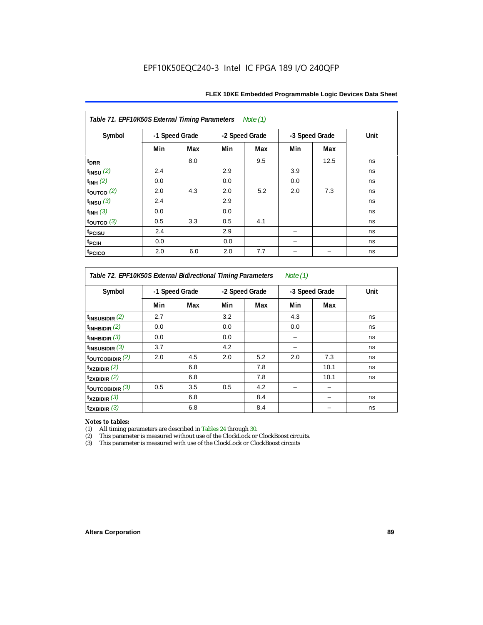| Table 71. EPF10K50S External Timing Parameters<br>Note (1) |                |     |     |                |     |                |      |
|------------------------------------------------------------|----------------|-----|-----|----------------|-----|----------------|------|
| Symbol                                                     | -1 Speed Grade |     |     | -2 Speed Grade |     | -3 Speed Grade | Unit |
|                                                            | Min            | Max | Min | Max            | Min | Max            |      |
| t <sub>DRR</sub>                                           |                | 8.0 |     | 9.5            |     | 12.5           | ns   |
| $t_{INSU}$ (2)                                             | 2.4            |     | 2.9 |                | 3.9 |                | ns   |
| $t_{INH}$ (2)                                              | 0.0            |     | 0.0 |                | 0.0 |                | ns   |
| $\tt_{\text{OUTCO}}$ (2)                                   | 2.0            | 4.3 | 2.0 | 5.2            | 2.0 | 7.3            | ns   |
| $t_{INSU}$ (3)                                             | 2.4            |     | 2.9 |                |     |                | ns   |
| $t_{INH}$ (3)                                              | 0.0            |     | 0.0 |                |     |                | ns   |
| $\tt_{\text{OUTCO}}$ (3)                                   | 0.5            | 3.3 | 0.5 | 4.1            |     |                | ns   |
| t <sub>PCISU</sub>                                         | 2.4            |     | 2.9 |                |     |                | ns   |
| t <sub>PCIH</sub>                                          | 0.0            |     | 0.0 |                |     |                | ns   |
| t <sub>PCICO</sub>                                         | 2.0            | 6.0 | 2.0 | 7.7            |     |                | ns   |

*Table 72. EPF10K50S External Bidirectional Timing Parameters Note (1)*

| Symbol                     |     | -1 Speed Grade |     | -2 Speed Grade |     | -3 Speed Grade |    |
|----------------------------|-----|----------------|-----|----------------|-----|----------------|----|
|                            | Min | Max            | Min | Max            | Min | Max            |    |
| $t_{INSUBIDIR}$ (2)        | 2.7 |                | 3.2 |                | 4.3 |                | ns |
| $t_{INHBIDIR}$ (2)         | 0.0 |                | 0.0 |                | 0.0 |                | ns |
| $t_{INHBIDIR}$ (3)         | 0.0 |                | 0.0 |                |     |                | ns |
| $t_{INSUBIDIR}$ (3)        | 3.7 |                | 4.2 |                |     |                | ns |
| $t_{\text{OUTCOBIDIR}}(2)$ | 2.0 | 4.5            | 2.0 | 5.2            | 2.0 | 7.3            | ns |
| $t_{XZBIDIR}$ (2)          |     | 6.8            |     | 7.8            |     | 10.1           | ns |
| $t_{ZXBIDIR}$ (2)          |     | 6.8            |     | 7.8            |     | 10.1           | ns |
| toutcobidir $(3)$          | 0.5 | 3.5            | 0.5 | 4.2            |     |                |    |
| $t_{XZBIDIR}$ (3)          |     | 6.8            |     | 8.4            |     |                | ns |
| $t_{ZXBIDIR}$ (3)          |     | 6.8            |     | 8.4            |     |                | ns |

*Notes to tables:* All timing parameters are described in Tables 24 through 30.

(2) This parameter is measured without use of the ClockLock or ClockBoost circuits.<br>(3) This parameter is measured with use of the ClockLock or ClockBoost circuits

This parameter is measured with use of the ClockLock or ClockBoost circuits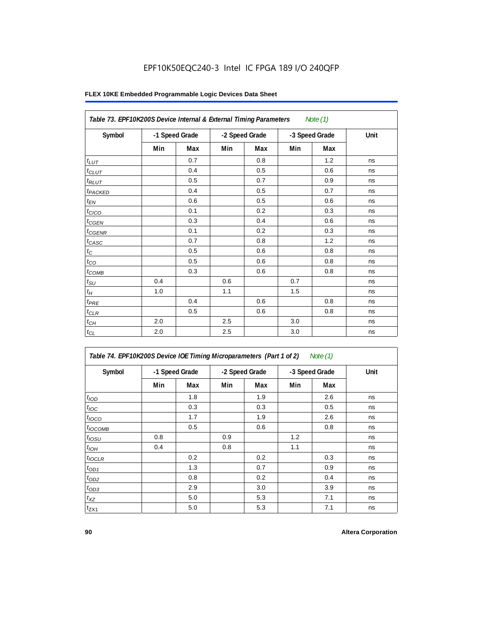| Table 73. EPF10K200S Device Internal & External Timing Parameters<br>Note $(1)$ |                |     |                |     |                |     |      |  |
|---------------------------------------------------------------------------------|----------------|-----|----------------|-----|----------------|-----|------|--|
| Symbol                                                                          | -1 Speed Grade |     | -2 Speed Grade |     | -3 Speed Grade |     | Unit |  |
|                                                                                 | Min            | Max | Min            | Max | Min            | Max |      |  |
| $t_{LUT}$                                                                       |                | 0.7 |                | 0.8 |                | 1.2 | ns   |  |
| $t_{CLUT}$                                                                      |                | 0.4 |                | 0.5 |                | 0.6 | ns   |  |
| $t_{RLUT}$                                                                      |                | 0.5 |                | 0.7 |                | 0.9 | ns   |  |
| t <sub>PACKED</sub>                                                             |                | 0.4 |                | 0.5 |                | 0.7 | ns   |  |
| $t_{EN}$                                                                        |                | 0.6 |                | 0.5 |                | 0.6 | ns   |  |
| t <sub>CICO</sub>                                                               |                | 0.1 |                | 0.2 |                | 0.3 | ns   |  |
| $t_{CGEN}$                                                                      |                | 0.3 |                | 0.4 |                | 0.6 | ns   |  |
| $t_{\text{GENR}}$                                                               |                | 0.1 |                | 0.2 |                | 0.3 | ns   |  |
| $t_{CASC}$                                                                      |                | 0.7 |                | 0.8 |                | 1.2 | ns   |  |
| $t_{\rm C}$                                                                     |                | 0.5 |                | 0.6 |                | 0.8 | ns   |  |
| $t_{CO}$                                                                        |                | 0.5 |                | 0.6 |                | 0.8 | ns   |  |
| $t_{COMB}$                                                                      |                | 0.3 |                | 0.6 |                | 0.8 | ns   |  |
| $t_{\rm SU}$                                                                    | 0.4            |     | 0.6            |     | 0.7            |     | ns   |  |
| $t_H\,$                                                                         | 1.0            |     | 1.1            |     | 1.5            |     | ns   |  |
| $t_{PRE}$                                                                       |                | 0.4 |                | 0.6 |                | 0.8 | ns   |  |
| $t_{CLR}$                                                                       |                | 0.5 |                | 0.6 |                | 0.8 | ns   |  |
| $t_{CH}$                                                                        | 2.0            |     | 2.5            |     | 3.0            |     | ns   |  |
| $t_{CL}$                                                                        | 2.0            |     | 2.5            |     | 3.0            |     | ns   |  |

| Table 74. EPF10K200S Device IOE Timing Microparameters (Part 1 of 2) Note (1) |  |  |  |
|-------------------------------------------------------------------------------|--|--|--|
|-------------------------------------------------------------------------------|--|--|--|

| Symbol           |     | -1 Speed Grade |     | -2 Speed Grade |     | -3 Speed Grade | Unit |
|------------------|-----|----------------|-----|----------------|-----|----------------|------|
|                  | Min | Max            | Min | Max            | Min | <b>Max</b>     |      |
| t <sub>IOD</sub> |     | 1.8            |     | 1.9            |     | 2.6            | ns   |
| $t_{\text{IOC}}$ |     | 0.3            |     | 0.3            |     | 0.5            | ns   |
| $t_{IOCO}$       |     | 1.7            |     | 1.9            |     | 2.6            | ns   |
| $t_{IOCOMB}$     |     | 0.5            |     | 0.6            |     | 0.8            | ns   |
| $t_{IOSU}$       | 0.8 |                | 0.9 |                | 1.2 |                | ns   |
| $t_{IOH}$        | 0.4 |                | 0.8 |                | 1.1 |                | ns   |
| $t_{IOCLR}$      |     | 0.2            |     | 0.2            |     | 0.3            | ns   |
| $t_{OD1}$        |     | 1.3            |     | 0.7            |     | 0.9            | ns   |
| $t_{OD2}$        |     | 0.8            |     | 0.2            |     | 0.4            | ns   |
| $t_{OD3}$        |     | 2.9            |     | 3.0            |     | 3.9            | ns   |
| $t_{XZ}$         |     | 5.0            |     | 5.3            |     | 7.1            | ns   |
| $t_{ZX1}$        |     | 5.0            |     | 5.3            |     | 7.1            | ns   |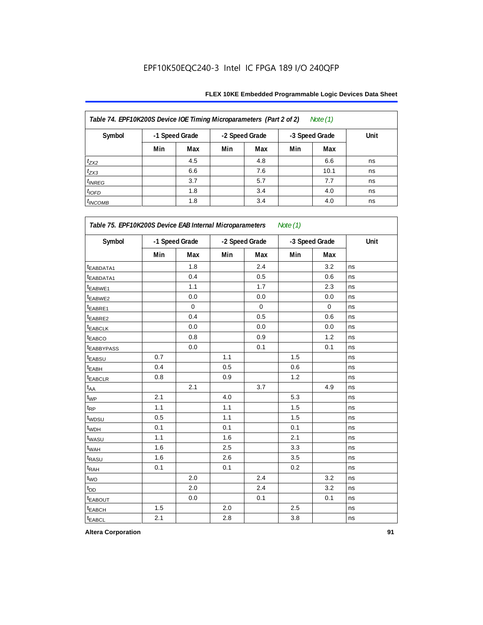| Table 74. EPF10K200S Device IOE Timing Microparameters (Part 2 of 2)<br>Note $(1)$ |     |                |     |                |     |                |      |
|------------------------------------------------------------------------------------|-----|----------------|-----|----------------|-----|----------------|------|
| Symbol                                                                             |     | -1 Speed Grade |     | -2 Speed Grade |     | -3 Speed Grade | Unit |
|                                                                                    | Min | Max            | Min | Max            | Min | Max            |      |
| $t_{ZX2}$                                                                          |     | 4.5            |     | 4.8            |     | 6.6            | ns   |
| $t_{ZX3}$                                                                          |     | 6.6            |     | 7.6            |     | 10.1           | ns   |
| $t_{INREG}$                                                                        |     | 3.7            |     | 5.7            |     | 7.7            | ns   |
| $t_{IOFD}$                                                                         |     | 1.8            |     | 3.4            |     | 4.0            | ns   |
| $t_{INCOMB}$                                                                       |     | 1.8            |     | 3.4            |     | 4.0            | ns   |

| Symbol                  | -1 Speed Grade |          |     | -2 Speed Grade |     | -3 Speed Grade | Unit |
|-------------------------|----------------|----------|-----|----------------|-----|----------------|------|
|                         | Min            | Max      | Min | Max            | Min | Max            |      |
| t <sub>EABDATA1</sub>   |                | 1.8      |     | 2.4            |     | 3.2            | ns   |
| <sup>t</sup> EABDATA1   |                | 0.4      |     | 0.5            |     | 0.6            | ns   |
| t <sub>EABWE1</sub>     |                | 1.1      |     | 1.7            |     | 2.3            | ns   |
| t <sub>EABWE2</sub>     |                | 0.0      |     | 0.0            |     | 0.0            | ns   |
| t <sub>EABRE1</sub>     |                | $\Omega$ |     | $\mathbf 0$    |     | $\mathbf 0$    | ns   |
| t <sub>EABRE2</sub>     |                | 0.4      |     | 0.5            |     | 0.6            | ns   |
| <b>LEABCLK</b>          |                | 0.0      |     | 0.0            |     | 0.0            | ns   |
| <b><i>EABCO</i></b>     |                | 0.8      |     | 0.9            |     | 1.2            | ns   |
| <b><i>EABBYPASS</i></b> |                | 0.0      |     | 0.1            |     | 0.1            | ns   |
| <b><i>EABSU</i></b>     | 0.7            |          | 1.1 |                | 1.5 |                | ns   |
| <sup>t</sup> EABH       | 0.4            |          | 0.5 |                | 0.6 |                | ns   |
| t <sub>EABCLR</sub>     | 0.8            |          | 0.9 |                | 1.2 |                | ns   |
| $t_{AA}$                |                | 2.1      |     | 3.7            |     | 4.9            | ns   |
| $t_{WP}$                | 2.1            |          | 4.0 |                | 5.3 |                | ns   |
| $t_{\mathsf{RP}}$       | 1.1            |          | 1.1 |                | 1.5 |                | ns   |
| t <sub>WDSU</sub>       | 0.5            |          | 1.1 |                | 1.5 |                | ns   |
| t <sub>WDH</sub>        | 0.1            |          | 0.1 |                | 0.1 |                | ns   |
| t <sub>WASU</sub>       | 1.1            |          | 1.6 |                | 2.1 |                | ns   |
| t <sub>WAH</sub>        | 1.6            |          | 2.5 |                | 3.3 |                | ns   |
| t <sub>RASU</sub>       | 1.6            |          | 2.6 |                | 3.5 |                | ns   |
| $t_{R\underline{AH}}$   | 0.1            |          | 0.1 |                | 0.2 |                | ns   |
| $t_{WO}$                |                | 2.0      |     | 2.4            |     | 3.2            | ns   |
| t <sub>DD</sub>         |                | 2.0      |     | 2.4            |     | 3.2            | ns   |
| <b><i>EABOUT</i></b>    |                | 0.0      |     | 0.1            |     | 0.1            | ns   |
| t <sub>EABCH</sub>      | 1.5            |          | 2.0 |                | 2.5 |                | ns   |
| t <sub>EABCL</sub>      | 2.1            |          | 2.8 |                | 3.8 |                | ns   |

**Altera Corporation 91**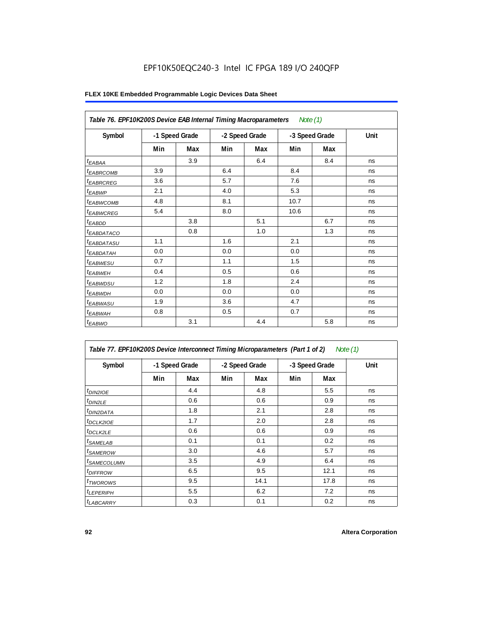| Table 76. EPF10K200S Device EAB Internal Timing Macroparameters Note (1) |                |     |                |     |                |     |      |
|--------------------------------------------------------------------------|----------------|-----|----------------|-----|----------------|-----|------|
| Symbol                                                                   | -1 Speed Grade |     | -2 Speed Grade |     | -3 Speed Grade |     | Unit |
|                                                                          | Min            | Max | Min            | Max | Min            | Max |      |
| $t_{EABA}$                                                               |                | 3.9 |                | 6.4 |                | 8.4 | ns   |
| <sup>t</sup> EABRCOMB                                                    | 3.9            |     | 6.4            |     | 8.4            |     | ns   |
| <sup>t</sup> EABRCREG                                                    | 3.6            |     | 5.7            |     | 7.6            |     | ns   |
| <sup>t</sup> EABWP                                                       | 2.1            |     | 4.0            |     | 5.3            |     | ns   |
| <sup>t</sup> EABWCOMB                                                    | 4.8            |     | 8.1            |     | 10.7           |     | ns   |
| <sup>t</sup> EABWCREG                                                    | 5.4            |     | 8.0            |     | 10.6           |     | ns   |
| $t_{EABDD}$                                                              |                | 3.8 |                | 5.1 |                | 6.7 | ns   |
| <sup>t</sup> EABDATACO                                                   |                | 0.8 |                | 1.0 |                | 1.3 | ns   |
| <sup>t</sup> EABDATASU                                                   | 1.1            |     | 1.6            |     | 2.1            |     | ns   |
| <sup>t</sup> EABDATAH                                                    | 0.0            |     | 0.0            |     | 0.0            |     | ns   |
| <sup>t</sup> EABWESU                                                     | 0.7            |     | 1.1            |     | 1.5            |     | ns   |
| <sup>t</sup> EABWEH                                                      | 0.4            |     | 0.5            |     | 0.6            |     | ns   |
| <sup>t</sup> EABWDSU                                                     | 1.2            |     | 1.8            |     | 2.4            |     | ns   |
| <sup>t</sup> EABWDH                                                      | 0.0            |     | 0.0            |     | 0.0            |     | ns   |
| <sup>t</sup> EABWASU                                                     | 1.9            |     | 3.6            |     | 4.7            |     | ns   |
| <sup>t</sup> EABWAH                                                      | 0.8            |     | 0.5            |     | 0.7            |     | ns   |
| $t_{EABWO}$                                                              |                | 3.1 |                | 4.4 |                | 5.8 | ns   |

| Table 77. EPF10K200S Device Interconnect Timing Microparameters (Part 1 of 2)<br>Note $(1)$ |                |     |                |      |                |      |      |
|---------------------------------------------------------------------------------------------|----------------|-----|----------------|------|----------------|------|------|
| Symbol                                                                                      | -1 Speed Grade |     | -2 Speed Grade |      | -3 Speed Grade |      | Unit |
|                                                                                             | Min            | Max | Min            | Max  | Min            | Max  |      |
| $t_{DIN2IOE}$                                                                               |                | 4.4 |                | 4.8  |                | 5.5  | ns   |
| $t_{DIN2LE}$                                                                                |                | 0.6 |                | 0.6  |                | 0.9  | ns   |
| <sup>t</sup> DIN2DATA                                                                       |                | 1.8 |                | 2.1  |                | 2.8  | ns   |
| <sup>t</sup> DCLK2IOE                                                                       |                | 1.7 |                | 2.0  |                | 2.8  | ns   |
| <sup>t</sup> DCLK2LE                                                                        |                | 0.6 |                | 0.6  |                | 0.9  | ns   |
| <sup>t</sup> SAMELAB                                                                        |                | 0.1 |                | 0.1  |                | 0.2  | ns   |
| <sup>t</sup> SAMEROW                                                                        |                | 3.0 |                | 4.6  |                | 5.7  | ns   |
| <sup>t</sup> SAMECOLUMN                                                                     |                | 3.5 |                | 4.9  |                | 6.4  | ns   |
| <sup>t</sup> DIFFROW                                                                        |                | 6.5 |                | 9.5  |                | 12.1 | ns   |
| <sup>t</sup> TWOROWS                                                                        |                | 9.5 |                | 14.1 |                | 17.8 | ns   |
| <sup>t</sup> LEPERIPH                                                                       |                | 5.5 |                | 6.2  |                | 7.2  | ns   |
| <b><i>LABCARRY</i></b>                                                                      |                | 0.3 |                | 0.1  |                | 0.2  | ns   |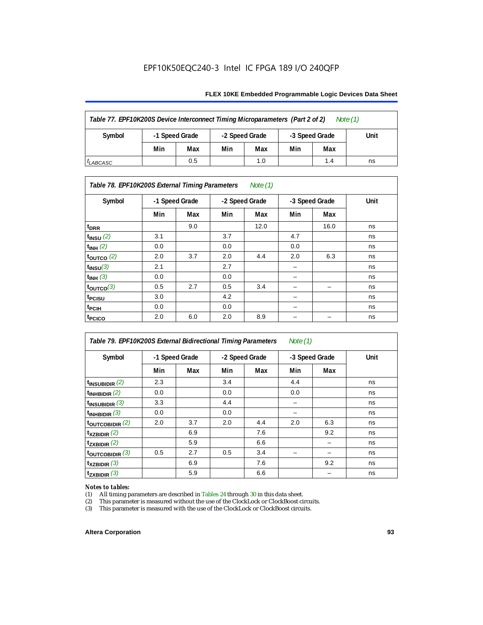#### **FLEX 10KE Embedded Programmable Logic Devices Data Sheet**

| Table 77. EPF10K200S Device Interconnect Timing Microparameters (Part 2 of 2)<br>Note $(1)$ |                |     |                |     |                |     |      |
|---------------------------------------------------------------------------------------------|----------------|-----|----------------|-----|----------------|-----|------|
| Symbol                                                                                      | -1 Speed Grade |     | -2 Speed Grade |     | -3 Speed Grade |     | Unit |
|                                                                                             | Min            | Max | Min            | Max | Min            | Max |      |
| <sup>I</sup> LABCASC                                                                        |                | 0.5 |                | 1.0 |                | 1.4 | ns   |

# *Table 78. EPF10K200S External Timing Parameters Note (1)*

| Symbol                |     | -1 Speed Grade |     | -2 Speed Grade |     | -3 Speed Grade | Unit |
|-----------------------|-----|----------------|-----|----------------|-----|----------------|------|
|                       | Min | Max            | Min | Max            | Min | Max            |      |
| $t_{\text{DRR}}$      |     | 9.0            |     | 12.0           |     | 16.0           | ns   |
| $t_{INSU}$ (2)        | 3.1 |                | 3.7 |                | 4.7 |                | ns   |
| $t_{INH}$ (2)         | 0.0 |                | 0.0 |                | 0.0 |                | ns   |
| $t_{\text{OUTCO}}(2)$ | 2.0 | 3.7            | 2.0 | 4.4            | 2.0 | 6.3            | ns   |
| $t_{INSU}(3)$         | 2.1 |                | 2.7 |                |     |                | ns   |
| $t_{INH}$ (3)         | 0.0 |                | 0.0 |                | -   |                | ns   |
| $t_{OUTCO}(3)$        | 0.5 | 2.7            | 0.5 | 3.4            | -   | -              | ns   |
| <sup>t</sup> PCISU    | 3.0 |                | 4.2 |                | -   |                | ns   |
| t <sub>PCIH</sub>     | 0.0 |                | 0.0 |                | -   |                | ns   |
| t <sub>PCICO</sub>    | 2.0 | 6.0            | 2.0 | 8.9            |     |                | ns   |

*Table 79. EPF10K200S External Bidirectional Timing Parameters Note (1)* Symbol | -1 Speed Grade | -2 Speed Grade | -3 Speed Grade | Unit **Min Max Min Max Min Max t<sub>INSUBIDIR</sub>** (2) 2.3  $\begin{vmatrix} 2.3 & 3.4 \\ 2.3 & 3.4 \end{vmatrix}$  4.4  $\begin{vmatrix} 4.4 & 3.4 \\ 3.4 & 4.4 \end{vmatrix}$  ns **t**<sub>INHBIDIR</sub> (2) 0.0 0.0 0.0 0.0 0.0 ns **t<sub>INSUBIDIR</sub>** (3) 3.3 4.4  $-$  ns **tINHBIDIR** (3) 0.0 0.0 – ns **tOUTCOBIDIR** (2) 2.0 3.7 2.0 4.4 2.0 6.3 ns **t<sub>XZBIDIR</sub> (2)** | 6.9 | 7.6 | 9.2 | ns **t<sub>zxbidir</sub>** (2) 5.9 6.6 ns **tOUTCOBIDIR** (3) 0.5 2.7 0.5 3.4 – – ns **t**<sub>XZBIDIR</sub> (3)  $\begin{vmatrix} 6.9 \\ 6.9 \end{vmatrix}$  7.6  $\begin{vmatrix} 7.6 \\ 9.2 \end{vmatrix}$  ns **t<sub>zxbidir</sub>** (3) | 5.9 | 6.6 | | – | ns

# *Notes to tables:*<br>(1) All timing p

(1) All timing parameters are described in Tables  $24$  through  $30$  in this data sheet.<br>(2) This parameter is measured without the use of the ClockLock or ClockBoost ci

(2) This parameter is measured without the use of the ClockLock or ClockBoost circuits.<br>(3) This parameter is measured with the use of the ClockLock or ClockBoost circuits.

This parameter is measured with the use of the ClockLock or ClockBoost circuits.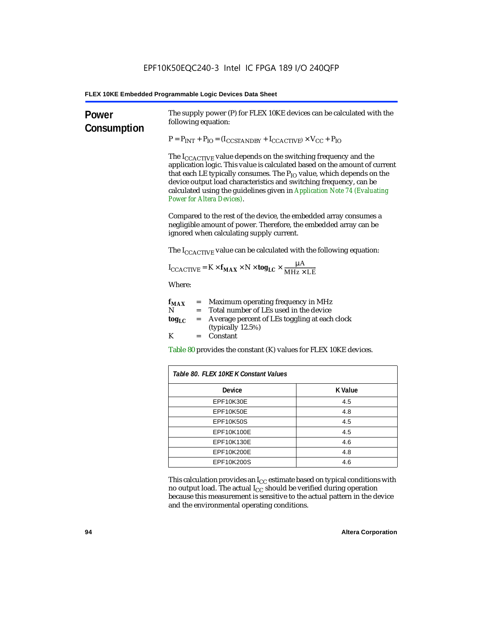| Power<br>Consumption | The supply power (P) for FLEX 10KE devices can be calculated with the<br>following equation:                                                                                                                                                                                                                                                                                                                                        |                                                                                                                                                                                   |  |  |  |  |  |  |
|----------------------|-------------------------------------------------------------------------------------------------------------------------------------------------------------------------------------------------------------------------------------------------------------------------------------------------------------------------------------------------------------------------------------------------------------------------------------|-----------------------------------------------------------------------------------------------------------------------------------------------------------------------------------|--|--|--|--|--|--|
|                      |                                                                                                                                                                                                                                                                                                                                                                                                                                     | $P = P_{INT} + P_{IO} = (I_{COSTANDBY} + I_{CCACTIVE}) \times V_{CC} + P_{IO}$                                                                                                    |  |  |  |  |  |  |
|                      | The I <sub>CCACTIVE</sub> value depends on the switching frequency and the<br>application logic. This value is calculated based on the amount of current<br>that each LE typically consumes. The P <sub>IO</sub> value, which depends on the<br>device output load characteristics and switching frequency, can be<br>calculated using the guidelines given in Application Note 74 (Evaluating<br><b>Power for Altera Devices).</b> |                                                                                                                                                                                   |  |  |  |  |  |  |
|                      |                                                                                                                                                                                                                                                                                                                                                                                                                                     | Compared to the rest of the device, the embedded array consumes a<br>negligible amount of power. Therefore, the embedded array can be<br>ignored when calculating supply current. |  |  |  |  |  |  |
|                      | The $I_{\text{CCACTIVE}}$ value can be calculated with the following equation:                                                                                                                                                                                                                                                                                                                                                      |                                                                                                                                                                                   |  |  |  |  |  |  |
|                      | $I_{\text{CCACTIVE}} = K \times f_{\text{MAX}} \times N \times \text{tog}_{\text{LC}} \times \frac{\mu A}{\text{MHz} \times \text{LE}}$                                                                                                                                                                                                                                                                                             |                                                                                                                                                                                   |  |  |  |  |  |  |
|                      | Where:                                                                                                                                                                                                                                                                                                                                                                                                                              |                                                                                                                                                                                   |  |  |  |  |  |  |
|                      | = Maximum operating frequency in MHz<br>$f_{MAX}$<br>N<br>Total number of LEs used in the device<br>$=$<br>Average percent of LEs toggling at each clock<br>tog <sub>LC</sub><br>$=$<br>(typically 12.5%)                                                                                                                                                                                                                           |                                                                                                                                                                                   |  |  |  |  |  |  |
|                      | K<br>Constant                                                                                                                                                                                                                                                                                                                                                                                                                       |                                                                                                                                                                                   |  |  |  |  |  |  |
|                      | Table 80 provides the constant (K) values for FLEX 10KE devices.                                                                                                                                                                                                                                                                                                                                                                    |                                                                                                                                                                                   |  |  |  |  |  |  |
|                      | Table 80. FLEX 10KE K Constant Values                                                                                                                                                                                                                                                                                                                                                                                               |                                                                                                                                                                                   |  |  |  |  |  |  |
|                      | <b>Device</b>                                                                                                                                                                                                                                                                                                                                                                                                                       | <b>K</b> Value                                                                                                                                                                    |  |  |  |  |  |  |
|                      | EPF10K30E                                                                                                                                                                                                                                                                                                                                                                                                                           | 4.5                                                                                                                                                                               |  |  |  |  |  |  |
|                      | EPF10K50E                                                                                                                                                                                                                                                                                                                                                                                                                           | 4.8                                                                                                                                                                               |  |  |  |  |  |  |
|                      | <b>EPF10K50S</b>                                                                                                                                                                                                                                                                                                                                                                                                                    | 4.5                                                                                                                                                                               |  |  |  |  |  |  |
|                      | EPF10K100E                                                                                                                                                                                                                                                                                                                                                                                                                          | 4.5                                                                                                                                                                               |  |  |  |  |  |  |
|                      | EPF10K130E                                                                                                                                                                                                                                                                                                                                                                                                                          | 4.6                                                                                                                                                                               |  |  |  |  |  |  |
|                      | EPF10K200E                                                                                                                                                                                                                                                                                                                                                                                                                          | 4.8                                                                                                                                                                               |  |  |  |  |  |  |
|                      | EPF10K200S                                                                                                                                                                                                                                                                                                                                                                                                                          | 4.6                                                                                                                                                                               |  |  |  |  |  |  |

This calculation provides an  $\rm I_{CC}$  estimate based on typical conditions with no output load. The actual I $_{\rm CC}$  should be verified during operation because this measurement is sensitive to the actual pattern in the device and the environmental operating conditions.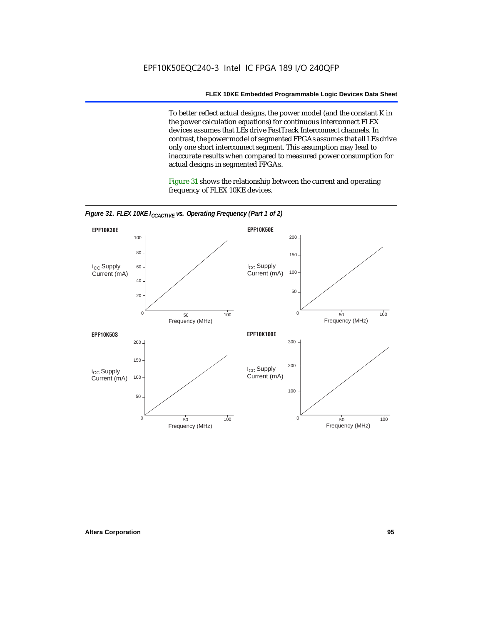To better reflect actual designs, the power model (and the constant K in the power calculation equations) for continuous interconnect FLEX devices assumes that LEs drive FastTrack Interconnect channels. In contrast, the power model of segmented FPGAs assumes that all LEs drive only one short interconnect segment. This assumption may lead to inaccurate results when compared to measured power consumption for actual designs in segmented FPGAs.

Figure 31 shows the relationship between the current and operating frequency of FLEX 10KE devices.



*Figure 31. FLEX 10KE I<sub>CCACTIVE</sub> vs. Operating Frequency (Part 1 of 2)*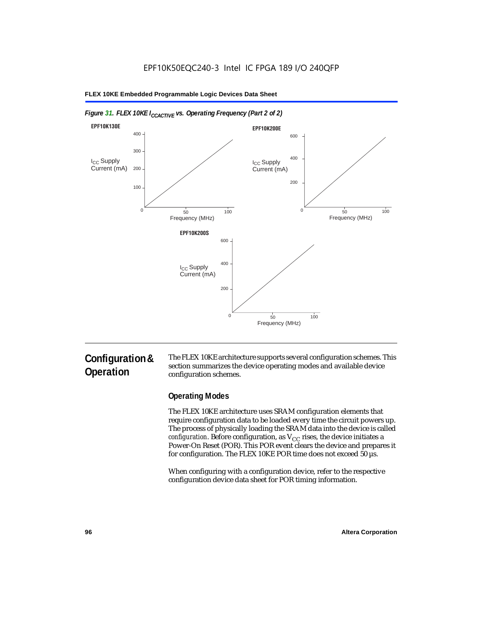

#### *Figure 31. FLEX 10KE I<sub>CCACTIVE</sub> vs. Operating Frequency (Part 2 of 2)*

# **Configuration & Operation**

The FLEX 10KE architecture supports several configuration schemes. This section summarizes the device operating modes and available device configuration schemes.

### **Operating Modes**

The FLEX 10KE architecture uses SRAM configuration elements that require configuration data to be loaded every time the circuit powers up. The process of physically loading the SRAM data into the device is called *configuration.* Before configuration, as  $V_{CC}$  rises, the device initiates a Power-On Reset (POR). This POR event clears the device and prepares it for configuration. The FLEX 10KE POR time does not exceed 50 µs.

When configuring with a configuration device, refer to the respective configuration device data sheet for POR timing information.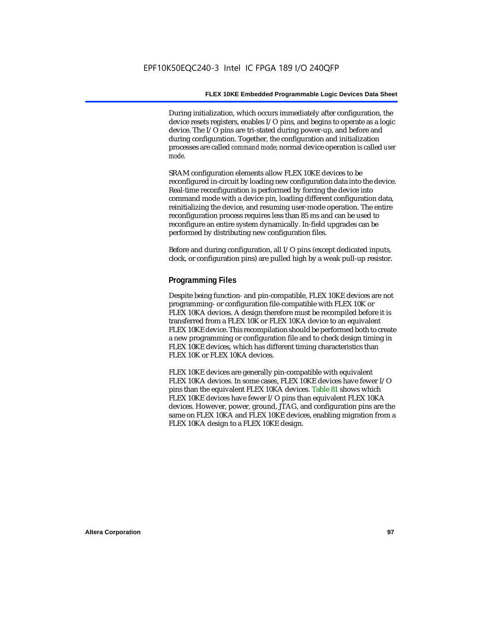During initialization, which occurs immediately after configuration, the device resets registers, enables I/O pins, and begins to operate as a logic device. The I/O pins are tri-stated during power-up, and before and during configuration. Together, the configuration and initialization processes are called *command mode*; normal device operation is called *user mode*.

SRAM configuration elements allow FLEX 10KE devices to be reconfigured in-circuit by loading new configuration data into the device. Real-time reconfiguration is performed by forcing the device into command mode with a device pin, loading different configuration data, reinitializing the device, and resuming user-mode operation. The entire reconfiguration process requires less than 85 ms and can be used to reconfigure an entire system dynamically. In-field upgrades can be performed by distributing new configuration files.

Before and during configuration, all I/O pins (except dedicated inputs, clock, or configuration pins) are pulled high by a weak pull-up resistor.

#### **Programming Files**

Despite being function- and pin-compatible, FLEX 10KE devices are not programming- or configuration file-compatible with FLEX 10K or FLEX 10KA devices. A design therefore must be recompiled before it is transferred from a FLEX 10K or FLEX 10KA device to an equivalent FLEX 10KE device. This recompilation should be performed both to create a new programming or configuration file and to check design timing in FLEX 10KE devices, which has different timing characteristics than FLEX 10K or FLEX 10KA devices.

FLEX 10KE devices are generally pin-compatible with equivalent FLEX 10KA devices. In some cases, FLEX 10KE devices have fewer I/O pins than the equivalent FLEX 10KA devices. Table 81 shows which FLEX 10KE devices have fewer I/O pins than equivalent FLEX 10KA devices. However, power, ground, JTAG, and configuration pins are the same on FLEX 10KA and FLEX 10KE devices, enabling migration from a FLEX 10KA design to a FLEX 10KE design.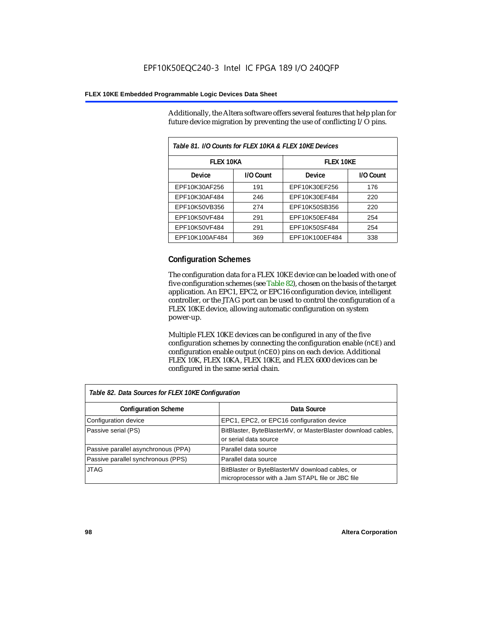Additionally, the Altera software offers several features that help plan for future device migration by preventing the use of conflicting I/O pins.

| Table 81. I/O Counts for FLEX 10KA & FLEX 10KE Devices |           |                  |           |  |
|--------------------------------------------------------|-----------|------------------|-----------|--|
| <b>FLEX 10KA</b>                                       |           | <b>FLEX 10KE</b> |           |  |
| <b>Device</b>                                          | I/O Count | Device           | I/O Count |  |
| EPF10K30AF256                                          | 191       | EPF10K30EF256    | 176       |  |
| EPF10K30AF484                                          | 246       | EPF10K30EF484    | 220       |  |
| EPF10K50VB356                                          | 274       | EPF10K50SB356    | 220       |  |
| EPF10K50VF484                                          | 291       | EPF10K50EF484    | 254       |  |
| EPF10K50VF484                                          | 291       | EPF10K50SF484    | 254       |  |
| EPF10K100AF484                                         | 369       | EPF10K100EF484   | 338       |  |

#### **Configuration Schemes**

The configuration data for a FLEX 10KE device can be loaded with one of five configuration schemes (see Table 82), chosen on the basis of the target application. An EPC1, EPC2, or EPC16 configuration device, intelligent controller, or the JTAG port can be used to control the configuration of a FLEX 10KE device, allowing automatic configuration on system power-up.

Multiple FLEX 10KE devices can be configured in any of the five configuration schemes by connecting the configuration enable (nCE) and configuration enable output (nCEO) pins on each device. Additional FLEX 10K, FLEX 10KA, FLEX 10KE, and FLEX 6000 devices can be configured in the same serial chain.

| Table 82. Data Sources for FLEX 10KE Configuration |                                                                                                     |  |  |  |
|----------------------------------------------------|-----------------------------------------------------------------------------------------------------|--|--|--|
| <b>Configuration Scheme</b>                        | Data Source                                                                                         |  |  |  |
| Configuration device                               | EPC1, EPC2, or EPC16 configuration device                                                           |  |  |  |
| Passive serial (PS)                                | BitBlaster, ByteBlasterMV, or MasterBlaster download cables,<br>or serial data source               |  |  |  |
| Passive parallel asynchronous (PPA)                | Parallel data source                                                                                |  |  |  |
| Passive parallel synchronous (PPS)                 | Parallel data source                                                                                |  |  |  |
| <b>JTAG</b>                                        | BitBlaster or ByteBlasterMV download cables, or<br>microprocessor with a Jam STAPL file or JBC file |  |  |  |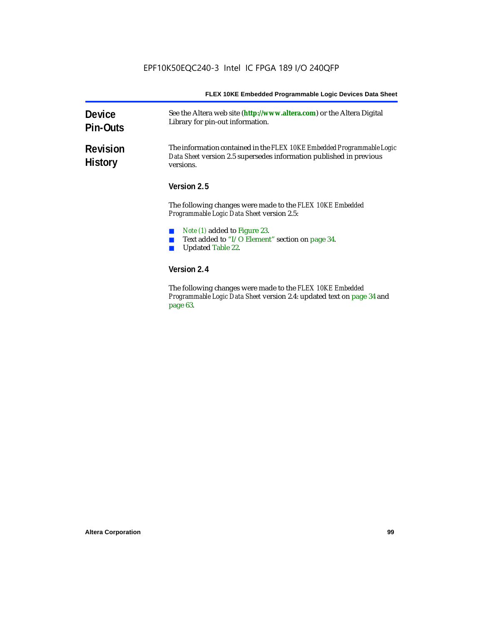| <b>Device</b><br><b>Pin-Outs</b>  | See the Altera web site (http://www.altera.com) or the Altera Digital<br>Library for pin-out information.                                                  |  |
|-----------------------------------|------------------------------------------------------------------------------------------------------------------------------------------------------------|--|
| <b>Revision</b><br><b>History</b> | The information contained in the FLEX 10KE Embedded Programmable Logic<br>Data Sheet version 2.5 supersedes information published in previous<br>versions. |  |
|                                   | Version 2.5                                                                                                                                                |  |
|                                   | The following changes were made to the FLEX 10KE Embedded<br>Programmable Logic Data Sheet version 2.5:                                                    |  |
|                                   | Note (1) added to Figure 23.<br>Text added to "I/O Element" section on page 34.<br><b>Updated Table 22.</b>                                                |  |
|                                   | Version 2.4                                                                                                                                                |  |
|                                   | The following changes were mode to the FLFV 10VF Embedded                                                                                                  |  |

The following changes were made to the *FLEX 10KE Embedded Programmable Logic Data Sheet* version 2.4: updated text on page 34 and page 63.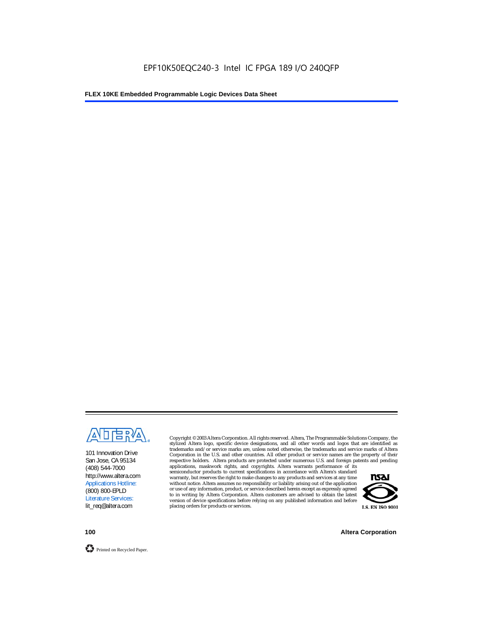

101 Innovation Drive San Jose, CA 95134 (408) 544-7000 http://www.altera.com Applications Hotline: (800) 800-EPLD Literature Services: lit\_req@altera.com

Copyright © 2003 Altera Corporation. All rights reserved. Altera, The Programmable Solutions Company, the stylized Altera logo, specific device designations, and all other words and logos that are identified as trademarks and/or service marks are, unless noted otherwise, the trademarks and service marks of Altera Corporation in the U.S. and other countries. All other product or service names are the property of their respective holders. Altera products are protected under numerous U.S. and foreign patents and pending

applications, maskwork rights, and copyrights. Altera warrants performance of its semiconductor products to current specifications in accordance with Altera's standard warranty, but reserves the right to make changes to any products and services at any time without notice. Altera assumes no responsibility or liability arising out of the application or use of any information, product, or service described herein except as expressly agreed to in writing by Altera Corporation. Altera customers are advised to obtain the latest version of device specifications before relying on any published information and before placing orders for products or services.



**100 Altera Corporation**